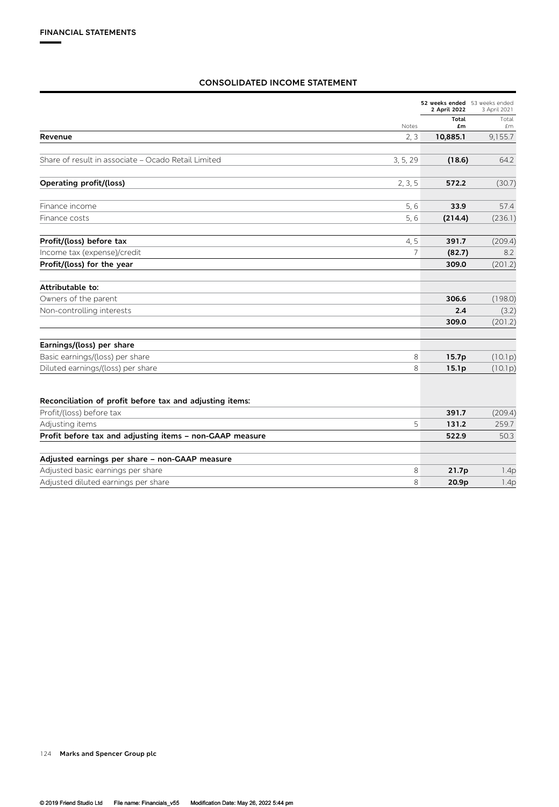# **CONSOLIDATED INCOME STATEMENT**

|                                                          |          | 52 weeks ended 53 weeks ended<br>2 April 2022 | 3 April 2021 |  |
|----------------------------------------------------------|----------|-----------------------------------------------|--------------|--|
|                                                          | Notes    | Total<br>£m                                   | Total<br>£m  |  |
| Revenue                                                  | 2, 3     | 10,885.1                                      | 9,155.7      |  |
| Share of result in associate - Ocado Retail Limited      | 3, 5, 29 | (18.6)                                        | 64.2         |  |
| <b>Operating profit/(loss)</b>                           | 2, 3, 5  | 572.2                                         | (30.7)       |  |
| Finance income                                           | 5, 6     | 33.9                                          | 57.4         |  |
| Finance costs                                            | 5, 6     | (214.4)                                       | (236.1)      |  |
| Profit/(loss) before tax                                 | 4, 5     | 391.7                                         | (209.4)      |  |
| Income tax (expense)/credit                              | 7        | (82.7)                                        | 8.2          |  |
| Profit/(loss) for the year                               |          | 309.0                                         | (201.2)      |  |
| Attributable to:                                         |          |                                               |              |  |
| Owners of the parent                                     |          | 306.6                                         | (198.0)      |  |
| Non-controlling interests                                |          | 2.4                                           | (3.2)        |  |
|                                                          |          | 309.0                                         | (201.2)      |  |
| Earnings/(loss) per share                                |          |                                               |              |  |
| Basic earnings/(loss) per share                          | 8        | 15.7p                                         | (10.1p)      |  |
| Diluted earnings/(loss) per share                        | 8        | 15.1p                                         | (10.1p)      |  |
| Reconciliation of profit before tax and adjusting items: |          |                                               |              |  |
| Profit/(loss) before tax                                 |          | 391.7                                         | (209.4)      |  |
| Adjusting items                                          | 5        | 131.2                                         | 259.7        |  |
| Profit before tax and adjusting items - non-GAAP measure |          | 522.9                                         | 50.3         |  |
| Adjusted earnings per share - non-GAAP measure           |          |                                               |              |  |
| Adjusted basic earnings per share                        | 8        | 21.7p                                         | 1.4p         |  |
| Adjusted diluted earnings per share                      | 8        | 20.9p                                         | 1.4p         |  |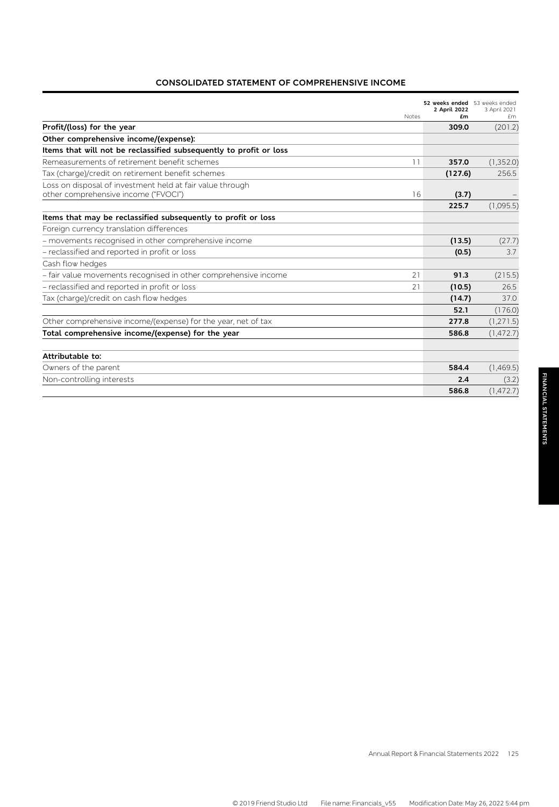# **CONSOLIDATED STATEMENT OF COMPREHENSIVE INCOME**

|                                                                                                      | Notes | 52 weeks ended 53 weeks ended<br>2 April 2022<br>£m | 3 April 2021<br>£m |
|------------------------------------------------------------------------------------------------------|-------|-----------------------------------------------------|--------------------|
| Profit/(loss) for the year                                                                           |       | 309.0                                               | (201.2)            |
| Other comprehensive income/(expense):                                                                |       |                                                     |                    |
| Items that will not be reclassified subsequently to profit or loss                                   |       |                                                     |                    |
| Remeasurements of retirement benefit schemes                                                         | 11    | 357.0                                               | (1,352.0)          |
| Tax (charge)/credit on retirement benefit schemes                                                    |       | (127.6)                                             | 256.5              |
| Loss on disposal of investment held at fair value through<br>other comprehensive income ("FVOCI")    | 16    | (3.7)                                               |                    |
|                                                                                                      |       | 225.7                                               | (1,095.5)          |
| Items that may be reclassified subsequently to profit or loss                                        |       |                                                     |                    |
| Foreign currency translation differences                                                             |       |                                                     |                    |
| - movements recognised in other comprehensive income                                                 |       | (13.5)                                              | (27.7)             |
| - reclassified and reported in profit or loss                                                        |       | (0.5)                                               | 3.7                |
| Cash flow hedges                                                                                     |       |                                                     |                    |
| - fair value movements recognised in other comprehensive income                                      | 21    | 91.3                                                | (215.5)            |
| - reclassified and reported in profit or loss                                                        | 21    | (10.5)                                              | 26.5               |
| Tax (charge)/credit on cash flow hedges                                                              |       | (14.7)                                              | 37.0               |
|                                                                                                      |       | 52.1                                                | (176.0)            |
| Other comprehensive income/(expense) for the year, net of tax                                        |       | 277.8                                               | (1,271.5)          |
| Total comprehensive income/(expense) for the year                                                    |       | 586.8                                               | (1,472.7)          |
| Attributable to:                                                                                     |       |                                                     |                    |
| اللمامات ماما مالله عامل مان مان مان المراجع المراجع المراجع المراجع المراجع المراجع المراجع المراجع |       | <b>POAA</b>                                         | (1.400E)           |

| Owners of the parent      | 584.4 | (1,469.5) |
|---------------------------|-------|-----------|
| Non-controlling interests |       | (3.2)     |
|                           | 586.8 | (1,472.7) |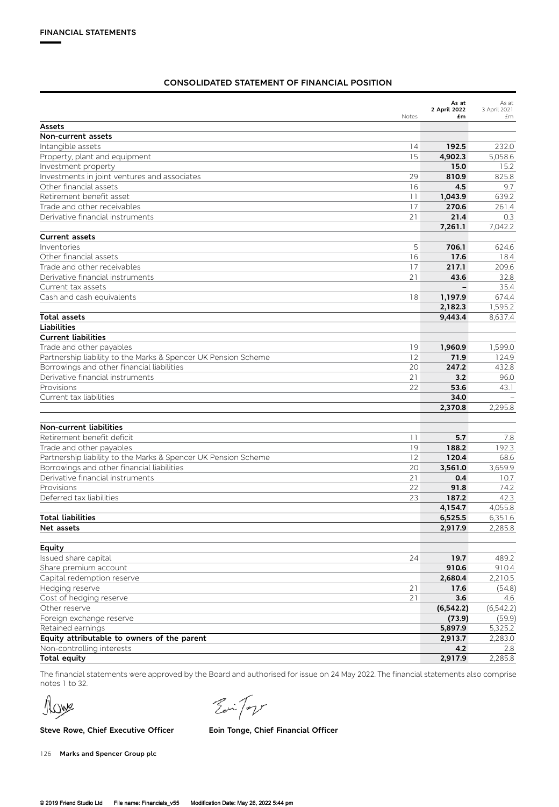# **CONSOLIDATED STATEMENT OF FINANCIAL POSITION**

|                                                                                | Notes    | As at<br>2 April 2022<br>£m | As at<br>3 April 2021<br>£m |
|--------------------------------------------------------------------------------|----------|-----------------------------|-----------------------------|
| Assets                                                                         |          |                             |                             |
| Non-current assets                                                             |          |                             |                             |
| Intangible assets                                                              | 14       | 192.5                       | 232.0                       |
| Property, plant and equipment                                                  | 15       | 4,902.3                     | 5,058.6                     |
| Investment property                                                            |          | 15.0                        | 15.2                        |
| Investments in joint ventures and associates                                   | 29       | 810.9                       | 825.8                       |
| Other financial assets                                                         | 16       | 4.5                         | 9.7                         |
| Retirement benefit asset                                                       | 11       | 1,043.9                     | 639.2                       |
| Trade and other receivables                                                    | 17       | 270.6                       | 261.4                       |
| Derivative financial instruments                                               | 21       | 21.4                        | 0.3                         |
|                                                                                |          | 7,261.1                     | 7,042.2                     |
| <b>Current assets</b>                                                          |          |                             |                             |
| Inventories                                                                    | 5        | 706.1                       | 624.6                       |
| Other financial assets                                                         | 16       | 17.6                        | 18.4                        |
| Trade and other receivables                                                    | 17       | 217.1                       | 209.6                       |
| Derivative financial instruments                                               | 21       | 43.6                        | 32.8                        |
| Current tax assets                                                             |          |                             | 35.4                        |
| Cash and cash equivalents                                                      | 18       | 1,197.9                     | 674.4                       |
|                                                                                |          | 2,182.3                     | 1,595.2                     |
| <b>Total assets</b>                                                            |          | 9,443.4                     | 8,637.4                     |
| <b>Liabilities</b>                                                             |          |                             |                             |
| <b>Current liabilities</b>                                                     |          |                             |                             |
| Trade and other payables                                                       | 19       | 1,960.9                     | 1,599.0                     |
| Partnership liability to the Marks & Spencer UK Pension Scheme                 | 12       | 71.9                        | 124.9                       |
| Borrowings and other financial liabilities                                     | 20       | 247.2                       | 432.8                       |
| Derivative financial instruments                                               | 21       | 3.2                         | 96.0                        |
| Provisions                                                                     | 22       | 53.6                        | 43.1                        |
| Current tax liabilities                                                        |          | 34.0                        |                             |
|                                                                                |          | 2,370.8                     | 2,295.8                     |
|                                                                                |          |                             |                             |
| <b>Non-current liabilities</b>                                                 |          |                             |                             |
| Retirement benefit deficit                                                     | 11       | 5.7                         | 7.8                         |
| Trade and other payables                                                       | 19       | 188.2<br>120.4              | 192.3                       |
| Partnership liability to the Marks & Spencer UK Pension Scheme                 | 12       |                             | 68.6                        |
| Borrowings and other financial liabilities<br>Derivative financial instruments | 20<br>21 | 3,561.0                     | 3,659.9                     |
|                                                                                |          | 0.4                         | 10.7                        |
| Provisions                                                                     | 22       | 91.8<br>187.2               | 74.2                        |
| Deferred tax liabilities                                                       | 23       |                             | 42.3                        |
| <b>Total liabilities</b>                                                       |          | 4,154.7                     | 4,055.8                     |
|                                                                                |          | 6,525.5                     | 6,351.6                     |
| Net assets                                                                     |          | 2,917.9                     | 2,285.8                     |
| Equity                                                                         |          |                             |                             |
| Issued share capital                                                           | 24       | 19.7                        | 489.2                       |
| Share premium account                                                          |          | 910.6                       | 910.4                       |
| Capital redemption reserve                                                     |          | 2,680.4                     | 2,210.5                     |
| Hedging reserve                                                                | 21       | 17.6                        |                             |
| Cost of hedging reserve                                                        | 21       | 3.6                         | (54.8)<br>4.6               |
| Other reserve                                                                  |          | (6, 542.2)                  | (6, 542.2)                  |
| Foreign exchange reserve                                                       |          | (73.9)                      | (59.9)                      |
| Retained earnings                                                              |          | 5,897.9                     | 5,325.2                     |
| Equity attributable to owners of the parent                                    |          | 2,913.7                     | 2,283.0                     |
| Non-controlling interests                                                      |          | 4.2                         | 2.8                         |
| <b>Total equity</b>                                                            |          | 2,917.9                     | 2,285.8                     |
|                                                                                |          |                             |                             |

The financial statements were approved by the Board and authorised for issue on 24 May 2022. The financial statements also comprise notes 1 to 32.

Nove

Evi Top

Steve Rowe, Chief Executive Officer **Eoin Tonge, Chief Financial Officer**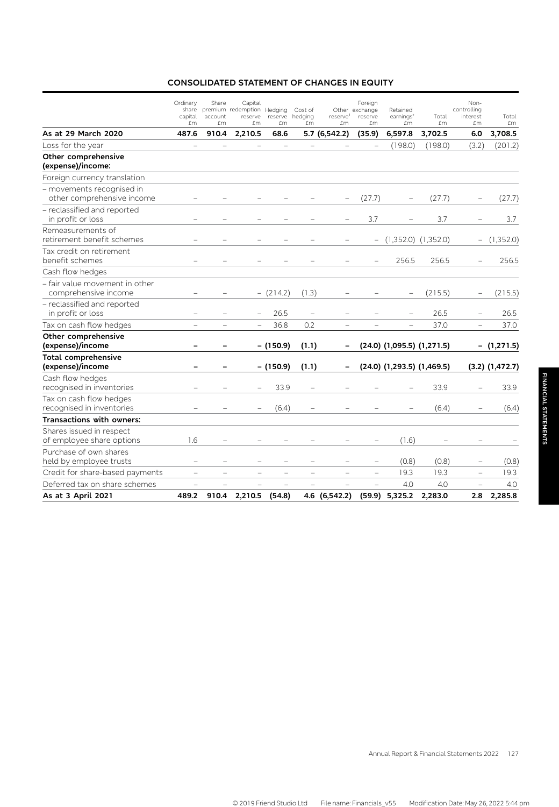# **CONSOLIDATED STATEMENT OF CHANGES IN EQUITY**

|                                                         | Ordinary<br>capital<br>£m | Share<br>account<br>£m   | Capital<br>share premium redemption Hedging<br>reserve<br>£m | £m             | Cost of<br>reserve hedging<br>£m | reserve <sup>1</sup><br>£m | Foreign<br>Other exchange<br>reserve<br>£m | Retained<br>earnings $2$<br>£m   | Total<br>£m | Non-<br>controlling<br>interest<br>£m | Total<br>£m         |
|---------------------------------------------------------|---------------------------|--------------------------|--------------------------------------------------------------|----------------|----------------------------------|----------------------------|--------------------------------------------|----------------------------------|-------------|---------------------------------------|---------------------|
| As at 29 March 2020                                     | 487.6                     | 910.4                    | 2,210.5                                                      | 68.6           |                                  | 5.7 (6,542.2)              | (35.9)                                     | 6,597.8                          | 3,702.5     | 6.0                                   | 3,708.5             |
| Loss for the year                                       |                           |                          |                                                              |                |                                  |                            |                                            | (198.0)                          | (198.0)     | (3.2)                                 | (201.2)             |
| Other comprehensive<br>(expense)/income:                |                           |                          |                                                              |                |                                  |                            |                                            |                                  |             |                                       |                     |
| Foreign currency translation                            |                           |                          |                                                              |                |                                  |                            |                                            |                                  |             |                                       |                     |
| - movements recognised in<br>other comprehensive income |                           |                          |                                                              |                |                                  |                            | (27.7)                                     |                                  | (27.7)      |                                       | (27.7)              |
| - reclassified and reported<br>in profit or loss        |                           |                          |                                                              |                |                                  |                            | 3.7                                        |                                  | 3.7         |                                       | 3.7                 |
| Remeasurements of<br>retirement benefit schemes         |                           |                          |                                                              |                |                                  |                            |                                            | $(1,352.0)$ $(1,352.0)$          |             |                                       | (1,352.0)           |
| Tax credit on retirement<br>benefit schemes             |                           |                          |                                                              |                |                                  |                            | $\overline{a}$                             | 256.5                            | 256.5       | $\overline{a}$                        | 256.5               |
| Cash flow hedges                                        |                           |                          |                                                              |                |                                  |                            |                                            |                                  |             |                                       |                     |
| - fair value movement in other<br>comprehensive income  |                           |                          |                                                              | $-$ (214.2)    | (1.3)                            |                            |                                            |                                  | (215.5)     |                                       | (215.5)             |
| - reclassified and reported<br>in profit or loss        | $\overline{\phantom{0}}$  | $\overline{\phantom{0}}$ |                                                              | 26.5           | $\qquad \qquad -$                | $\overline{\phantom{0}}$   |                                            | $\qquad \qquad -$                | 26.5        | $\overline{\phantom{0}}$              | 26.5                |
| Tax on cash flow hedges                                 | $\overline{\phantom{0}}$  | $\overline{\phantom{0}}$ | $\overline{\phantom{0}}$                                     | 36.8           | 0.2                              | $\overline{\phantom{0}}$   |                                            | $\qquad \qquad -$                | 37.0        | $\overline{\phantom{0}}$              | 37.0                |
| Other comprehensive<br>(expense)/income                 | -                         | $\qquad \qquad$          |                                                              | $-$ (150.9)    | (1.1)                            |                            |                                            | $(24.0)$ $(1,095.5)$ $(1,271.5)$ |             |                                       | $-$ (1,271.5)       |
| <b>Total comprehensive</b><br>(expense)/income          | ۳                         |                          |                                                              | $-$ (150.9)    | (1.1)                            |                            |                                            | $(24.0)$ $(1,293.5)$ $(1,469.5)$ |             |                                       | $(3.2)$ $(1,472.7)$ |
| Cash flow hedges<br>recognised in inventories           | $\overline{\phantom{0}}$  |                          | $\overline{\phantom{0}}$                                     | 33.9           |                                  |                            |                                            |                                  | 33.9        | $\overline{\phantom{0}}$              | 33.9                |
| Tax on cash flow hedges<br>recognised in inventories    |                           |                          |                                                              | (6.4)          |                                  |                            |                                            |                                  | (6.4)       |                                       | (6.4)               |
| Transactions with owners:                               |                           |                          |                                                              |                |                                  |                            |                                            |                                  |             |                                       |                     |
| Shares issued in respect<br>of employee share options   | 1.6                       |                          |                                                              |                | $\overline{\phantom{0}}$         |                            | -                                          | (1.6)                            |             |                                       |                     |
| Purchase of own shares<br>held by employee trusts       | $\overline{\phantom{0}}$  |                          |                                                              |                | $\overline{\phantom{0}}$         |                            | $\qquad \qquad -$                          | (0.8)                            | (0.8)       | $\overline{\phantom{0}}$              | (0.8)               |
| Credit for share-based payments                         | $\overline{a}$            | $\overline{a}$           | $\overline{a}$                                               | $\overline{a}$ | $\overline{a}$                   | $\overline{a}$             | $\overline{\phantom{0}}$                   | 19.3                             | 19.3        | $\overline{a}$                        | 19.3                |
| Deferred tax on share schemes                           |                           |                          |                                                              |                |                                  |                            | $\overline{\phantom{0}}$                   | 4.0                              | 4.0         | $\overline{a}$                        | 4.0                 |
| As at 3 April 2021                                      | 489.2                     | 910.4                    | 2,210.5                                                      | (54.8)         |                                  | 4.6 (6,542.2)              | (59.9)                                     | 5,325.2                          | 2,283.0     | 2.8                                   | 2,285.8             |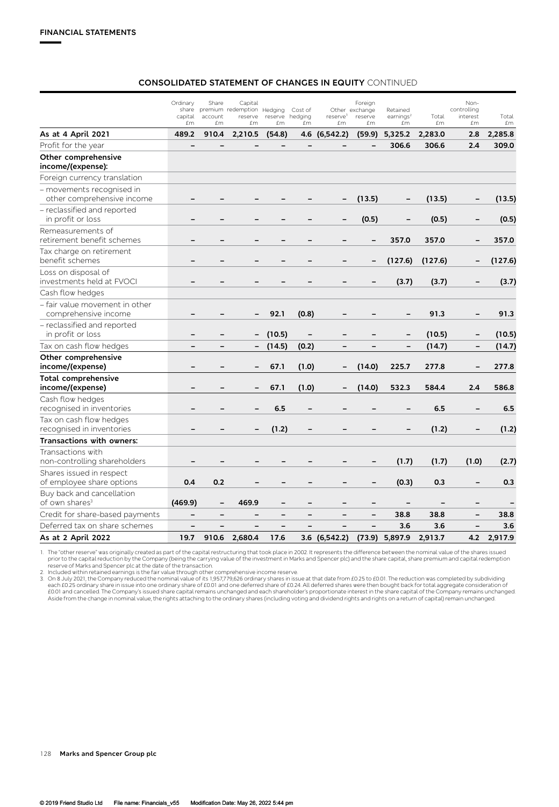# **CONSOLIDATED STATEMENT OF CHANGES IN EQUITY** CONTINUED

|                                                         | Ordinary<br>share<br>capital<br>£m | Share<br>account<br>£m | Capital<br>premium redemption Hedging<br>reserve<br>£m | reserve<br>£m            | Cost of<br>hedging<br>£m | reserve <sup>1</sup><br>£m | Foreign<br>Other exchange<br>reserve<br>£m | Retained<br>earnings <sup>2</sup><br>£m | Total<br>£m | Non-<br>controlling<br>interest<br>£m | Total<br>£m |
|---------------------------------------------------------|------------------------------------|------------------------|--------------------------------------------------------|--------------------------|--------------------------|----------------------------|--------------------------------------------|-----------------------------------------|-------------|---------------------------------------|-------------|
| As at 4 April 2021                                      | 489.2                              | 910.4                  | 2,210.5                                                | (54.8)                   | 4.6                      | (6, 542.2)                 | (59.9)                                     | 5,325.2                                 | 2,283.0     | 2.8                                   | 2,285.8     |
| Profit for the year                                     |                                    |                        |                                                        |                          |                          |                            | $\overline{\phantom{0}}$                   | 306.6                                   | 306.6       | 2.4                                   | 309.0       |
| Other comprehensive<br>income/(expense):                |                                    |                        |                                                        |                          |                          |                            |                                            |                                         |             |                                       |             |
| Foreign currency translation                            |                                    |                        |                                                        |                          |                          |                            |                                            |                                         |             |                                       |             |
| - movements recognised in<br>other comprehensive income |                                    |                        |                                                        |                          |                          |                            | (13.5)                                     |                                         | (13.5)      | $\qquad \qquad -$                     | (13.5)      |
| - reclassified and reported<br>in profit or loss        |                                    |                        |                                                        |                          |                          |                            | (0.5)                                      |                                         | (0.5)       |                                       | (0.5)       |
| Remeasurements of<br>retirement benefit schemes         |                                    |                        |                                                        |                          |                          |                            | $\qquad \qquad -$                          | 357.0                                   | 357.0       | $\qquad \qquad -$                     | 357.0       |
| Tax charge on retirement<br>benefit schemes             |                                    |                        |                                                        |                          |                          |                            | -                                          | (127.6)                                 | (127.6)     |                                       | (127.6)     |
| Loss on disposal of<br>investments held at FVOCI        |                                    |                        |                                                        |                          |                          |                            |                                            | (3.7)                                   | (3.7)       |                                       | (3.7)       |
| Cash flow hedges                                        |                                    |                        |                                                        |                          |                          |                            |                                            |                                         |             |                                       |             |
| - fair value movement in other<br>comprehensive income  |                                    |                        |                                                        | 92.1                     | (0.8)                    |                            |                                            |                                         | 91.3        |                                       | 91.3        |
| - reclassified and reported<br>in profit or loss        |                                    |                        |                                                        | (10.5)                   |                          |                            |                                            |                                         | (10.5)      |                                       | (10.5)      |
| Tax on cash flow hedges                                 |                                    |                        |                                                        | (14.5)                   | (0.2)                    |                            |                                            |                                         | (14.7)      | $\overline{a}$                        | (14.7)      |
| Other comprehensive<br>income/(expense)                 |                                    |                        |                                                        | 67.1                     | (1.0)                    |                            | (14.0)                                     | 225.7                                   | 277.8       | $\qquad \qquad -$                     | 277.8       |
| <b>Total comprehensive</b><br>income/(expense)          |                                    |                        |                                                        | 67.1                     | (1.0)                    |                            | (14.0)                                     | 532.3                                   | 584.4       | 2.4                                   | 586.8       |
| Cash flow hedges<br>recognised in inventories           |                                    |                        | $\overline{\phantom{0}}$                               | 6.5                      |                          |                            |                                            |                                         | 6.5         | $\overline{\phantom{0}}$              | 6.5         |
| Tax on cash flow hedges<br>recognised in inventories    |                                    |                        |                                                        | (1.2)                    |                          |                            |                                            |                                         | (1.2)       |                                       | (1.2)       |
| <b>Transactions with owners:</b>                        |                                    |                        |                                                        |                          |                          |                            |                                            |                                         |             |                                       |             |
| Transactions with<br>non-controlling shareholders       |                                    |                        |                                                        |                          |                          |                            | -                                          | (1.7)                                   | (1.7)       | (1.0)                                 | (2.7)       |
| Shares issued in respect<br>of employee share options   | 0.4                                | 0.2                    |                                                        |                          |                          |                            |                                            | (0.3)                                   | 0.3         |                                       | 0.3         |
| Buy back and cancellation<br>of own shares <sup>3</sup> | (469.9)                            | -                      | 469.9                                                  |                          |                          |                            |                                            |                                         |             |                                       |             |
| Credit for share-based payments                         | $\qquad \qquad -$                  |                        |                                                        | $\overline{\phantom{0}}$ |                          |                            | $\overline{\phantom{0}}$                   | 38.8                                    | 38.8        | $\overline{\phantom{0}}$              | 38.8        |
| Deferred tax on share schemes                           |                                    |                        |                                                        |                          |                          |                            |                                            | 3.6                                     | 3.6         |                                       | 3.6         |
| As at 2 April 2022                                      | 19.7                               | 910.6                  | 2.680.4                                                | 17.6                     |                          | 3.6 (6,542.2)              | (73.9)                                     | 5,897.9                                 | 2.913.7     | 4.2                                   | 2,917.9     |

1. The "other reserve" was originally created as part of the capital restructuring that took place in 2002. It represents the difference between the nominal value of the shares issued prior to the capital reduction by the Company (being the carrying value of the investment in Marks and Spencer plc) and the share capital, share premium and capital redemption<br>reserve of Marks and Spencer plc at the date o

3. On 8 July 2021, the Company reduced the nominal value of its 1,957,779,626 ordinary shares in issue at that date from £0.25 to £0.01. The reduction was completed by subdividing<br>each £0.25 ordinary share in issue into on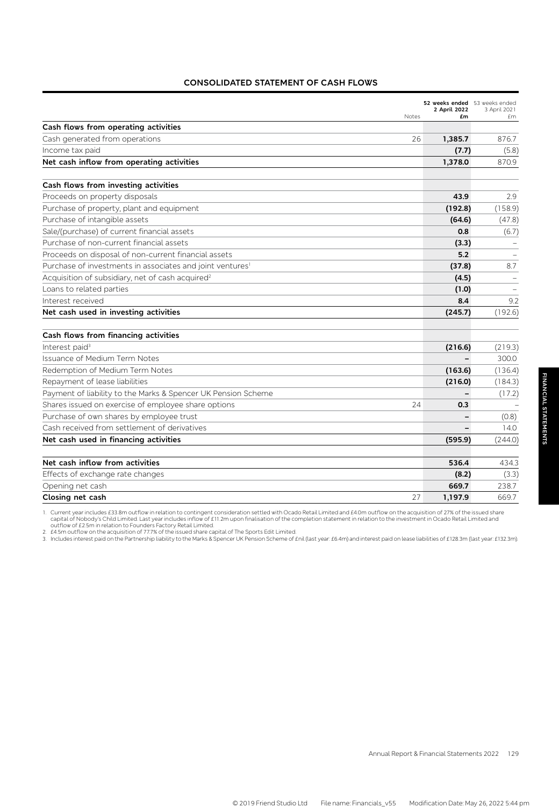# **CONSOLIDATED STATEMENT OF CASH FLOWS**

|                                                                       | 2 April 2022 | 52 weeks ended 53 weeks ended<br>3 April 2021 |
|-----------------------------------------------------------------------|--------------|-----------------------------------------------|
| Notes                                                                 | £m           | £m                                            |
| Cash flows from operating activities                                  |              |                                               |
| Cash generated from operations<br>26                                  | 1,385.7      | 876.7                                         |
| Income tax paid                                                       | (7.7)        | (5.8)                                         |
| Net cash inflow from operating activities                             | 1,378.0      | 870.9                                         |
| Cash flows from investing activities                                  |              |                                               |
| Proceeds on property disposals                                        | 43.9         | 2.9                                           |
| Purchase of property, plant and equipment                             | (192.8)      | (158.9)                                       |
| Purchase of intangible assets                                         | (64.6)       | (47.8)                                        |
| Sale/(purchase) of current financial assets                           | 0.8          | (6.7)                                         |
| Purchase of non-current financial assets                              | (3.3)        |                                               |
| Proceeds on disposal of non-current financial assets                  | 5.2          |                                               |
| Purchase of investments in associates and joint ventures <sup>1</sup> | (37.8)       | 8.7                                           |
| Acquisition of subsidiary, net of cash acquired <sup>2</sup>          | (4.5)        |                                               |
| Loans to related parties                                              | (1.0)        |                                               |
| Interest received                                                     | 8.4          | 9.2                                           |
| Net cash used in investing activities                                 | (245.7)      | (192.6)                                       |
| Cash flows from financing activities                                  |              |                                               |
| Interest paid <sup>3</sup>                                            | (216.6)      | (219.3)                                       |
| Issuance of Medium Term Notes                                         |              | 300.0                                         |
| Redemption of Medium Term Notes                                       | (163.6)      | (136.4)                                       |
| Repayment of lease liabilities                                        | (216.0)      | (184.3)                                       |
| Payment of liability to the Marks & Spencer UK Pension Scheme         |              | (17.2)                                        |
| Shares issued on exercise of employee share options<br>24             | 0.3          |                                               |
| Purchase of own shares by employee trust                              |              | (0.8)                                         |
| Cash received from settlement of derivatives                          |              | 14.0                                          |
| Net cash used in financing activities                                 | (595.9)      | (244.0)                                       |

| Net cash inflow from activities  | 536.4   | 434.3 |
|----------------------------------|---------|-------|
| Effects of exchange rate changes | (8.2)   | (3.3) |
| Opening net cash                 | 669.7   | 238.7 |
| Closing net cash<br>27           | 1.197.9 | 669.7 |

1. Current year includes £33.8m outflow in relation to contingent consideration settled with Ocado Retail Limited and £4.0m outflow on the acquisition of 27% of the issued share<br>outflow of £2.5m in relation to Foundars Fac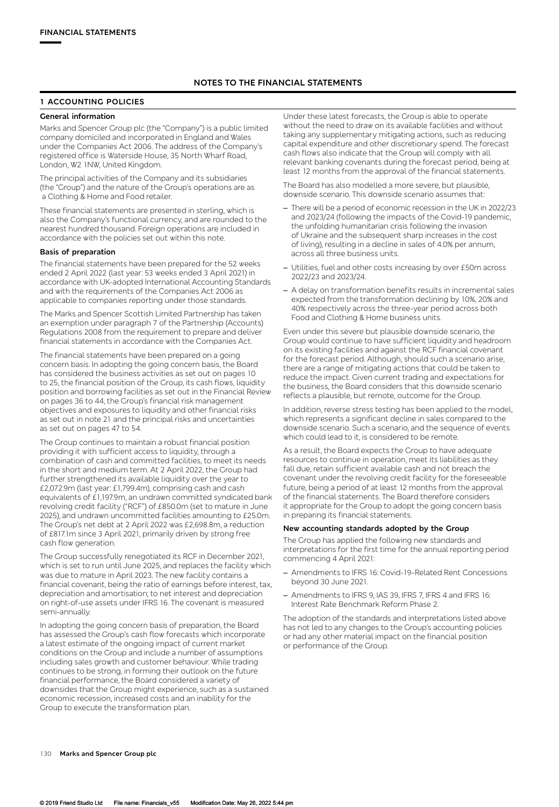# **1 ACCOUNTING POLICIES**

#### **General information**

Marks and Spencer Group plc (the "Company") is a public limited company domiciled and incorporated in England and Wales under the Companies Act 2006. The address of the Company's registered office is Waterside House, 35 North Wharf Road, London, W2 1NW, United Kingdom.

The principal activities of the Company and its subsidiaries (the "Group") and the nature of the Group's operations are as a Clothing & Home and Food retailer.

These financial statements are presented in sterling, which is also the Company's functional currency, and are rounded to the nearest hundred thousand. Foreign operations are included in accordance with the policies set out within this note.

#### **Basis of preparation**

The financial statements have been prepared for the 52 weeks ended 2 April 2022 (last year: 53 weeks ended 3 April 2021) in accordance with UK-adopted International Accounting Standards and with the requirements of the Companies Act 2006 as applicable to companies reporting under those standards.

The Marks and Spencer Scottish Limited Partnership has taken an exemption under paragraph 7 of the Partnership (Accounts) Regulations 2008 from the requirement to prepare and deliver financial statements in accordance with the Companies Act.

The financial statements have been prepared on a going concern basis. In adopting the going concern basis, the Board has considered the business activities as set out on pages 10 to 25, the financial position of the Group, its cash flows, liquidity position and borrowing facilities as set out in the Financial Review on pages 36 to 44, the Group's financial risk management objectives and exposures to liquidity and other financial risks as set out in note 21 and the principal risks and uncertainties as set out on pages 47 to 54.

The Group continues to maintain a robust financial position providing it with sufficient access to liquidity, through a combination of cash and committed facilities, to meet its needs in the short and medium term. At 2 April 2022, the Group had further strengthened its available liquidity over the year to £2,072.9m (last year: £1,799.4m), comprising cash and cash equivalents of £1,197.9m, an undrawn committed syndicated bank revolving credit facility ("RCF") of £850.0m (set to mature in June 2025), and undrawn uncommitted facilities amounting to £25.0m. The Group's net debt at 2 April 2022 was £2,698.8m, a reduction of £817.1m since 3 April 2021, primarily driven by strong free cash flow generation.

The Group successfully renegotiated its RCF in December 2021, which is set to run until June 2025, and replaces the facility which was due to mature in April 2023. The new facility contains a financial covenant, being the ratio of earnings before interest, tax, depreciation and amortisation; to net interest and depreciation on right-of-use assets under IFRS 16. The covenant is measured semi-annually.

In adopting the going concern basis of preparation, the Board has assessed the Group's cash flow forecasts which incorporate a latest estimate of the ongoing impact of current market conditions on the Group and include a number of assumptions including sales growth and customer behaviour. While trading continues to be strong, in forming their outlook on the future financial performance, the Board considered a variety of downsides that the Group might experience, such as a sustained economic recession, increased costs and an inability for the Group to execute the transformation plan.

Under these latest forecasts, the Group is able to operate without the need to draw on its available facilities and without taking any supplementary mitigating actions, such as reducing capital expenditure and other discretionary spend. The forecast cash flows also indicate that the Group will comply with all relevant banking covenants during the forecast period, being at least 12 months from the approval of the financial statements.

The Board has also modelled a more severe, but plausible, downside scenario. This downside scenario assumes that:

- There will be a period of economic recession in the UK in 2022/23 and 2023/24 (following the impacts of the Covid-19 pandemic, the unfolding humanitarian crisis following the invasion of Ukraine and the subsequent sharp increases in the cost of living), resulting in a decline in sales of 4.0% per annum, across all three business units.
- Utilities, fuel and other costs increasing by over £50m across 2022/23 and 2023/24.
- A delay on transformation benefits results in incremental sales expected from the transformation declining by 10%, 20% and 40% respectively across the three-year period across both Food and Clothing & Home business units.

Even under this severe but plausible downside scenario, the Group would continue to have sufficient liquidity and headroom on its existing facilities and against the RCF financial covenant for the forecast period. Although, should such a scenario arise, there are a range of mitigating actions that could be taken to reduce the impact. Given current trading and expectations for the business, the Board considers that this downside scenario reflects a plausible, but remote, outcome for the Group.

In addition, reverse stress testing has been applied to the model, which represents a significant decline in sales compared to the downside scenario. Such a scenario, and the sequence of events which could lead to it, is considered to be remote.

As a result, the Board expects the Group to have adequate resources to continue in operation, meet its liabilities as they fall due, retain sufficient available cash and not breach the covenant under the revolving credit facility for the foreseeable future, being a period of at least 12 months from the approval of the financial statements. The Board therefore considers it appropriate for the Group to adopt the going concern basis in preparing its financial statements.

#### **New accounting standards adopted by the Group**

The Group has applied the following new standards and interpretations for the first time for the annual reporting period commencing 4 April 2021:

- Amendments to IFRS 16: Covid-19-Related Rent Concessions beyond 30 June 2021.
- Amendments to IFRS 9, IAS 39, IFRS 7, IFRS 4 and IFRS 16: Interest Rate Benchmark Reform Phase 2.

The adoption of the standards and interpretations listed above has not led to any changes to the Group's accounting policies or had any other material impact on the financial position or performance of the Group.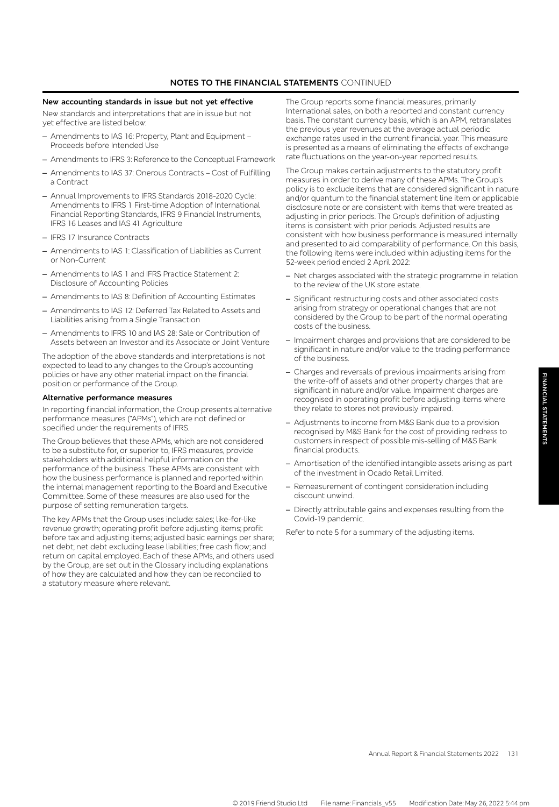# **New accounting standards in issue but not yet effective**

New standards and interpretations that are in issue but not yet effective are listed below:

- Amendments to IAS 16: Property, Plant and Equipment Proceeds before Intended Use
- Amendments to IFRS 3: Reference to the Conceptual Framework
- Amendments to IAS 37: Onerous Contracts Cost of Fulfilling a Contract
- Annual Improvements to IFRS Standards 2018-2020 Cycle: Amendments to IFRS 1 First-time Adoption of International Financial Reporting Standards, IFRS 9 Financial Instruments, IFRS 16 Leases and IAS 41 Agriculture
- IFRS 17 Insurance Contracts
- Amendments to IAS 1: Classification of Liabilities as Current or Non-Current
- Amendments to IAS 1 and IFRS Practice Statement 2: Disclosure of Accounting Policies
- Amendments to IAS 8: Definition of Accounting Estimates
- Amendments to IAS 12: Deferred Tax Related to Assets and Liabilities arising from a Single Transaction
- Amendments to IFRS 10 and IAS 28: Sale or Contribution of Assets between an Investor and its Associate or Joint Venture

The adoption of the above standards and interpretations is not expected to lead to any changes to the Group's accounting policies or have any other material impact on the financial position or performance of the Group.

### **Alternative performance measures**

In reporting financial information, the Group presents alternative performance measures ("APMs"), which are not defined or specified under the requirements of IFRS.

The Group believes that these APMs, which are not considered to be a substitute for, or superior to, IFRS measures, provide stakeholders with additional helpful information on the performance of the business. These APMs are consistent with how the business performance is planned and reported within the internal management reporting to the Board and Executive Committee. Some of these measures are also used for the purpose of setting remuneration targets.

The key APMs that the Group uses include: sales; like-for-like revenue growth; operating profit before adjusting items; profit before tax and adjusting items; adjusted basic earnings per share; net debt; net debt excluding lease liabilities; free cash flow; and return on capital employed. Each of these APMs, and others used by the Group, are set out in the Glossary including explanations of how they are calculated and how they can be reconciled to a statutory measure where relevant.

The Group reports some financial measures, primarily International sales, on both a reported and constant currency basis. The constant currency basis, which is an APM, retranslates the previous year revenues at the average actual periodic exchange rates used in the current financial year. This measure is presented as a means of eliminating the effects of exchange rate fluctuations on the year-on-year reported results.

The Group makes certain adjustments to the statutory profit measures in order to derive many of these APMs. The Group's policy is to exclude items that are considered significant in nature and/or quantum to the financial statement line item or applicable disclosure note or are consistent with items that were treated as adjusting in prior periods. The Group's definition of adjusting items is consistent with prior periods. Adjusted results are consistent with how business performance is measured internally and presented to aid comparability of performance. On this basis, the following items were included within adjusting items for the 52-week period ended 2 April 2022:

- Net charges associated with the strategic programme in relation to the review of the UK store estate.
- Significant restructuring costs and other associated costs arising from strategy or operational changes that are not considered by the Group to be part of the normal operating costs of the business.
- Impairment charges and provisions that are considered to be significant in nature and/or value to the trading performance of the business.
- Charges and reversals of previous impairments arising from the write-off of assets and other property charges that are significant in nature and/or value. Impairment charges are recognised in operating profit before adjusting items where they relate to stores not previously impaired.
- Adjustments to income from M&S Bank due to a provision recognised by M&S Bank for the cost of providing redress to customers in respect of possible mis-selling of M&S Bank financial products.
- Amortisation of the identified intangible assets arising as part of the investment in Ocado Retail Limited.
- Remeasurement of contingent consideration including discount unwind.
- Directly attributable gains and expenses resulting from the Covid-19 pandemic.

Refer to note 5 for a summary of the adjusting items.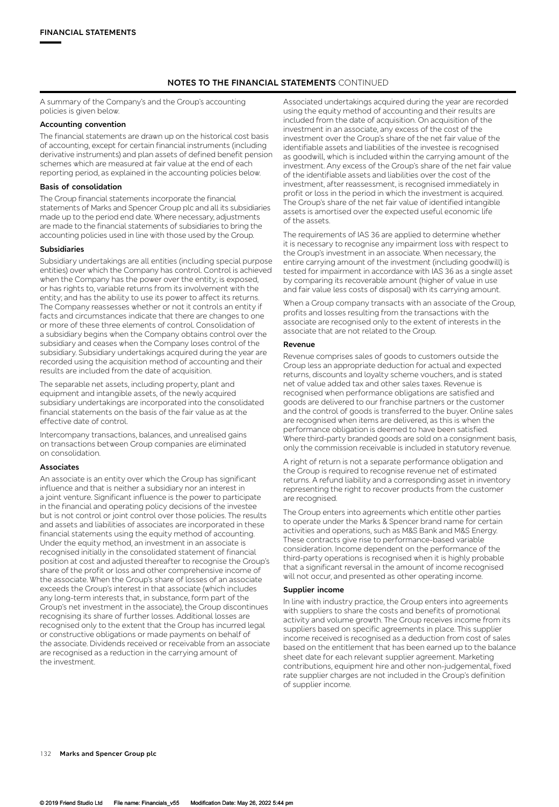A summary of the Company's and the Group's accounting policies is given below.

#### **Accounting convention**

The financial statements are drawn up on the historical cost basis of accounting, except for certain financial instruments (including derivative instruments) and plan assets of defined benefit pension schemes which are measured at fair value at the end of each reporting period, as explained in the accounting policies below.

### **Basis of consolidation**

The Group financial statements incorporate the financial statements of Marks and Spencer Group plc and all its subsidiaries made up to the period end date. Where necessary, adjustments are made to the financial statements of subsidiaries to bring the accounting policies used in line with those used by the Group.

#### **Subsidiaries**

Subsidiary undertakings are all entities (including special purpose entities) over which the Company has control. Control is achieved when the Company has the power over the entity; is exposed, or has rights to, variable returns from its involvement with the entity; and has the ability to use its power to affect its returns. The Company reassesses whether or not it controls an entity if facts and circumstances indicate that there are changes to one or more of these three elements of control. Consolidation of a subsidiary begins when the Company obtains control over the subsidiary and ceases when the Company loses control of the subsidiary. Subsidiary undertakings acquired during the year are recorded using the acquisition method of accounting and their results are included from the date of acquisition.

The separable net assets, including property, plant and equipment and intangible assets, of the newly acquired subsidiary undertakings are incorporated into the consolidated financial statements on the basis of the fair value as at the effective date of control.

Intercompany transactions, balances, and unrealised gains on transactions between Group companies are eliminated on consolidation.

#### **Associates**

An associate is an entity over which the Group has significant influence and that is neither a subsidiary nor an interest in a joint venture. Significant influence is the power to participate in the financial and operating policy decisions of the investee but is not control or joint control over those policies. The results and assets and liabilities of associates are incorporated in these financial statements using the equity method of accounting. Under the equity method, an investment in an associate is recognised initially in the consolidated statement of financial position at cost and adjusted thereafter to recognise the Group's share of the profit or loss and other comprehensive income of the associate. When the Group's share of losses of an associate exceeds the Group's interest in that associate (which includes any long-term interests that, in substance, form part of the Group's net investment in the associate), the Group discontinues recognising its share of further losses. Additional losses are recognised only to the extent that the Group has incurred legal or constructive obligations or made payments on behalf of the associate. Dividends received or receivable from an associate are recognised as a reduction in the carrying amount of the investment.

Associated undertakings acquired during the year are recorded using the equity method of accounting and their results are included from the date of acquisition. On acquisition of the investment in an associate, any excess of the cost of the investment over the Group's share of the net fair value of the identifiable assets and liabilities of the investee is recognised as goodwill, which is included within the carrying amount of the investment. Any excess of the Group's share of the net fair value of the identifiable assets and liabilities over the cost of the investment, after reassessment, is recognised immediately in profit or loss in the period in which the investment is acquired. The Group's share of the net fair value of identified intangible assets is amortised over the expected useful economic life of the assets.

The requirements of IAS 36 are applied to determine whether it is necessary to recognise any impairment loss with respect to the Group's investment in an associate. When necessary, the entire carrying amount of the investment (including goodwill) is tested for impairment in accordance with IAS 36 as a single asset by comparing its recoverable amount (higher of value in use and fair value less costs of disposal) with its carrying amount.

When a Group company transacts with an associate of the Group, profits and losses resulting from the transactions with the associate are recognised only to the extent of interests in the associate that are not related to the Group.

#### **Revenue**

Revenue comprises sales of goods to customers outside the Group less an appropriate deduction for actual and expected returns, discounts and loyalty scheme vouchers, and is stated net of value added tax and other sales taxes. Revenue is recognised when performance obligations are satisfied and goods are delivered to our franchise partners or the customer and the control of goods is transferred to the buyer. Online sales are recognised when items are delivered, as this is when the performance obligation is deemed to have been satisfied. Where third-party branded goods are sold on a consignment basis, only the commission receivable is included in statutory revenue.

A right of return is not a separate performance obligation and the Group is required to recognise revenue net of estimated returns. A refund liability and a corresponding asset in inventory representing the right to recover products from the customer are recognised.

The Group enters into agreements which entitle other parties to operate under the Marks & Spencer brand name for certain activities and operations, such as M&S Bank and M&S Energy. These contracts give rise to performance-based variable consideration. Income dependent on the performance of the third-party operations is recognised when it is highly probable that a significant reversal in the amount of income recognised will not occur, and presented as other operating income.

#### **Supplier income**

In line with industry practice, the Group enters into agreements with suppliers to share the costs and benefits of promotional activity and volume growth. The Group receives income from its suppliers based on specific agreements in place. This supplier income received is recognised as a deduction from cost of sales based on the entitlement that has been earned up to the balance sheet date for each relevant supplier agreement. Marketing contributions, equipment hire and other non-judgemental, fixed rate supplier charges are not included in the Group's definition of supplier income.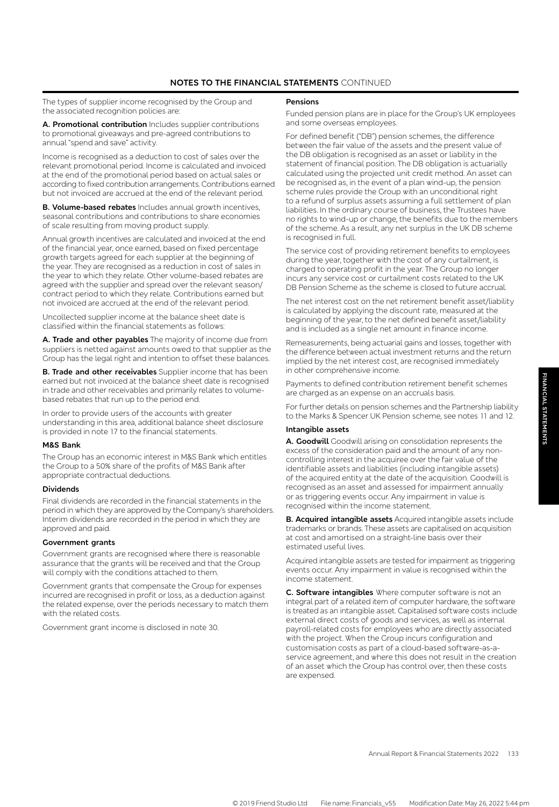The types of supplier income recognised by the Group and the associated recognition policies are:

**A. Promotional contribution** Includes supplier contributions to promotional giveaways and pre-agreed contributions to annual "spend and save" activity.

Income is recognised as a deduction to cost of sales over the relevant promotional period. Income is calculated and invoiced at the end of the promotional period based on actual sales or according to fixed contribution arrangements. Contributions earned but not invoiced are accrued at the end of the relevant period.

**B. Volume-based rebates** Includes annual growth incentives, seasonal contributions and contributions to share economies of scale resulting from moving product supply.

Annual growth incentives are calculated and invoiced at the end of the financial year, once earned, based on fixed percentage growth targets agreed for each supplier at the beginning of the year. They are recognised as a reduction in cost of sales in the year to which they relate. Other volume-based rebates are agreed with the supplier and spread over the relevant season/ contract period to which they relate. Contributions earned but not invoiced are accrued at the end of the relevant period.

Uncollected supplier income at the balance sheet date is classified within the financial statements as follows:

**A. Trade and other payables** The majority of income due from suppliers is netted against amounts owed to that supplier as the Group has the legal right and intention to offset these balances.

**B. Trade and other receivables** Supplier income that has been earned but not invoiced at the balance sheet date is recognised in trade and other receivables and primarily relates to volumebased rebates that run up to the period end.

In order to provide users of the accounts with greater understanding in this area, additional balance sheet disclosure is provided in note 17 to the financial statements.

#### **M&S Bank**

The Group has an economic interest in M&S Bank which entitles the Group to a 50% share of the profits of M&S Bank after appropriate contractual deductions.

### **Dividends**

Final dividends are recorded in the financial statements in the period in which they are approved by the Company's shareholders. Interim dividends are recorded in the period in which they are approved and paid.

#### **Government grants**

Government grants are recognised where there is reasonable assurance that the grants will be received and that the Group will comply with the conditions attached to them.

Government grants that compensate the Group for expenses incurred are recognised in profit or loss, as a deduction against the related expense, over the periods necessary to match them with the related costs.

Government grant income is disclosed in note 30.

### **Pensions**

Funded pension plans are in place for the Group's UK employees and some overseas employees.

For defined benefit ("DB") pension schemes, the difference between the fair value of the assets and the present value of the DB obligation is recognised as an asset or liability in the statement of financial position. The DB obligation is actuarially calculated using the projected unit credit method. An asset can be recognised as, in the event of a plan wind-up, the pension scheme rules provide the Group with an unconditional right to a refund of surplus assets assuming a full settlement of plan liabilities. In the ordinary course of business, the Trustees have no rights to wind-up or change, the benefits due to the members of the scheme. As a result, any net surplus in the UK DB scheme is recognised in full.

The service cost of providing retirement benefits to employees during the year, together with the cost of any curtailment, is charged to operating profit in the year. The Group no longer incurs any service cost or curtailment costs related to the UK DB Pension Scheme as the scheme is closed to future accrual.

The net interest cost on the net retirement benefit asset/liability is calculated by applying the discount rate, measured at the beginning of the year, to the net defined benefit asset/liability and is included as a single net amount in finance income.

Remeasurements, being actuarial gains and losses, together with the difference between actual investment returns and the return implied by the net interest cost, are recognised immediately in other comprehensive income.

Payments to defined contribution retirement benefit schemes are charged as an expense on an accruals basis.

For further details on pension schemes and the Partnership liability to the Marks & Spencer UK Pension scheme, see notes 11 and 12.

### **Intangible assets**

**A. Goodwill** Goodwill arising on consolidation represents the excess of the consideration paid and the amount of any noncontrolling interest in the acquiree over the fair value of the identifiable assets and liabilities (including intangible assets) of the acquired entity at the date of the acquisition. Goodwill is recognised as an asset and assessed for impairment annually or as triggering events occur. Any impairment in value is recognised within the income statement.

**B. Acquired intangible assets** Acquired intangible assets include trademarks or brands. These assets are capitalised on acquisition at cost and amortised on a straight-line basis over their estimated useful lives.

Acquired intangible assets are tested for impairment as triggering events occur. Any impairment in value is recognised within the income statement.

**C. Software intangibles** Where computer software is not an integral part of a related item of computer hardware, the software is treated as an intangible asset. Capitalised software costs include external direct costs of goods and services, as well as internal payroll-related costs for employees who are directly associated with the project. When the Group incurs configuration and customisation costs as part of a cloud-based software-as-aservice agreement, and where this does not result in the creation of an asset which the Group has control over, then these costs are expensed.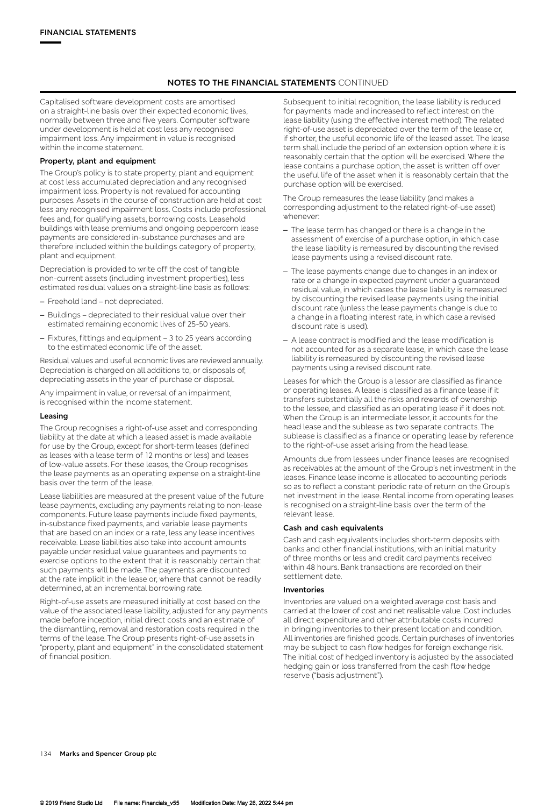Capitalised software development costs are amortised on a straight-line basis over their expected economic lives, normally between three and five years. Computer software under development is held at cost less any recognised impairment loss. Any impairment in value is recognised within the income statement.

#### **Property, plant and equipment**

The Group's policy is to state property, plant and equipment at cost less accumulated depreciation and any recognised impairment loss. Property is not revalued for accounting purposes. Assets in the course of construction are held at cost less any recognised impairment loss. Costs include professional fees and, for qualifying assets, borrowing costs. Leasehold buildings with lease premiums and ongoing peppercorn lease payments are considered in-substance purchases and are therefore included within the buildings category of property, plant and equipment.

Depreciation is provided to write off the cost of tangible non-current assets (including investment properties), less estimated residual values on a straight-line basis as follows:

- Freehold land not depreciated.
- Buildings depreciated to their residual value over their estimated remaining economic lives of 25-50 years.
- Fixtures, fittings and equipment 3 to 25 years according to the estimated economic life of the asset.

Residual values and useful economic lives are reviewed annually. Depreciation is charged on all additions to, or disposals of, depreciating assets in the year of purchase or disposal.

Any impairment in value, or reversal of an impairment, is recognised within the income statement.

#### **Leasing**

The Group recognises a right-of-use asset and corresponding liability at the date at which a leased asset is made available for use by the Group, except for short-term leases (defined as leases with a lease term of 12 months or less) and leases of low-value assets. For these leases, the Group recognises the lease payments as an operating expense on a straight-line basis over the term of the lease.

Lease liabilities are measured at the present value of the future lease payments, excluding any payments relating to non-lease components. Future lease payments include fixed payments, in-substance fixed payments, and variable lease payments that are based on an index or a rate, less any lease incentives receivable. Lease liabilities also take into account amounts payable under residual value guarantees and payments to exercise options to the extent that it is reasonably certain that such payments will be made. The payments are discounted at the rate implicit in the lease or, where that cannot be readily determined, at an incremental borrowing rate.

Right-of-use assets are measured initially at cost based on the value of the associated lease liability, adjusted for any payments made before inception, initial direct costs and an estimate of the dismantling, removal and restoration costs required in the terms of the lease. The Group presents right-of-use assets in "property, plant and equipment" in the consolidated statement of financial position.

Subsequent to initial recognition, the lease liability is reduced for payments made and increased to reflect interest on the lease liability (using the effective interest method). The related right-of-use asset is depreciated over the term of the lease or, if shorter, the useful economic life of the leased asset. The lease term shall include the period of an extension option where it is reasonably certain that the option will be exercised. Where the lease contains a purchase option, the asset is written off over the useful life of the asset when it is reasonably certain that the purchase option will be exercised.

The Group remeasures the lease liability (and makes a corresponding adjustment to the related right-of-use asset) whenever:

- The lease term has changed or there is a change in the assessment of exercise of a purchase option, in which case the lease liability is remeasured by discounting the revised lease payments using a revised discount rate.
- The lease payments change due to changes in an index or rate or a change in expected payment under a guaranteed residual value, in which cases the lease liability is remeasured by discounting the revised lease payments using the initial discount rate (unless the lease payments change is due to a change in a floating interest rate, in which case a revised discount rate is used).
- A lease contract is modified and the lease modification is not accounted for as a separate lease, in which case the lease liability is remeasured by discounting the revised lease payments using a revised discount rate.

Leases for which the Group is a lessor are classified as finance or operating leases. A lease is classified as a finance lease if it transfers substantially all the risks and rewards of ownership to the lessee, and classified as an operating lease if it does not. When the Group is an intermediate lessor, it accounts for the head lease and the sublease as two separate contracts. The sublease is classified as a finance or operating lease by reference to the right-of-use asset arising from the head lease.

Amounts due from lessees under finance leases are recognised as receivables at the amount of the Group's net investment in the leases. Finance lease income is allocated to accounting periods so as to reflect a constant periodic rate of return on the Group's net investment in the lease. Rental income from operating leases is recognised on a straight-line basis over the term of the relevant lease.

#### **Cash and cash equivalents**

Cash and cash equivalents includes short-term deposits with banks and other financial institutions, with an initial maturity of three months or less and credit card payments received within 48 hours. Bank transactions are recorded on their settlement date.

## **Inventories**

Inventories are valued on a weighted average cost basis and carried at the lower of cost and net realisable value. Cost includes all direct expenditure and other attributable costs incurred in bringing inventories to their present location and condition. All inventories are finished goods. Certain purchases of inventories may be subject to cash flow hedges for foreign exchange risk. The initial cost of hedged inventory is adjusted by the associated hedging gain or loss transferred from the cash flow hedge reserve ("basis adjustment").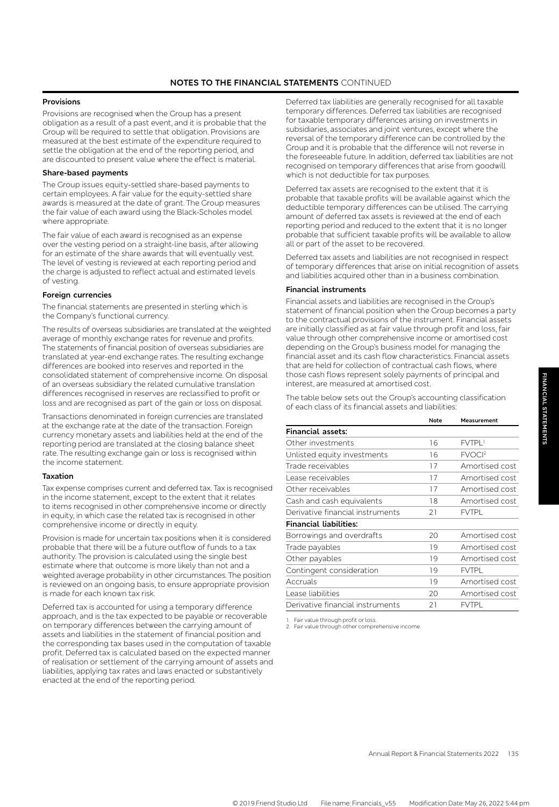## **Provisions**

Provisions are recognised when the Group has a present obligation as a result of a past event, and it is probable that the Group will be required to settle that obligation. Provisions are measured at the best estimate of the expenditure required to settle the obligation at the end of the reporting period, and are discounted to present value where the effect is material.

### **Share-based payments**

The Group issues equity-settled share-based payments to certain employees. A fair value for the equity-settled share awards is measured at the date of grant. The Group measures the fair value of each award using the Black-Scholes model where appropriate.

The fair value of each award is recognised as an expense over the vesting period on a straight-line basis, after allowing for an estimate of the share awards that will eventually vest. The level of vesting is reviewed at each reporting period and the charge is adjusted to reflect actual and estimated levels of vesting.

### **Foreign currencies**

The financial statements are presented in sterling which is the Company's functional currency.

The results of overseas subsidiaries are translated at the weighted average of monthly exchange rates for revenue and profits. The statements of financial position of overseas subsidiaries are translated at year-end exchange rates. The resulting exchange differences are booked into reserves and reported in the consolidated statement of comprehensive income. On disposal of an overseas subsidiary the related cumulative translation differences recognised in reserves are reclassified to profit or loss and are recognised as part of the gain or loss on disposal.

Transactions denominated in foreign currencies are translated at the exchange rate at the date of the transaction. Foreign currency monetary assets and liabilities held at the end of the reporting period are translated at the closing balance sheet rate. The resulting exchange gain or loss is recognised within the income statement.

## **Taxation**

Tax expense comprises current and deferred tax. Tax is recognised in the income statement, except to the extent that it relates to items recognised in other comprehensive income or directly in equity, in which case the related tax is recognised in other comprehensive income or directly in equity.

Provision is made for uncertain tax positions when it is considered probable that there will be a future outflow of funds to a tax authority. The provision is calculated using the single best estimate where that outcome is more likely than not and a weighted average probability in other circumstances. The position is reviewed on an ongoing basis, to ensure appropriate provision is made for each known tax risk.

Deferred tax is accounted for using a temporary difference approach, and is the tax expected to be payable or recoverable on temporary differences between the carrying amount of assets and liabilities in the statement of financial position and the corresponding tax bases used in the computation of taxable profit. Deferred tax is calculated based on the expected manner of realisation or settlement of the carrying amount of assets and liabilities, applying tax rates and laws enacted or substantively enacted at the end of the reporting period.

Deferred tax liabilities are generally recognised for all taxable temporary differences. Deferred tax liabilities are recognised for taxable temporary differences arising on investments in subsidiaries, associates and joint ventures, except where the reversal of the temporary difference can be controlled by the Group and it is probable that the difference will not reverse in the foreseeable future. In addition, deferred tax liabilities are not recognised on temporary differences that arise from goodwill which is not deductible for tax purposes.

Deferred tax assets are recognised to the extent that it is probable that taxable profits will be available against which the deductible temporary differences can be utilised. The carrying amount of deferred tax assets is reviewed at the end of each reporting period and reduced to the extent that it is no longer probable that sufficient taxable profits will be available to allow all or part of the asset to be recovered.

Deferred tax assets and liabilities are not recognised in respect of temporary differences that arise on initial recognition of assets and liabilities acquired other than in a business combination.

#### **Financial instruments**

Financial assets and liabilities are recognised in the Group's statement of financial position when the Group becomes a party to the contractual provisions of the instrument. Financial assets are initially classified as at fair value through profit and loss, fair value through other comprehensive income or amortised cost depending on the Group's business model for managing the financial asset and its cash flow characteristics. Financial assets that are held for collection of contractual cash flows, where those cash flows represent solely payments of principal and interest, are measured at amortised cost.

The table below sets out the Group's accounting classification of each class of its financial assets and liabilities:

|                                  | Note | Measurement        |
|----------------------------------|------|--------------------|
| <b>Financial assets:</b>         |      |                    |
| Other investments                | 16   | FVTPL <sup>1</sup> |
| Unlisted equity investments      | 16   | FVOC <sup>2</sup>  |
| Trade receivables                | 17   | Amortised cost     |
| Lease receivables                | 17   | Amortised cost     |
| Other receivables                | 17   | Amortised cost     |
| Cash and cash equivalents        | 18   | Amortised cost     |
| Derivative financial instruments | 21   | <b>FVTPL</b>       |
| <b>Financial liabilities:</b>    |      |                    |
| Borrowings and overdrafts        | 20   | Amortised cost     |
| Trade payables                   | 19   | Amortised cost     |
| Other payables                   | 19   | Amortised cost     |
| Contingent consideration         | 19   | <b>FVTPL</b>       |
| Accruals                         | 19   | Amortised cost     |
| Lease liabilities                | 20   | Amortised cost     |
| Derivative financial instruments | 21   | <b>FVTPL</b>       |

Fair value through profit or loss. Fair value through other comprehensive income.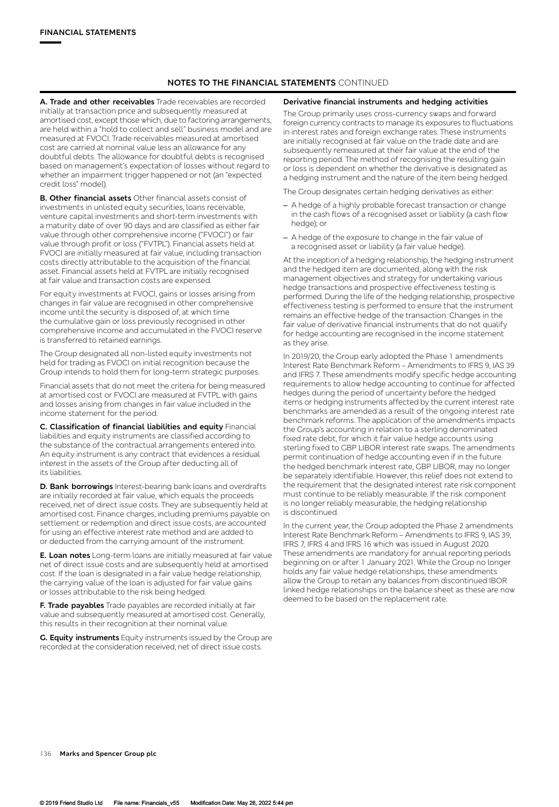**A. Trade and other receivables** Trade receivables are recorded initially at transaction price and subsequently measured at amortised cost, except those which, due to factoring arrangements, are held within a "hold to collect and sell" business model and are measured at FVOCI. Trade receivables measured at amortised cost are carried at nominal value less an allowance for any doubtful debts. The allowance for doubtful debts is recognised based on management's expectation of losses without regard to whether an impairment trigger happened or not (an "expected credit loss" model).

**B. Other financial assets** Other financial assets consist of investments in unlisted equity securities, loans receivable, venture capital investments and short-term investments with a maturity date of over 90 days and are classified as either fair value through other comprehensive income ("FVOCI") or fair value through profit or loss ("FVTPL"). Financial assets held at FVOCI are initially measured at fair value, including transaction costs directly attributable to the acquisition of the financial asset. Financial assets held at FVTPL are initially recognised at fair value and transaction costs are expensed.

For equity investments at FVOCI, gains or losses arising from changes in fair value are recognised in other comprehensive income until the security is disposed of, at which time the cumulative gain or loss previously recognised in other comprehensive income and accumulated in the FVOCI reserve is transferred to retained earnings.

The Group designated all non-listed equity investments not held for trading as FVOCI on initial recognition because the Group intends to hold them for long-term strategic purposes.

Financial assets that do not meet the criteria for being measured at amortised cost or FVOCI are measured at FVTPL with gains and losses arising from changes in fair value included in the income statement for the period.

**C. Classification of financial liabilities and equity** Financial liabilities and equity instruments are classified according to the substance of the contractual arrangements entered into. An equity instrument is any contract that evidences a residual interest in the assets of the Group after deducting all of its liabilities.

**D. Bank borrowings** Interest-bearing bank loans and overdrafts are initially recorded at fair value, which equals the proceeds received, net of direct issue costs. They are subsequently held at amortised cost. Finance charges, including premiums payable on settlement or redemption and direct issue costs, are accounted for using an effective interest rate method and are added to or deducted from the carrying amount of the instrument.

**E. Loan notes** Long-term loans are initially measured at fair value net of direct issue costs and are subsequently held at amortised cost. If the loan is designated in a fair value hedge relationship, the carrying value of the loan is adjusted for fair value gains or losses attributable to the risk being hedged.

**F. Trade payables** Trade payables are recorded initially at fair value and subsequently measured at amortised cost. Generally, this results in their recognition at their nominal value.

**G. Equity instruments** Equity instruments issued by the Group are recorded at the consideration received, net of direct issue costs.

#### **Derivative financial instruments and hedging activities**

The Group primarily uses cross-currency swaps and forward foreign currency contracts to manage its exposures to fluctuations in interest rates and foreign exchange rates. These instruments are initially recognised at fair value on the trade date and are subsequently remeasured at their fair value at the end of the reporting period. The method of recognising the resulting gain or loss is dependent on whether the derivative is designated as a hedging instrument and the nature of the item being hedged.

The Group designates certain hedging derivatives as either:

- A hedge of a highly probable forecast transaction or change in the cash flows of a recognised asset or liability (a cash flow hedge); or
- A hedge of the exposure to change in the fair value of a recognised asset or liability (a fair value hedge).

At the inception of a hedging relationship, the hedging instrument and the hedged item are documented, along with the risk management objectives and strategy for undertaking various hedge transactions and prospective effectiveness testing is performed. During the life of the hedging relationship, prospective effectiveness testing is performed to ensure that the instrument remains an effective hedge of the transaction. Changes in the fair value of derivative financial instruments that do not qualify for hedge accounting are recognised in the income statement as they arise.

In 2019/20, the Group early adopted the Phase 1 amendments Interest Rate Benchmark Reform – Amendments to IFRS 9, IAS 39 and IFRS 7. These amendments modify specific hedge accounting requirements to allow hedge accounting to continue for affected hedges during the period of uncertainty before the hedged items or hedging instruments affected by the current interest rate benchmarks are amended as a result of the ongoing interest rate benchmark reforms. The application of the amendments impacts the Group's accounting in relation to a sterling denominated fixed rate debt, for which it fair value hedge accounts using sterling fixed to GBP LIBOR interest rate swaps. The amendments permit continuation of hedge accounting even if in the future the hedged benchmark interest rate, GBP LIBOR, may no longer be separately identifiable. However, this relief does not extend to the requirement that the designated interest rate risk component must continue to be reliably measurable. If the risk component is no longer reliably measurable, the hedging relationship is discontinued.

In the current year, the Group adopted the Phase 2 amendments Interest Rate Benchmark Reform – Amendments to IFRS 9, IAS 39, IFRS 7, IFRS 4 and IFRS 16 which was issued in August 2020. These amendments are mandatory for annual reporting periods beginning on or after 1 January 2021. While the Group no longer holds any fair value hedge relationships, these amendments allow the Group to retain any balances from discontinued IBOR linked hedge relationships on the balance sheet as these are now deemed to be based on the replacement rate.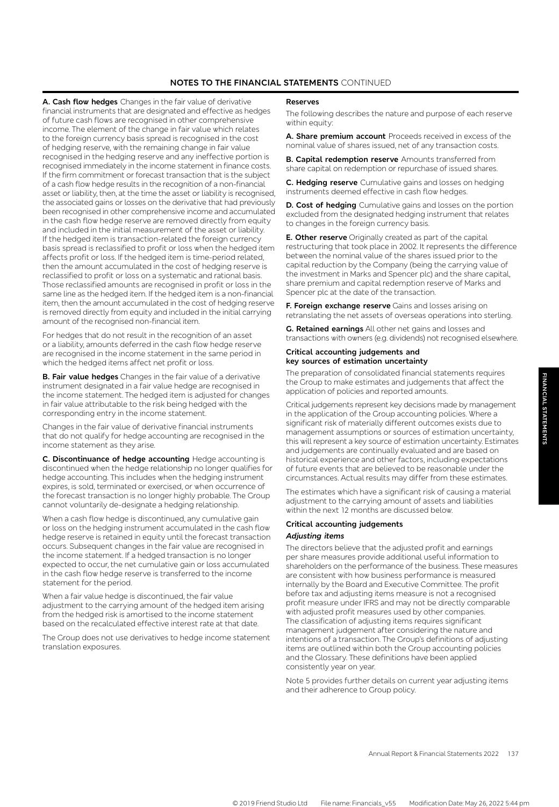**A. Cash flow hedges** Changes in the fair value of derivative financial instruments that are designated and effective as hedges of future cash flows are recognised in other comprehensive income. The element of the change in fair value which relates to the foreign currency basis spread is recognised in the cost of hedging reserve, with the remaining change in fair value recognised in the hedging reserve and any ineffective portion is recognised immediately in the income statement in finance costs. If the firm commitment or forecast transaction that is the subject of a cash flow hedge results in the recognition of a non-financial asset or liability, then, at the time the asset or liability is recognised, the associated gains or losses on the derivative that had previously been recognised in other comprehensive income and accumulated in the cash flow hedge reserve are removed directly from equity and included in the initial measurement of the asset or liability. If the hedged item is transaction-related the foreign currency basis spread is reclassified to profit or loss when the hedged item affects profit or loss. If the hedged item is time-period related, then the amount accumulated in the cost of hedging reserve is reclassified to profit or loss on a systematic and rational basis. Those reclassified amounts are recognised in profit or loss in the same line as the hedged item. If the hedged item is a non-financial item, then the amount accumulated in the cost of hedging reserve is removed directly from equity and included in the initial carrying amount of the recognised non-financial item.

For hedges that do not result in the recognition of an asset or a liability, amounts deferred in the cash flow hedge reserve are recognised in the income statement in the same period in which the hedged items affect net profit or loss.

**B. Fair value hedges** Changes in the fair value of a derivative instrument designated in a fair value hedge are recognised in the income statement. The hedged item is adjusted for changes in fair value attributable to the risk being hedged with the corresponding entry in the income statement.

Changes in the fair value of derivative financial instruments that do not qualify for hedge accounting are recognised in the income statement as they arise.

**C. Discontinuance of hedge accounting** Hedge accounting is discontinued when the hedge relationship no longer qualifies for hedge accounting. This includes when the hedging instrument expires, is sold, terminated or exercised, or when occurrence of the forecast transaction is no longer highly probable. The Group cannot voluntarily de-designate a hedging relationship.

When a cash flow hedge is discontinued, any cumulative gain or loss on the hedging instrument accumulated in the cash flow hedge reserve is retained in equity until the forecast transaction occurs. Subsequent changes in the fair value are recognised in the income statement. If a hedged transaction is no longer expected to occur, the net cumulative gain or loss accumulated in the cash flow hedge reserve is transferred to the income statement for the period.

When a fair value hedge is discontinued, the fair value adjustment to the carrying amount of the hedged item arising from the hedged risk is amortised to the income statement based on the recalculated effective interest rate at that date.

The Group does not use derivatives to hedge income statement translation exposures.

#### **Reserves**

The following describes the nature and purpose of each reserve within equity:

**A. Share premium account** Proceeds received in excess of the nominal value of shares issued, net of any transaction costs.

**B. Capital redemption reserve** Amounts transferred from share capital on redemption or repurchase of issued shares.

**C. Hedging reserve** Cumulative gains and losses on hedging instruments deemed effective in cash flow hedges.

**D. Cost of hedging** Cumulative gains and losses on the portion excluded from the designated hedging instrument that relates to changes in the foreign currency basis.

**E. Other reserve** Originally created as part of the capital restructuring that took place in 2002. It represents the difference between the nominal value of the shares issued prior to the capital reduction by the Company (being the carrying value of the investment in Marks and Spencer plc) and the share capital, share premium and capital redemption reserve of Marks and Spencer plc at the date of the transaction.

**F. Foreign exchange reserve** Gains and losses arising on retranslating the net assets of overseas operations into sterling.

**G. Retained earnings** All other net gains and losses and transactions with owners (e.g. dividends) not recognised elsewhere.

#### **Critical accounting judgements and key sources of estimation uncertainty**

The preparation of consolidated financial statements requires the Group to make estimates and judgements that affect the application of policies and reported amounts.

Critical judgements represent key decisions made by management in the application of the Group accounting policies. Where a significant risk of materially different outcomes exists due to management assumptions or sources of estimation uncertainty, this will represent a key source of estimation uncertainty. Estimates and judgements are continually evaluated and are based on historical experience and other factors, including expectations of future events that are believed to be reasonable under the circumstances. Actual results may differ from these estimates.

The estimates which have a significant risk of causing a material adjustment to the carrying amount of assets and liabilities within the next 12 months are discussed below.

## **Critical accounting judgements**

### *Adjusting items*

The directors believe that the adjusted profit and earnings per share measures provide additional useful information to shareholders on the performance of the business. These measures are consistent with how business performance is measured internally by the Board and Executive Committee. The profit before tax and adjusting items measure is not a recognised profit measure under IFRS and may not be directly comparable with adjusted profit measures used by other companies. The classification of adjusting items requires significant management judgement after considering the nature and intentions of a transaction. The Group's definitions of adjusting items are outlined within both the Group accounting policies and the Glossary. These definitions have been applied consistently year on year.

Note 5 provides further details on current year adjusting items and their adherence to Group policy.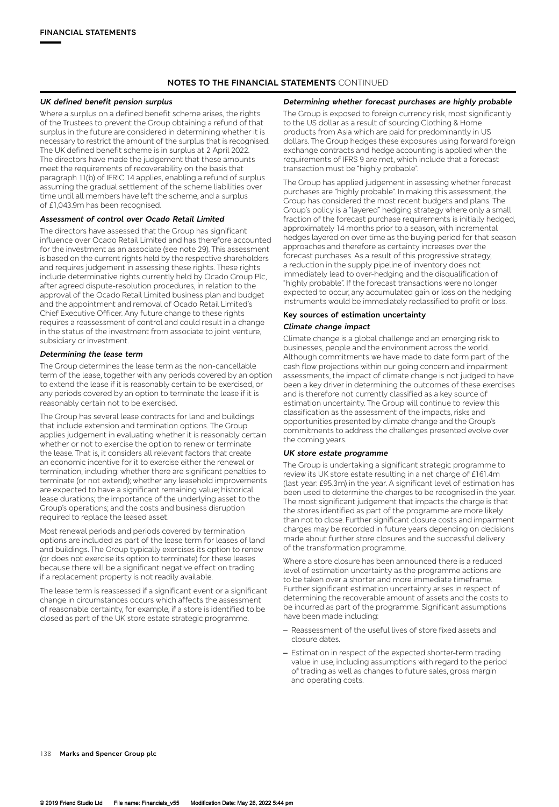## *UK defined benefit pension surplus*

Where a surplus on a defined benefit scheme arises, the rights of the Trustees to prevent the Group obtaining a refund of that surplus in the future are considered in determining whether it is necessary to restrict the amount of the surplus that is recognised. The UK defined benefit scheme is in surplus at 2 April 2022. The directors have made the judgement that these amounts meet the requirements of recoverability on the basis that paragraph 11(b) of IFRIC 14 applies, enabling a refund of surplus assuming the gradual settlement of the scheme liabilities over time until all members have left the scheme, and a surplus of £1,043.9m has been recognised.

#### *Assessment of control over Ocado Retail Limited*

The directors have assessed that the Group has significant influence over Ocado Retail Limited and has therefore accounted for the investment as an associate (see note 29). This assessment is based on the current rights held by the respective shareholders and requires judgement in assessing these rights. These rights include determinative rights currently held by Ocado Group Plc, after agreed dispute-resolution procedures, in relation to the approval of the Ocado Retail Limited business plan and budget and the appointment and removal of Ocado Retail Limited's Chief Executive Officer. Any future change to these rights requires a reassessment of control and could result in a change in the status of the investment from associate to joint venture, subsidiary or investment.

#### *Determining the lease term*

The Group determines the lease term as the non-cancellable term of the lease, together with any periods covered by an option to extend the lease if it is reasonably certain to be exercised, or any periods covered by an option to terminate the lease if it is reasonably certain not to be exercised.

The Group has several lease contracts for land and buildings that include extension and termination options. The Group applies judgement in evaluating whether it is reasonably certain whether or not to exercise the option to renew or terminate the lease. That is, it considers all relevant factors that create an economic incentive for it to exercise either the renewal or termination, including: whether there are significant penalties to terminate (or not extend); whether any leasehold improvements are expected to have a significant remaining value; historical lease durations; the importance of the underlying asset to the Group's operations; and the costs and business disruption required to replace the leased asset.

Most renewal periods and periods covered by termination options are included as part of the lease term for leases of land and buildings. The Group typically exercises its option to renew (or does not exercise its option to terminate) for these leases because there will be a significant negative effect on trading if a replacement property is not readily available.

The lease term is reassessed if a significant event or a significant change in circumstances occurs which affects the assessment of reasonable certainty, for example, if a store is identified to be closed as part of the UK store estate strategic programme.

### *Determining whether forecast purchases are highly probable*

The Group is exposed to foreign currency risk, most significantly to the US dollar as a result of sourcing Clothing & Home products from Asia which are paid for predominantly in US dollars. The Group hedges these exposures using forward foreign exchange contracts and hedge accounting is applied when the requirements of IFRS 9 are met, which include that a forecast transaction must be "highly probable".

The Group has applied judgement in assessing whether forecast purchases are "highly probable". In making this assessment, the Group has considered the most recent budgets and plans. The Group's policy is a "layered" hedging strategy where only a small fraction of the forecast purchase requirements is initially hedged, approximately 14 months prior to a season, with incremental hedges layered on over time as the buying period for that season approaches and therefore as certainty increases over the forecast purchases. As a result of this progressive strategy, a reduction in the supply pipeline of inventory does not immediately lead to over-hedging and the disqualification of "highly probable". If the forecast transactions were no longer expected to occur, any accumulated gain or loss on the hedging instruments would be immediately reclassified to profit or loss.

### **Key sources of estimation uncertainty** *Climate change impact*

Climate change is a global challenge and an emerging risk to businesses, people and the environment across the world. Although commitments we have made to date form part of the cash flow projections within our going concern and impairment assessments, the impact of climate change is not judged to have been a key driver in determining the outcomes of these exercises and is therefore not currently classified as a key source of estimation uncertainty. The Group will continue to review this classification as the assessment of the impacts, risks and opportunities presented by climate change and the Group's commitments to address the challenges presented evolve over the coming years.

#### *UK store estate programme*

The Group is undertaking a significant strategic programme to review its UK store estate resulting in a net charge of £161.4m (last year: £95.3m) in the year. A significant level of estimation has been used to determine the charges to be recognised in the year. The most significant judgement that impacts the charge is that the stores identified as part of the programme are more likely than not to close. Further significant closure costs and impairment charges may be recorded in future years depending on decisions made about further store closures and the successful delivery of the transformation programme.

Where a store closure has been announced there is a reduced level of estimation uncertainty as the programme actions are to be taken over a shorter and more immediate timeframe. Further significant estimation uncertainty arises in respect of determining the recoverable amount of assets and the costs to be incurred as part of the programme. Significant assumptions have been made including:

- Reassessment of the useful lives of store fixed assets and closure dates.
- Estimation in respect of the expected shorter-term trading value in use, including assumptions with regard to the period of trading as well as changes to future sales, gross margin and operating costs.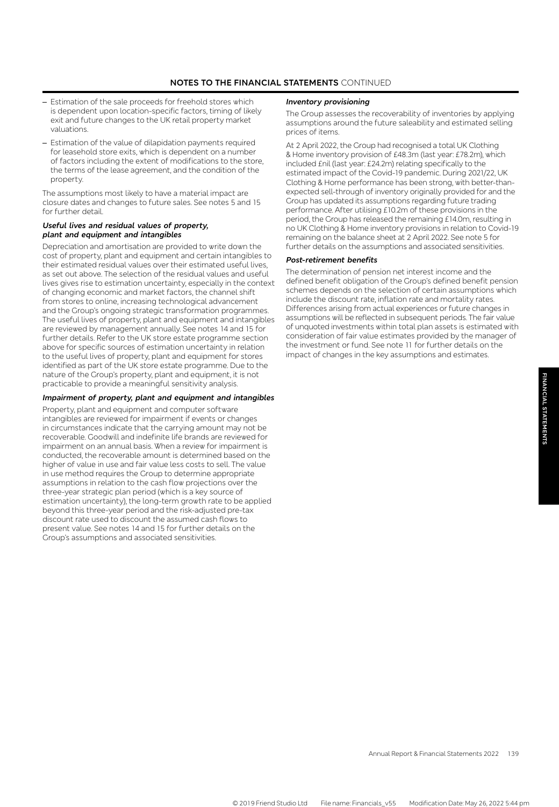- Estimation of the sale proceeds for freehold stores which is dependent upon location-specific factors, timing of likely exit and future changes to the UK retail property market valuations.
- Estimation of the value of dilapidation payments required for leasehold store exits, which is dependent on a number of factors including the extent of modifications to the store, the terms of the lease agreement, and the condition of the property.

The assumptions most likely to have a material impact are closure dates and changes to future sales. See notes 5 and 15 for further detail.

### *Useful lives and residual values of property, plant and equipment and intangibles*

Depreciation and amortisation are provided to write down the cost of property, plant and equipment and certain intangibles to their estimated residual values over their estimated useful lives, as set out above. The selection of the residual values and useful lives gives rise to estimation uncertainty, especially in the context of changing economic and market factors, the channel shift from stores to online, increasing technological advancement and the Group's ongoing strategic transformation programmes. The useful lives of property, plant and equipment and intangibles are reviewed by management annually. See notes 14 and 15 for further details. Refer to the UK store estate programme section above for specific sources of estimation uncertainty in relation to the useful lives of property, plant and equipment for stores identified as part of the UK store estate programme. Due to the nature of the Group's property, plant and equipment, it is not practicable to provide a meaningful sensitivity analysis.

### *Impairment of property, plant and equipment and intangibles*

Property, plant and equipment and computer software intangibles are reviewed for impairment if events or changes in circumstances indicate that the carrying amount may not be recoverable. Goodwill and indefinite life brands are reviewed for impairment on an annual basis. When a review for impairment is conducted, the recoverable amount is determined based on the higher of value in use and fair value less costs to sell. The value in use method requires the Group to determine appropriate assumptions in relation to the cash flow projections over the three-year strategic plan period (which is a key source of estimation uncertainty), the long-term growth rate to be applied beyond this three-year period and the risk-adjusted pre-tax discount rate used to discount the assumed cash flows to present value. See notes 14 and 15 for further details on the Group's assumptions and associated sensitivities.

### *Inventory provisioning*

The Group assesses the recoverability of inventories by applying assumptions around the future saleability and estimated selling prices of items.

At 2 April 2022, the Group had recognised a total UK Clothing & Home inventory provision of £48.3m (last year: £78.2m), which included £nil (last year: £24.2m) relating specifically to the estimated impact of the Covid-19 pandemic. During 2021/22, UK Clothing & Home performance has been strong, with better-thanexpected sell-through of inventory originally provided for and the Group has updated its assumptions regarding future trading performance. After utilising £10.2m of these provisions in the period, the Group has released the remaining £14.0m, resulting in no UK Clothing & Home inventory provisions in relation to Covid-19 remaining on the balance sheet at 2 April 2022. See note 5 for further details on the assumptions and associated sensitivities.

### *Post-retirement benefits*

The determination of pension net interest income and the defined benefit obligation of the Group's defined benefit pension schemes depends on the selection of certain assumptions which include the discount rate, inflation rate and mortality rates. Differences arising from actual experiences or future changes in assumptions will be reflected in subsequent periods. The fair value of unquoted investments within total plan assets is estimated with consideration of fair value estimates provided by the manager of the investment or fund. See note 11 for further details on the impact of changes in the key assumptions and estimates.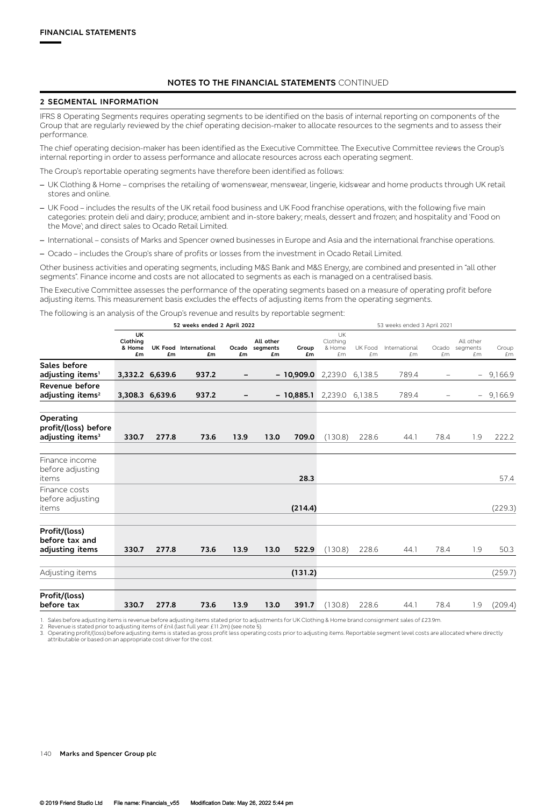## **2 SEGMENTAL INFORMATION**

IFRS 8 Operating Segments requires operating segments to be identified on the basis of internal reporting on components of the Group that are regularly reviewed by the chief operating decision-maker to allocate resources to the segments and to assess their performance.

The chief operating decision-maker has been identified as the Executive Committee. The Executive Committee reviews the Group's internal reporting in order to assess performance and allocate resources across each operating segment.

The Group's reportable operating segments have therefore been identified as follows:

- UK Clothing & Home comprises the retailing of womenswear, menswear, lingerie, kidswear and home products through UK retail stores and online.
- UK Food includes the results of the UK retail food business and UK Food franchise operations, with the following five main categories: protein deli and dairy; produce; ambient and in-store bakery; meals, dessert and frozen; and hospitality and 'Food on the Move'; and direct sales to Ocado Retail Limited.
- International consists of Marks and Spencer owned businesses in Europe and Asia and the international franchise operations.
- Ocado includes the Group's share of profits or losses from the investment in Ocado Retail Limited.

Other business activities and operating segments, including M&S Bank and M&S Energy, are combined and presented in "all other segments". Finance income and costs are not allocated to segments as each is managed on a centralised basis.

The Executive Committee assesses the performance of the operating segments based on a measure of operating profit before adjusting items. This measurement basis excludes the effects of adjusting items from the operating segments.

The following is an analysis of the Group's revenue and results by reportable segment:

|                                                                   | 52 weeks ended 2 April 2022           |                 |                             |             |                             |                             |                                | 53 weeks ended 3 April 2021 |                     |                          |                             |             |
|-------------------------------------------------------------------|---------------------------------------|-----------------|-----------------------------|-------------|-----------------------------|-----------------------------|--------------------------------|-----------------------------|---------------------|--------------------------|-----------------------------|-------------|
|                                                                   | <b>UK</b><br>Clothing<br>& Home<br>£m | £m              | UK Food International<br>£m | Ocado<br>£m | All other<br>segments<br>£m | Group<br>£m                 | UK<br>Clothing<br>& Home<br>£m | UK Food<br>£m               | International<br>£m | Ocado<br>£m              | All other<br>segments<br>£m | Croup<br>£m |
| Sales before<br>adjusting items <sup>1</sup>                      |                                       | 3,332.2 6,639.6 | 937.2                       |             |                             | $-10,909.0$                 | 2,239.0                        | 6,138.5                     | 789.4               |                          |                             | $-9,166.9$  |
| Revenue before<br>adjusting items <sup>2</sup>                    |                                       | 3,308.3 6,639.6 | 937.2                       |             |                             | $-10,885.1$ 2,239.0 6,138.5 |                                |                             | 789.4               | $\overline{\phantom{0}}$ |                             | $-9,166.9$  |
| Operating<br>profit/(loss) before<br>adjusting items <sup>3</sup> | 330.7                                 | 277.8           | 73.6                        | 13.9        | 13.0                        | 709.0                       | (130.8)                        | 228.6                       | 44.1                | 78.4                     | 1.9                         | 222.2       |
| Finance income<br>before adjusting<br>items                       |                                       |                 |                             |             |                             | 28.3                        |                                |                             |                     |                          |                             | 57.4        |
| Finance costs<br>before adjusting<br>items                        |                                       |                 |                             |             |                             | (214.4)                     |                                |                             |                     |                          |                             | (229.3)     |
| Profit/(loss)<br>before tax and<br>adjusting items                | 330.7                                 | 277.8           | 73.6                        | 13.9        | 13.0                        | 522.9                       | (130.8)                        | 228.6                       | 44.1                | 78.4                     | 1.9                         | 50.3        |
| Adjusting items                                                   |                                       |                 |                             |             |                             | (131.2)                     |                                |                             |                     |                          |                             | (259.7)     |
| Profit/(loss)<br>before tax                                       | 330.7                                 | 277.8           | 73.6                        | 13.9        | 13.0                        | 391.7                       | (130.8)                        | 228.6                       | 44.1                | 78.4                     | 1.9                         | (209.4)     |

1. Sales before adjusting items is revenue before adjusting items stated prior to adjustments for UK Clothing & Home brand consignment sales of £23.9m.<br>2. Revenue is stated prior to adjusting items of f.nil (last full year

2. Revenue is stated prior to adjusting items of £nil (last full year: £11.2m) (see note 5).<br>3. Operating profit/(loss) before adjusting items is stated as gross profit less operating costs prior to adjusting items. Repor attributable or based on an appropriate cost driver for the cost.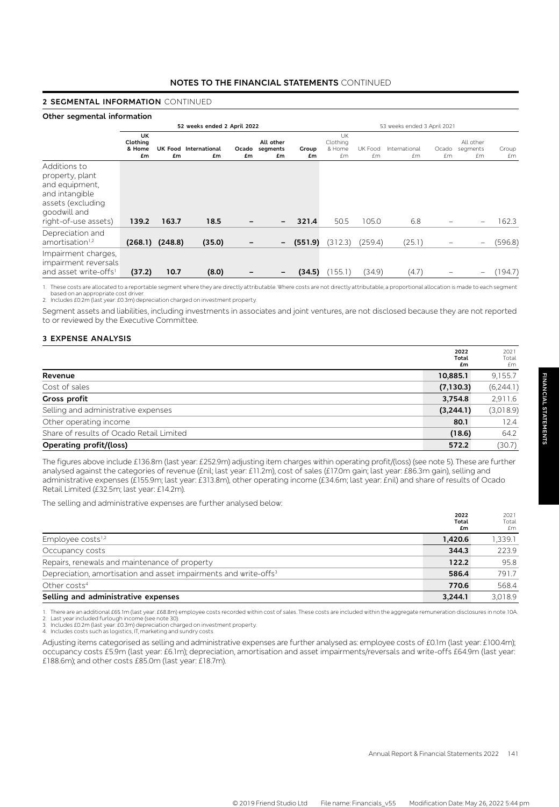## **2 SEGMENTAL INFORMATION** CONTINUED

## **Other segmental information**

| Other segmental information                                                                                                      |                                       |       |                             |             |                             |             |                                |                             |                     |    |                                   |             |
|----------------------------------------------------------------------------------------------------------------------------------|---------------------------------------|-------|-----------------------------|-------------|-----------------------------|-------------|--------------------------------|-----------------------------|---------------------|----|-----------------------------------|-------------|
|                                                                                                                                  |                                       |       | 52 weeks ended 2 April 2022 |             |                             |             |                                | 53 weeks ended 3 April 2021 |                     |    |                                   |             |
|                                                                                                                                  | <b>UK</b><br>Clothing<br>& Home<br>£m | £m    | UK Food International<br>£m | Ocado<br>£m | All other<br>segments<br>£m | Group<br>£m | UK<br>Clothing<br>& Home<br>£m | UK Food<br>£m               | International<br>£m | £m | All other<br>Ocado segments<br>£m | Croup<br>£m |
| Additions to<br>property, plant<br>and equipment,<br>and intangible<br>assets (excluding<br>goodwill and<br>right-of-use assets) | 139.2                                 | 163.7 | 18.5                        |             |                             | 321.4       | 50.5                           | 105.0                       | 6.8                 |    |                                   | 162.3       |
| Depreciation and<br>amortisation <sup>1,2</sup>                                                                                  | $(268.1)$ $(248.8)$                   |       | (35.0)                      |             | -                           | (551.9)     | (312.3)                        | (259.4)                     | (25.1)              |    |                                   | (596.8)     |
| Impairment charges,<br>impairment reversals<br>and asset write-offs <sup>1</sup>                                                 | (37.2)                                | 10.7  | (8.0)                       |             |                             | (34.5)      | (155.1)                        | (34.9)                      | (4.7)               |    |                                   | (194.7)     |

1. These costs are allocated to a reportable segment where they are directly attributable. Where costs are not directly attributable, a proportional allocation is made to each segment based on an appropriate cost driver. 2. Includes £0.2m (last year: £0.3m) depreciation charged on investment property.

Segment assets and liabilities, including investments in associates and joint ventures, are not disclosed because they are not reported to or reviewed by the Executive Committee.

### **3 EXPENSE ANALYSIS**

|                                          | 2022<br>Total<br>£m | 2021<br>Total<br>£m |
|------------------------------------------|---------------------|---------------------|
| Revenue                                  | 10,885.1            | 9,155.7             |
| Cost of sales                            | (7, 130.3)          | (6,244.1)           |
| Gross profit                             | 3,754.8             | 2,911.6             |
| Selling and administrative expenses      | (3,244.1)           | (3,018.9)           |
| Other operating income                   | 80.1                | 12.4                |
| Share of results of Ocado Retail Limited | (18.6)              | 64.2                |
| Operating profit/(loss)                  | 572.2               | (30.7)              |

The figures above include £136.8m (last year: £252.9m) adjusting item charges within operating profit/(loss) (see note 5). These are further analysed against the categories of revenue (£nil; last year: £11.2m), cost of sales (£17.0m gain; last year: £86.3m gain), selling and administrative expenses (£155.9m; last year: £313.8m), other operating income (£34.6m; last year: £nil) and share of results of Ocado Retail Limited (£32.5m; last year: £14.2m).

The selling and administrative expenses are further analysed below:

|                                                                              | 2022<br>Total<br>£m | 2021<br>Total<br>£m |
|------------------------------------------------------------------------------|---------------------|---------------------|
| Employee costs <sup>1,2</sup>                                                | 1,420.6             | 1,339.1             |
| Occupancy costs                                                              | 344.3               | 223.9               |
| Repairs, renewals and maintenance of property                                | 122.2               | 95.8                |
| Depreciation, amortisation and asset impairments and write-offs <sup>3</sup> | 586.4               | 791.7               |
| Other costs <sup>4</sup>                                                     | 770.6               | 568.4               |
| Selling and administrative expenses                                          | 3,244.1             | 3.018.9             |

1. There are an additional £65.1m (last year: £68.8m) employee costs recorded within cost of sales. These costs are included within the aggregate remuneration disclosures in note 10A.<br>2. Last year included furlough income

2. Last year included furlough income (see note 30).<br>3. Includes £0.2m (last year: £0.3m) depreciation charged on investment property<br>4. Includes costs such as logistics, IT, marketing and sundry costs.

Adjusting items categorised as selling and administrative expenses are further analysed as: employee costs of £0.1m (last year: £100.4m); occupancy costs £5.9m (last year: £6.1m); depreciation, amortisation and asset impairments/reversals and write-offs £64.9m (last year: £188.6m); and other costs £85.0m (last year: £18.7m).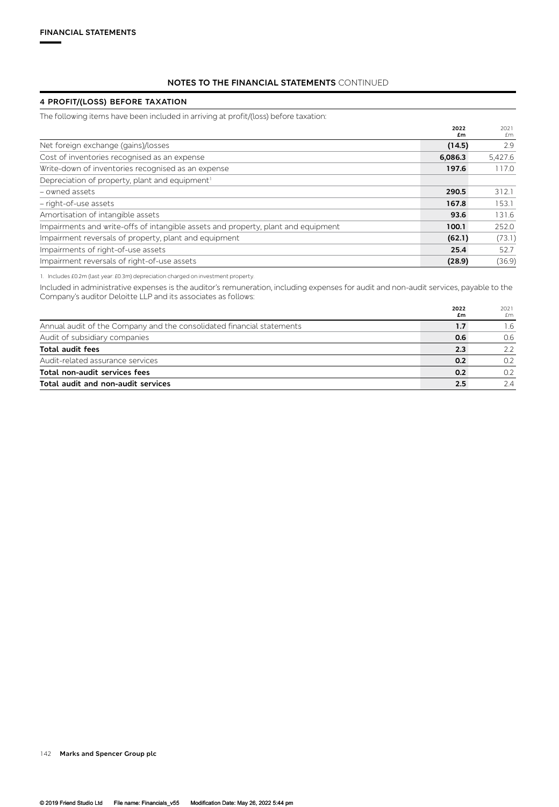## **4 PROFIT/(LOSS) BEFORE TAXATION**

The following items have been included in arriving at profit/(loss) before taxation:

|                                                                                   | 2022<br>£m | 2021<br>£m |
|-----------------------------------------------------------------------------------|------------|------------|
| Net foreign exchange (gains)/losses                                               | (14.5)     | 2.9        |
| Cost of inventories recognised as an expense                                      | 6,086.3    | 5,427.6    |
| Write-down of inventories recognised as an expense                                | 197.6      | 117.0      |
| Depreciation of property, plant and equipment <sup>1</sup>                        |            |            |
| - owned assets                                                                    | 290.5      | 312.1      |
| - right-of-use assets                                                             | 167.8      | 153.1      |
| Amortisation of intangible assets                                                 | 93.6       | 131.6      |
| Impairments and write-offs of intangible assets and property, plant and equipment | 100.1      | 252.0      |
| Impairment reversals of property, plant and equipment                             | (62.1)     | (73.1)     |
| Impairments of right-of-use assets                                                | 25.4       | 52.7       |
| Impairment reversals of right-of-use assets                                       | (28.9)     | (36.9)     |

1. Includes £0.2m (last year: £0.3m) depreciation charged on investment property.

Included in administrative expenses is the auditor's remuneration, including expenses for audit and non-audit services, payable to the Company's auditor Deloitte LLP and its associates as follows:

|                                                                       | 2022<br>£m | 2021<br>£m |
|-----------------------------------------------------------------------|------------|------------|
| Annual audit of the Company and the consolidated financial statements | 1.7        | 1.6        |
| Audit of subsidiary companies                                         | 0.6        | 0.6        |
| Total audit fees                                                      | 2.3        | 2.2        |
| Audit-related assurance services                                      | 0.2        | 0.2        |
| Total non-audit services fees                                         | 0.2        | 02         |
| Total audit and non-audit services                                    | 2.5        | 2.4        |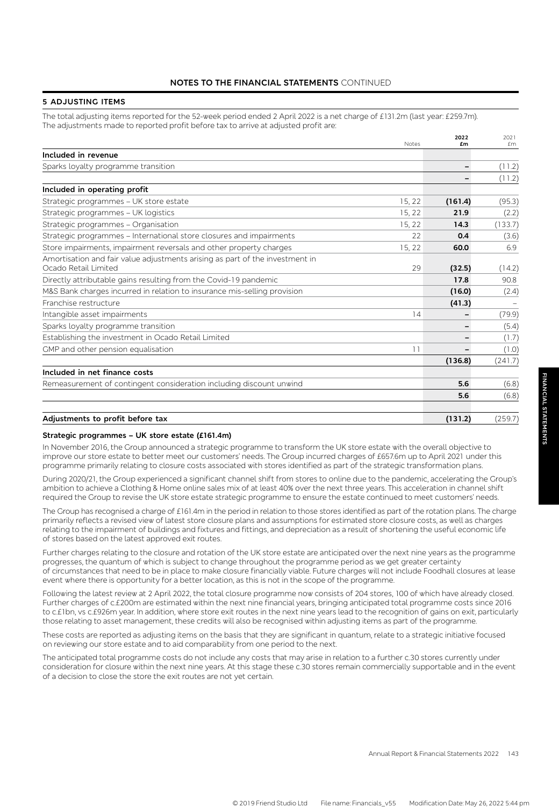# **5 ADJUSTING ITEMS**

The total adjusting items reported for the 52-week period ended 2 April 2022 is a net charge of £131.2m (last year: £259.7m). The adjustments made to reported profit before tax to arrive at adjusted profit are:

|                                                                                                      | Notes  | 2022<br>£m      | 2021<br>£m |
|------------------------------------------------------------------------------------------------------|--------|-----------------|------------|
| Included in revenue                                                                                  |        |                 |            |
| Sparks loyalty programme transition                                                                  |        | $\qquad \qquad$ | (11.2)     |
|                                                                                                      |        |                 | (11.2)     |
| Included in operating profit                                                                         |        |                 |            |
| Strategic programmes - UK store estate                                                               | 15, 22 | (161.4)         | (95.3)     |
| Strategic programmes - UK logistics                                                                  | 15, 22 | 21.9            | (2.2)      |
| Strategic programmes - Organisation                                                                  | 15, 22 | 14.3            | (133.7)    |
| Strategic programmes - International store closures and impairments                                  | 22     | 0.4             | (3.6)      |
| Store impairments, impairment reversals and other property charges                                   | 15, 22 | 60.0            | 6.9        |
| Amortisation and fair value adjustments arising as part of the investment in<br>Ocado Retail Limited | 29     | (32.5)          | (14.2)     |
| Directly attributable gains resulting from the Covid-19 pandemic                                     |        | 17.8            | 90.8       |
| M&S Bank charges incurred in relation to insurance mis-selling provision                             |        | (16.0)          | (2.4)      |
| Franchise restructure                                                                                |        | (41.3)          |            |
| Intangible asset impairments                                                                         | 14     |                 | (79.9)     |
| Sparks loyalty programme transition                                                                  |        |                 | (5.4)      |
| Establishing the investment in Ocado Retail Limited                                                  |        |                 | (1.7)      |
| GMP and other pension equalisation                                                                   | 11     |                 | (1.0)      |
|                                                                                                      |        | (136.8)         | (241.7)    |
| Included in net finance costs                                                                        |        |                 |            |
| Remeasurement of contingent consideration including discount unwind                                  |        | 5.6             | (6.8)      |
|                                                                                                      |        | 5.6             | (6.8)      |
| Adjustments to profit before tax                                                                     |        | (131.2)         | (259.7)    |

### **Strategic programmes – UK store estate (£161.4m)**

In November 2016, the Group announced a strategic programme to transform the UK store estate with the overall objective to improve our store estate to better meet our customers' needs. The Group incurred charges of £657.6m up to April 2021 under this programme primarily relating to closure costs associated with stores identified as part of the strategic transformation plans.

During 2020/21, the Group experienced a significant channel shift from stores to online due to the pandemic, accelerating the Group's ambition to achieve a Clothing & Home online sales mix of at least 40% over the next three years. This acceleration in channel shift required the Group to revise the UK store estate strategic programme to ensure the estate continued to meet customers' needs.

The Group has recognised a charge of £161.4m in the period in relation to those stores identified as part of the rotation plans. The charge primarily reflects a revised view of latest store closure plans and assumptions for estimated store closure costs, as well as charges relating to the impairment of buildings and fixtures and fittings, and depreciation as a result of shortening the useful economic life of stores based on the latest approved exit routes.

Further charges relating to the closure and rotation of the UK store estate are anticipated over the next nine years as the programme progresses, the quantum of which is subject to change throughout the programme period as we get greater certainty of circumstances that need to be in place to make closure financially viable. Future charges will not include Foodhall closures at lease event where there is opportunity for a better location, as this is not in the scope of the programme.

Following the latest review at 2 April 2022, the total closure programme now consists of 204 stores, 100 of which have already closed. Further charges of c.£200m are estimated within the next nine financial years, bringing anticipated total programme costs since 2016 to c.£1bn, vs c.£926m year. In addition, where store exit routes in the next nine years lead to the recognition of gains on exit, particularly those relating to asset management, these credits will also be recognised within adjusting items as part of the programme.

These costs are reported as adjusting items on the basis that they are significant in quantum, relate to a strategic initiative focused on reviewing our store estate and to aid comparability from one period to the next.

The anticipated total programme costs do not include any costs that may arise in relation to a further c.30 stores currently under consideration for closure within the next nine years. At this stage these c.30 stores remain commercially supportable and in the event of a decision to close the store the exit routes are not yet certain.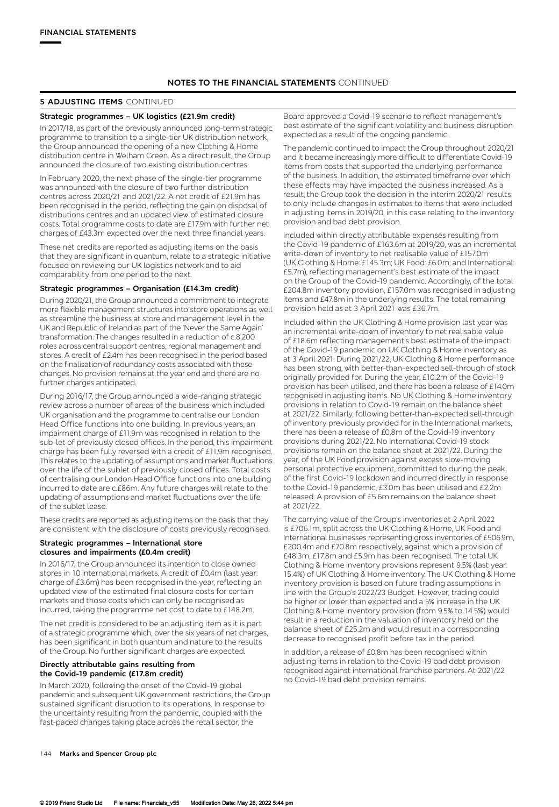## **5 ADJUSTING ITEMS** CONTINUED

#### **Strategic programmes – UK logistics (£21.9m credit)**

In 2017/18, as part of the previously announced long-term strategic programme to transition to a single-tier UK distribution network, the Group announced the opening of a new Clothing & Home distribution centre in Welham Green. As a direct result, the Group announced the closure of two existing distribution centres.

In February 2020, the next phase of the single-tier programme was announced with the closure of two further distribution centres across 2020/21 and 2021/22. A net credit of £21.9m has been recognised in the period, reflecting the gain on disposal of distributions centres and an updated view of estimated closure costs. Total programme costs to date are £17.9m with further net charges of £43.3m expected over the next three financial years.

These net credits are reported as adjusting items on the basis that they are significant in quantum, relate to a strategic initiative focused on reviewing our UK logistics network and to aid comparability from one period to the next.

#### **Strategic programmes – Organisation (£14.3m credit)**

During 2020/21, the Group announced a commitment to integrate more flexible management structures into store operations as well as streamline the business at store and management level in the UK and Republic of Ireland as part of the 'Never the Same Again' transformation. The changes resulted in a reduction of c.8,200 roles across central support centres, regional management and stores. A credit of £2.4m has been recognised in the period based on the finalisation of redundancy costs associated with these changes. No provision remains at the year end and there are no further charges anticipated.

During 2016/17, the Group announced a wide-ranging strategic review across a number of areas of the business which included UK organisation and the programme to centralise our London Head Office functions into one building. In previous years, an impairment charge of £11.9m was recognised in relation to the sub-let of previously closed offices. In the period, this impairment charge has been fully reversed with a credit of £11.9m recognised. This relates to the updating of assumptions and market fluctuations over the life of the sublet of previously closed offices. Total costs of centralising our London Head Office functions into one building incurred to date are c.£86m. Any future charges will relate to the updating of assumptions and market fluctuations over the life of the sublet lease.

These credits are reported as adjusting items on the basis that they are consistent with the disclosure of costs previously recognised.

### **Strategic programmes – International store closures and impairments (£0.4m credit)**

In 2016/17, the Group announced its intention to close owned stores in 10 international markets. A credit of £0.4m (last year: charge of £3.6m) has been recognised in the year, reflecting an updated view of the estimated final closure costs for certain markets and those costs which can only be recognised as incurred, taking the programme net cost to date to £148.2m.

The net credit is considered to be an adjusting item as it is part of a strategic programme which, over the six years of net charges, has been significant in both quantum and nature to the results of the Group. No further significant charges are expected.

### **Directly attributable gains resulting from the Covid-19 pandemic (£17.8m credit)**

In March 2020, following the onset of the Covid-19 global pandemic and subsequent UK government restrictions, the Group sustained significant disruption to its operations. In response to the uncertainty resulting from the pandemic, coupled with the fast-paced changes taking place across the retail sector, the

Board approved a Covid-19 scenario to reflect management's best estimate of the significant volatility and business disruption expected as a result of the ongoing pandemic.

The pandemic continued to impact the Group throughout 2020/21 and it became increasingly more difficult to differentiate Covid-19 items from costs that supported the underlying performance of the business. In addition, the estimated timeframe over which these effects may have impacted the business increased. As a result, the Group took the decision in the interim 2020/21 results to only include changes in estimates to items that were included in adjusting items in 2019/20, in this case relating to the inventory provision and bad debt provision.

Included within directly attributable expenses resulting from the Covid-19 pandemic of £163.6m at 2019/20, was an incremental write-down of inventory to net realisable value of £157.0m (UK Clothing & Home: £145.3m; UK Food: £6.0m; and International: £5.7m), reflecting management's best estimate of the impact on the Group of the Covid-19 pandemic. Accordingly, of the total £204.8m inventory provision, £157.0m was recognised in adjusting items and £47.8m in the underlying results. The total remaining provision held as at 3 April 2021 was £36.7m.

Included within the UK Clothing & Home provision last year was an incremental write-down of inventory to net realisable value of £18.6m reflecting management's best estimate of the impact of the Covid-19 pandemic on UK Clothing & Home inventory as at 3 April 2021. During 2021/22, UK Clothing & Home performance has been strong, with better-than-expected sell-through of stock originally provided for. During the year, £10.2m of the Covid-19 provision has been utilised, and there has been a release of £14.0m recognised in adjusting items. No UK Clothing & Home inventory provisions in relation to Covid-19 remain on the balance sheet at 2021/22. Similarly, following better-than-expected sell-through of inventory previously provided for in the International markets, there has been a release of £0.8m of the Covid-19 inventory provisions during 2021/22. No International Covid-19 stock provisions remain on the balance sheet at 2021/22. During the year, of the UK Food provision against excess slow-moving personal protective equipment, committed to during the peak of the first Covid-19 lockdown and incurred directly in response to the Covid-19 pandemic, £3.0m has been utilised and £2.2m released. A provision of £5.6m remains on the balance sheet at 2021/22.

The carrying value of the Group's inventories at 2 April 2022 is £706.1m, split across the UK Clothing & Home, UK Food and International businesses representing gross inventories of £506.9m, £200.4m and £70.8m respectively, against which a provision of £48.3m, £17.8m and £5.9m has been recognised. The total UK Clothing & Home inventory provisions represent 9.5% (last year: 15.4%) of UK Clothing & Home inventory. The UK Clothing & Home inventory provision is based on future trading assumptions in line with the Group's 2022/23 Budget. However, trading could be higher or lower than expected and a 5% increase in the UK Clothing & Home inventory provision (from 9.5% to 14.5%) would result in a reduction in the valuation of inventory held on the balance sheet of £25.2m and would result in a corresponding decrease to recognised profit before tax in the period.

In addition, a release of £0.8m has been recognised within adjusting items in relation to the Covid-19 bad debt provision recognised against international franchise partners. At 2021/22 no Covid-19 bad debt provision remains.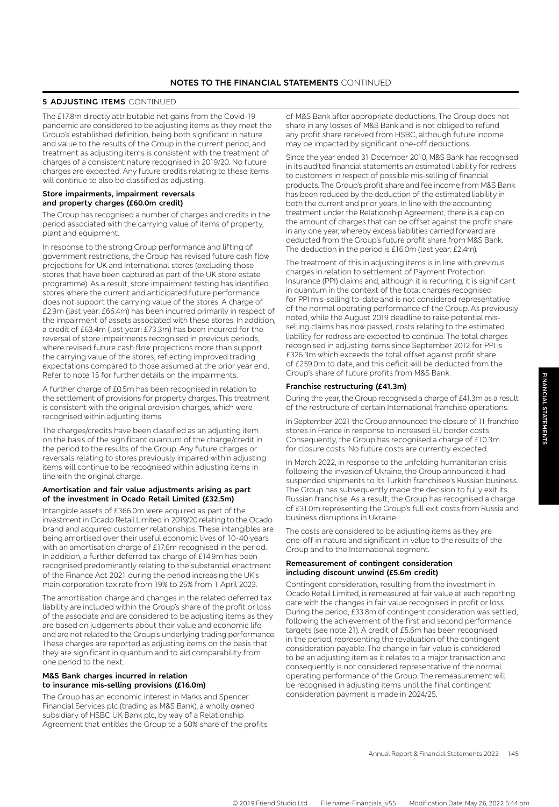## **5 ADJUSTING ITEMS** CONTINUED

The £17.8m directly attributable net gains from the Covid-19 pandemic are considered to be adjusting items as they meet the Group's established definition, being both significant in nature and value to the results of the Group in the current period, and treatment as adjusting items is consistent with the treatment of charges of a consistent nature recognised in 2019/20. No future charges are expected. Any future credits relating to these items will continue to also be classified as adjusting.

### **Store impairments, impairment reversals and property charges (£60.0m credit)**

The Group has recognised a number of charges and credits in the period associated with the carrying value of items of property, plant and equipment.

In response to the strong Group performance and lifting of government restrictions, the Group has revised future cash flow projections for UK and International stores (excluding those stores that have been captured as part of the UK store estate programme). As a result, store impairment testing has identified stores where the current and anticipated future performance does not support the carrying value of the stores. A charge of £2.9m (last year: £66.4m) has been incurred primarily in respect of the impairment of assets associated with these stores. In addition, a credit of £63.4m (last year: £73.3m) has been incurred for the reversal of store impairments recognised in previous periods, where revised future cash flow projections more than support the carrying value of the stores, reflecting improved trading expectations compared to those assumed at the prior year end. Refer to note 15 for further details on the impairments.

A further charge of £0.5m has been recognised in relation to the settlement of provisions for property charges. This treatment is consistent with the original provision charges, which were recognised within adjusting items.

The charges/credits have been classified as an adjusting item on the basis of the significant quantum of the charge/credit in the period to the results of the Group. Any future charges or reversals relating to stores previously impaired within adjusting items will continue to be recognised within adjusting items in line with the original charge.

### **Amortisation and fair value adjustments arising as part of the investment in Ocado Retail Limited (£32.5m)**

Intangible assets of £366.0m were acquired as part of the investment in Ocado Retail Limited in 2019/20 relating to the Ocado brand and acquired customer relationships. These intangibles are being amortised over their useful economic lives of 10-40 years with an amortisation charge of £17.6m recognised in the period. In addition, a further deferred tax charge of £14.9m has been recognised predominantly relating to the substantial enactment of the Finance Act 2021 during the period increasing the UK's main corporation tax rate from 19% to 25% from 1 April 2023.

The amortisation charge and changes in the related deferred tax liability are included within the Group's share of the profit or loss of the associate and are considered to be adjusting items as they are based on judgements about their value and economic life and are not related to the Group's underlying trading performance. These charges are reported as adjusting items on the basis that they are significant in quantum and to aid comparability from one period to the next.

#### **M&S Bank charges incurred in relation to insurance mis-selling provisions (£16.0m)**

The Group has an economic interest in Marks and Spencer Financial Services plc (trading as M&S Bank), a wholly owned subsidiary of HSBC UK Bank plc, by way of a Relationship Agreement that entitles the Group to a 50% share of the profits of M&S Bank after appropriate deductions. The Group does not share in any losses of M&S Bank and is not obliged to refund any profit share received from HSBC, although future income may be impacted by significant one-off deductions.

Since the year ended 31 December 2010, M&S Bank has recognised in its audited financial statements an estimated liability for redress to customers in respect of possible mis-selling of financial products. The Group's profit share and fee income from M&S Bank has been reduced by the deduction of the estimated liability in both the current and prior years. In line with the accounting treatment under the Relationship Agreement, there is a cap on the amount of charges that can be offset against the profit share in any one year, whereby excess liabilities carried forward are deducted from the Group's future profit share from M&S Bank. The deduction in the period is £16.0m (last year: £2.4m).

The treatment of this in adjusting items is in line with previous charges in relation to settlement of Payment Protection Insurance (PPI) claims and, although it is recurring, it is significant in quantum in the context of the total charges recognised for PPI mis-selling to-date and is not considered representative of the normal operating performance of the Group. As previously noted, while the August 2019 deadline to raise potential misselling claims has now passed, costs relating to the estimated liability for redress are expected to continue. The total charges recognised in adjusting items since September 2012 for PPI is £326.3m which exceeds the total offset against profit share of £259.0m to date, and this deficit will be deducted from the Group's share of future profits from M&S Bank.

### **Franchise restructuring (£41.3m)**

During the year, the Group recognised a charge of £41.3m as a result of the restructure of certain International franchise operations.

In September 2021 the Group announced the closure of 11 franchise stores in France in response to increased EU border costs. Consequently, the Group has recognised a charge of £10.3m for closure costs. No future costs are currently expected.

In March 2022, in response to the unfolding humanitarian crisis following the invasion of Ukraine, the Group announced it had suspended shipments to its Turkish franchisee's Russian business. The Group has subsequently made the decision to fully exit its Russian franchise. As a result, the Group has recognised a charge of £31.0m representing the Group's full exit costs from Russia and business disruptions in Ukraine.

The costs are considered to be adjusting items as they are one-off in nature and significant in value to the results of the Group and to the International segment.

#### **Remeasurement of contingent consideration including discount unwind (£5.6m credit)**

Contingent consideration, resulting from the investment in Ocado Retail Limited, is remeasured at fair value at each reporting date with the changes in fair value recognised in profit or loss. During the period, £33.8m of contingent consideration was settled, following the achievement of the first and second performance targets (see note 21). A credit of £5.6m has been recognised in the period, representing the revaluation of the contingent consideration payable. The change in fair value is considered to be an adjusting item as it relates to a major transaction and consequently is not considered representative of the normal operating performance of the Group. The remeasurement will be recognised in adjusting items until the final contingent consideration payment is made in 2024/25.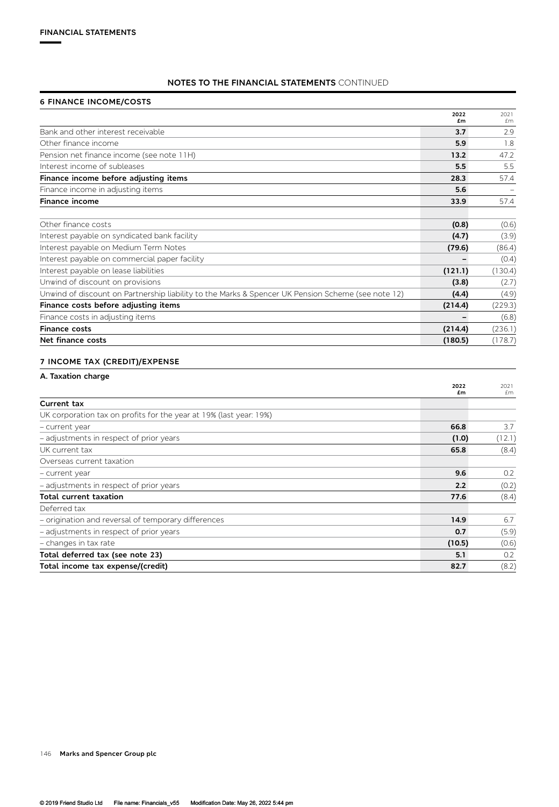# **6 FINANCE INCOME/COSTS**

|                                                                                                    | 2022<br>£m | 2021<br>f m |
|----------------------------------------------------------------------------------------------------|------------|-------------|
| Bank and other interest receivable                                                                 | 3.7        | 2.9         |
| Other finance income                                                                               | 5.9        | 1.8         |
| Pension net finance income (see note 11H)                                                          | 13.2       | 47.2        |
| Interest income of subleases                                                                       | 5.5        | 5.5         |
| Finance income before adjusting items                                                              | 28.3       | 57.4        |
| Finance income in adjusting items                                                                  | 5.6        |             |
| <b>Finance income</b>                                                                              | 33.9       | 57.4        |
| Other finance costs                                                                                | (0.8)      | (0.6)       |
| Interest payable on syndicated bank facility                                                       | (4.7)      | (3.9)       |
| Interest payable on Medium Term Notes                                                              | (79.6)     | (86.4)      |
| Interest payable on commercial paper facility                                                      |            | (0.4)       |
| Interest payable on lease liabilities                                                              | (121.1)    | (130.4)     |
| Unwind of discount on provisions                                                                   | (3.8)      | (2.7)       |
| Unwind of discount on Partnership liability to the Marks & Spencer UK Pension Scheme (see note 12) | (4.4)      | (4.9)       |
| Finance costs before adjusting items                                                               | (214.4)    | (229.3)     |
| Finance costs in adjusting items                                                                   |            | (6.8)       |
| <b>Finance costs</b>                                                                               | (214.4)    | (236.1)     |
| Net finance costs                                                                                  | (180.5)    | (178.7)     |
| 7 INCOME TAX (CREDIT)/EXPENSE                                                                      |            |             |
| A. Taxation charge                                                                                 |            |             |

|                                                                    | 2022<br>£m | 2021<br>£m |
|--------------------------------------------------------------------|------------|------------|
| Current tax                                                        |            |            |
| UK corporation tax on profits for the year at 19% (last year: 19%) |            |            |
| - current year                                                     | 66.8       | 3.7        |
| - adjustments in respect of prior years                            | (1.0)      | (12.1)     |
| UK current tax                                                     | 65.8       | (8.4)      |
| Overseas current taxation                                          |            |            |
| - current year                                                     | 9.6        | 0.2        |
| - adjustments in respect of prior years                            | 2.2        | (0.2)      |
| <b>Total current taxation</b>                                      | 77.6       | (8.4)      |
| Deferred tax                                                       |            |            |
| - origination and reversal of temporary differences                | 14.9       | 6.7        |
| - adjustments in respect of prior years                            | 0.7        | (5.9)      |
| - changes in tax rate                                              | (10.5)     | (0.6)      |
| Total deferred tax (see note 23)                                   | 5.1        | 0.2        |
| Total income tax expense/(credit)                                  | 82.7       | (8.2)      |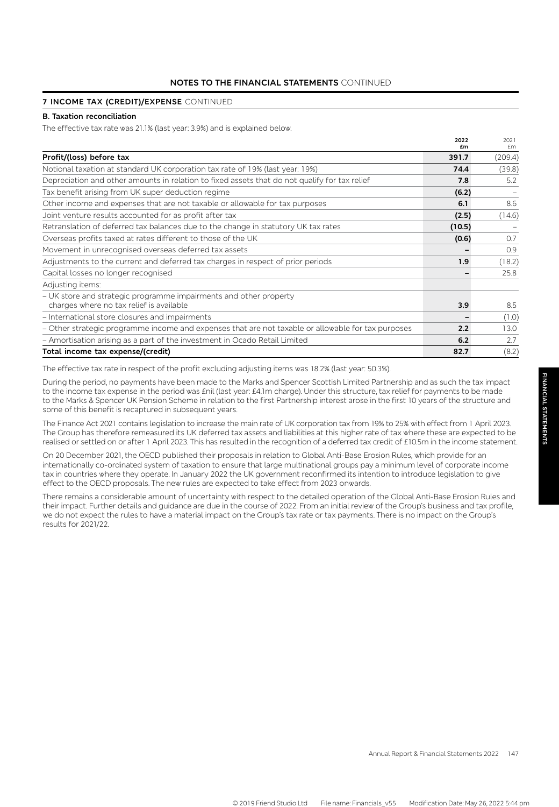## **7 INCOME TAX (CREDIT)/EXPENSE** CONTINUED

### **B. Taxation reconciliation**

The effective tax rate was 21.1% (last year: 3.9%) and is explained below.

|                                                                                                               | 2022<br>£m | 2021<br>£m |
|---------------------------------------------------------------------------------------------------------------|------------|------------|
| Profit/(loss) before tax                                                                                      | 391.7      | (209.4)    |
| Notional taxation at standard UK corporation tax rate of 19% (last year: 19%)                                 | 74.4       | (39.8)     |
| Depreciation and other amounts in relation to fixed assets that do not qualify for tax relief                 | 7.8        | 5.2        |
| Tax benefit arising from UK super deduction regime                                                            | (6.2)      |            |
| Other income and expenses that are not taxable or allowable for tax purposes                                  | 6.1        | 8.6        |
| Joint venture results accounted for as profit after tax                                                       | (2.5)      | (14.6)     |
| Retranslation of deferred tax balances due to the change in statutory UK tax rates                            | (10.5)     |            |
| Overseas profits taxed at rates different to those of the UK                                                  | (0.6)      | 0.7        |
| Movement in unrecognised overseas deferred tax assets                                                         |            | 0.9        |
| Adjustments to the current and deferred tax charges in respect of prior periods                               | 1.9        | (18.2)     |
| Capital losses no longer recognised                                                                           |            | 25.8       |
| Adjusting items:                                                                                              |            |            |
| – UK store and strategic programme impairments and other property<br>charges where no tax relief is available | 3.9        | 8.5        |
| - International store closures and impairments                                                                |            | (1.0)      |
| - Other strategic programme income and expenses that are not taxable or allowable for tax purposes            | 2.2        | 13.0       |
| - Amortisation arising as a part of the investment in Ocado Retail Limited                                    | 6.2        | 2.7        |
| Total income tax expense/(credit)                                                                             | 82.7       | (8.2)      |

The effective tax rate in respect of the profit excluding adjusting items was 18.2% (last year: 50.3%).

During the period, no payments have been made to the Marks and Spencer Scottish Limited Partnership and as such the tax impact to the income tax expense in the period was £nil (last year: £4.1m charge). Under this structure, tax relief for payments to be made to the Marks & Spencer UK Pension Scheme in relation to the first Partnership interest arose in the first 10 years of the structure and some of this benefit is recaptured in subsequent years.

The Finance Act 2021 contains legislation to increase the main rate of UK corporation tax from 19% to 25% with effect from 1 April 2023. The Group has therefore remeasured its UK deferred tax assets and liabilities at this higher rate of tax where these are expected to be realised or settled on or after 1 April 2023. This has resulted in the recognition of a deferred tax credit of £10.5m in the income statement.

On 20 December 2021, the OECD published their proposals in relation to Global Anti-Base Erosion Rules, which provide for an internationally co-ordinated system of taxation to ensure that large multinational groups pay a minimum level of corporate income tax in countries where they operate. In January 2022 the UK government reconfirmed its intention to introduce legislation to give effect to the OECD proposals. The new rules are expected to take effect from 2023 onwards.

There remains a considerable amount of uncertainty with respect to the detailed operation of the Global Anti-Base Erosion Rules and their impact. Further details and guidance are due in the course of 2022. From an initial review of the Group's business and tax profile, we do not expect the rules to have a material impact on the Group's tax rate or tax payments. There is no impact on the Group's results for 2021/22.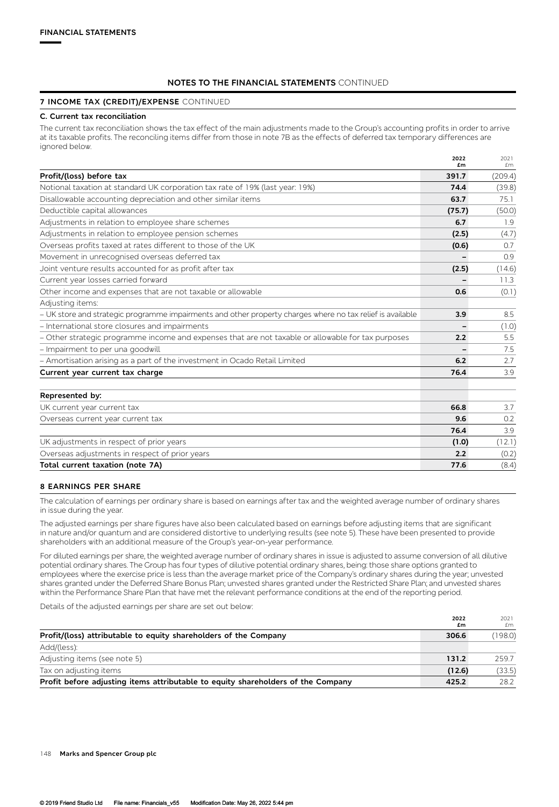## **7 INCOME TAX (CREDIT)/EXPENSE** CONTINUED

### **C. Current tax reconciliation**

The current tax reconciliation shows the tax effect of the main adjustments made to the Group's accounting profits in order to arrive at its taxable profits. The reconciling items differ from those in note 7B as the effects of deferred tax temporary differences are ignored below.

|                                                                                                            | 2022<br>£m | 2021<br>fm |
|------------------------------------------------------------------------------------------------------------|------------|------------|
| Profit/(loss) before tax                                                                                   | 391.7      | (209.4)    |
| Notional taxation at standard UK corporation tax rate of 19% (last year: 19%)                              | 74.4       | (39.8)     |
| Disallowable accounting depreciation and other similar items                                               | 63.7       | 75.1       |
| Deductible capital allowances                                                                              | (75.7)     | (50.0)     |
| Adjustments in relation to employee share schemes                                                          | 6.7        | 1.9        |
| Adjustments in relation to employee pension schemes                                                        | (2.5)      | (4.7)      |
| Overseas profits taxed at rates different to those of the UK                                               | (0.6)      | 0.7        |
| Movement in unrecognised overseas deferred tax                                                             |            | 0.9        |
| Joint venture results accounted for as profit after tax                                                    | (2.5)      | (14.6)     |
| Current year losses carried forward                                                                        |            | 11.3       |
| Other income and expenses that are not taxable or allowable                                                | 0.6        | (0.1)      |
| Adjusting items:                                                                                           |            |            |
| - UK store and strategic programme impairments and other property charges where no tax relief is available | 3.9        | 8.5        |
| - International store closures and impairments                                                             |            | (1.0)      |
| - Other strategic programme income and expenses that are not taxable or allowable for tax purposes         | 2.2        | 5.5        |
| - Impairment to per una goodwill                                                                           |            | 7.5        |
| - Amortisation arising as a part of the investment in Ocado Retail Limited                                 | 6.2        | 2.7        |
| Current year current tax charge                                                                            | 76.4       | 3.9        |

| Represented by:                                |       |        |
|------------------------------------------------|-------|--------|
| UK current year current tax                    | 66.8  | 37     |
| Overseas current year current tax              | 9.6   | 0.2    |
|                                                | 76.4  | 3.9    |
| UK adjustments in respect of prior years       | (1.0) | (12.1) |
| Overseas adjustments in respect of prior years | 2.2   | (0.2)  |
| Total current taxation (note 7A)               | 77.6  | (8.4)  |

## **8 EARNINGS PER SHARE**

The calculation of earnings per ordinary share is based on earnings after tax and the weighted average number of ordinary shares in issue during the year.

The adjusted earnings per share figures have also been calculated based on earnings before adjusting items that are significant in nature and/or quantum and are considered distortive to underlying results (see note 5). These have been presented to provide shareholders with an additional measure of the Group's year-on-year performance.

For diluted earnings per share, the weighted average number of ordinary shares in issue is adjusted to assume conversion of all dilutive potential ordinary shares. The Group has four types of dilutive potential ordinary shares, being: those share options granted to employees where the exercise price is less than the average market price of the Company's ordinary shares during the year; unvested shares granted under the Deferred Share Bonus Plan; unvested shares granted under the Restricted Share Plan; and unvested shares within the Performance Share Plan that have met the relevant performance conditions at the end of the reporting period.

Details of the adjusted earnings per share are set out below:

|                                                                                  | 2022   | 2021   |
|----------------------------------------------------------------------------------|--------|--------|
|                                                                                  | £m     | £m     |
| Profit/(loss) attributable to equity shareholders of the Company                 | 306.6  | 198.0  |
| Add/(less):                                                                      |        |        |
| Adjusting items (see note 5)                                                     | 131.2  | 259.7  |
| Tax on adjusting items                                                           | (12.6) | (33.5) |
| Profit before adjusting items attributable to equity shareholders of the Company | 425.2  | 28.2   |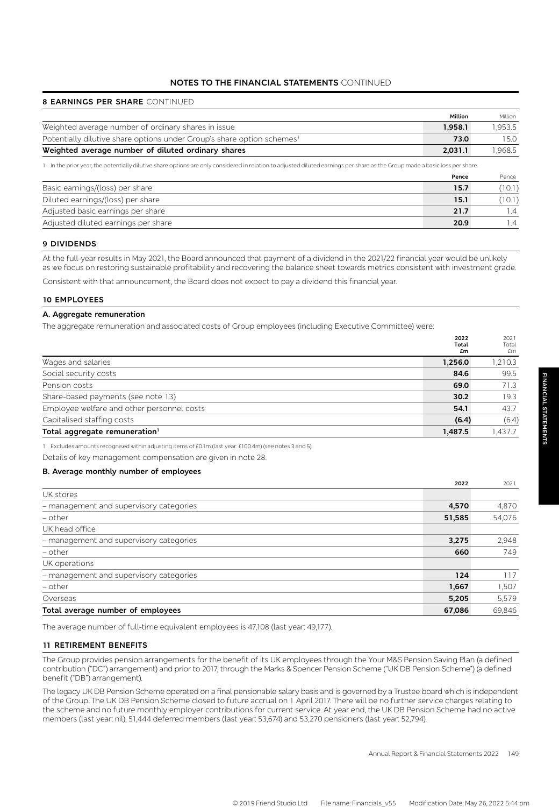# **8 EARNINGS PER SHARE** CONTINUED

|                                                                                    | Million | <b>Million</b> |
|------------------------------------------------------------------------------------|---------|----------------|
| Weighted average number of ordinary shares in issue                                | 1.958.1 | 1.953.5        |
| Potentially dilutive share options under Group's share option schemes <sup>1</sup> | 73.0    | 15.O           |
| Weighted average number of diluted ordinary shares                                 | 2.031.1 | .968.5         |
|                                                                                    |         |                |

1. In the prior year, the potentially dilutive share options are only considered in relation to adjusted diluted earnings per share as the Group made a basic loss per share.

|                                     | Pence | Pence   |
|-------------------------------------|-------|---------|
| Basic earnings/(loss) per share     | 15.7  | (10.1)  |
| Diluted earnings/(loss) per share   | 15.1  | (10.1)  |
| Adjusted basic earnings per share   | 21.7  | $\pm 4$ |
| Adjusted diluted earnings per share | 20.9  | 1.4     |

### **9 DIVIDENDS**

At the full-year results in May 2021, the Board announced that payment of a dividend in the 2021/22 financial year would be unlikely as we focus on restoring sustainable profitability and recovering the balance sheet towards metrics consistent with investment grade.

Consistent with that announcement, the Board does not expect to pay a dividend this financial year.

### **10 EMPLOYEES**

## **A. Aggregate remuneration**

The aggregate remuneration and associated costs of Group employees (including Executive Committee) were:

|                                            | 2022    | 2021    |
|--------------------------------------------|---------|---------|
|                                            | Total   | Total   |
|                                            | £m      | £m      |
| Wages and salaries                         | 1,256.0 | 1,210.3 |
| Social security costs                      | 84.6    | 99.5    |
| Pension costs                              | 69.0    | 71.3    |
| Share-based payments (see note 13)         | 30.2    | 19.3    |
| Employee welfare and other personnel costs | 54.1    | 43.7    |
| Capitalised staffing costs                 | (6.4)   | (6.4)   |
| Total aggregate remuneration <sup>1</sup>  | 1,487.5 | 1,437.7 |
|                                            |         |         |

1. Excludes amounts recognised within adjusting items of £0.1m (last year: £100.4m) (see notes 3 and 5).

Details of key management compensation are given in note 28.

### **B. Average monthly number of employees**

| 2022   | 2021   |
|--------|--------|
|        |        |
| 4,570  | 4,870  |
| 51,585 | 54,076 |
|        |        |
| 3,275  | 2,948  |
| 660    | 749    |
|        |        |
| 124    | 117    |
| 1,667  | 1,507  |
| 5,205  | 5,579  |
| 67,086 | 69,846 |
|        |        |

The average number of full-time equivalent employees is 47,108 (last year: 49,177).

#### **11 RETIREMENT BENEFITS**

The Group provides pension arrangements for the benefit of its UK employees through the Your M&S Pension Saving Plan (a defined contribution ("DC") arrangement) and prior to 2017, through the Marks & Spencer Pension Scheme ("UK DB Pension Scheme") (a defined benefit ("DB") arrangement).

The legacy UK DB Pension Scheme operated on a final pensionable salary basis and is governed by a Trustee board which is independent of the Group. The UK DB Pension Scheme closed to future accrual on 1 April 2017. There will be no further service charges relating to the scheme and no future monthly employer contributions for current service. At year end, the UK DB Pension Scheme had no active members (last year: nil), 51,444 deferred members (last year: 53,674) and 53,270 pensioners (last year: 52,794).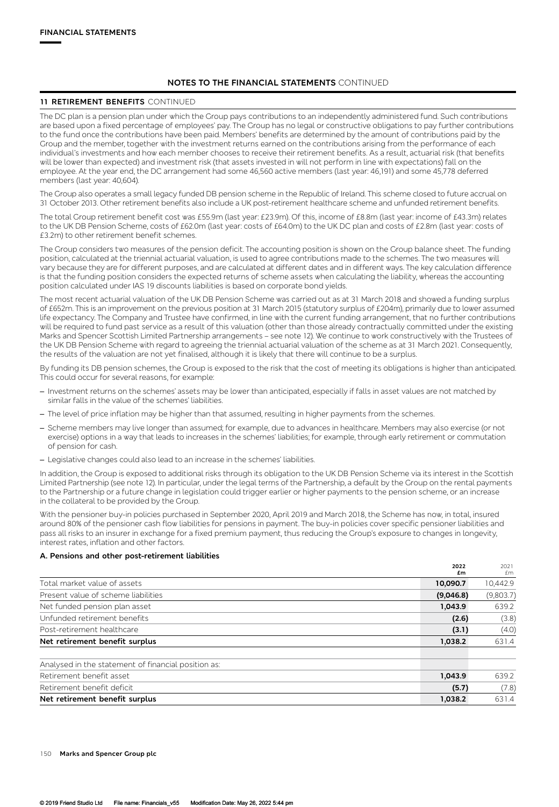## **11 RETIREMENT BENEFITS** CONTINUED

The DC plan is a pension plan under which the Group pays contributions to an independently administered fund. Such contributions are based upon a fixed percentage of employees' pay. The Group has no legal or constructive obligations to pay further contributions to the fund once the contributions have been paid. Members' benefits are determined by the amount of contributions paid by the Group and the member, together with the investment returns earned on the contributions arising from the performance of each individual's investments and how each member chooses to receive their retirement benefits. As a result, actuarial risk (that benefits will be lower than expected) and investment risk (that assets invested in will not perform in line with expectations) fall on the employee. At the year end, the DC arrangement had some 46,560 active members (last year: 46,191) and some 45,778 deferred members (last year: 40,604).

The Group also operates a small legacy funded DB pension scheme in the Republic of Ireland. This scheme closed to future accrual on 31 October 2013. Other retirement benefits also include a UK post-retirement healthcare scheme and unfunded retirement benefits.

The total Group retirement benefit cost was £55.9m (last year: £23.9m). Of this, income of £8.8m (last year: income of £43.3m) relates to the UK DB Pension Scheme, costs of £62.0m (last year: costs of £64.0m) to the UK DC plan and costs of £2.8m (last year: costs of £3.2m) to other retirement benefit schemes.

The Group considers two measures of the pension deficit. The accounting position is shown on the Group balance sheet. The funding position, calculated at the triennial actuarial valuation, is used to agree contributions made to the schemes. The two measures will vary because they are for different purposes, and are calculated at different dates and in different ways. The key calculation difference is that the funding position considers the expected returns of scheme assets when calculating the liability, whereas the accounting position calculated under IAS 19 discounts liabilities is based on corporate bond yields.

The most recent actuarial valuation of the UK DB Pension Scheme was carried out as at 31 March 2018 and showed a funding surplus of £652m. This is an improvement on the previous position at 31 March 2015 (statutory surplus of £204m), primarily due to lower assumed life expectancy. The Company and Trustee have confirmed, in line with the current funding arrangement, that no further contributions will be required to fund past service as a result of this valuation (other than those already contractually committed under the existing Marks and Spencer Scottish Limited Partnership arrangements – see note 12). We continue to work constructively with the Trustees of the UK DB Pension Scheme with regard to agreeing the triennial actuarial valuation of the scheme as at 31 March 2021. Consequently, the results of the valuation are not yet finalised, although it is likely that there will continue to be a surplus.

By funding its DB pension schemes, the Group is exposed to the risk that the cost of meeting its obligations is higher than anticipated. This could occur for several reasons, for example:

- Investment returns on the schemes' assets may be lower than anticipated, especially if falls in asset values are not matched by similar falls in the value of the schemes' liabilities.
- The level of price inflation may be higher than that assumed, resulting in higher payments from the schemes.
- Scheme members may live longer than assumed; for example, due to advances in healthcare. Members may also exercise (or not exercise) options in a way that leads to increases in the schemes' liabilities; for example, through early retirement or commutation of pension for cash.
- Legislative changes could also lead to an increase in the schemes' liabilities.

In addition, the Group is exposed to additional risks through its obligation to the UK DB Pension Scheme via its interest in the Scottish Limited Partnership (see note 12). In particular, under the legal terms of the Partnership, a default by the Group on the rental payments to the Partnership or a future change in legislation could trigger earlier or higher payments to the pension scheme, or an increase in the collateral to be provided by the Group.

With the pensioner buy-in policies purchased in September 2020, April 2019 and March 2018, the Scheme has now, in total, insured around 80% of the pensioner cash flow liabilities for pensions in payment. The buy-in policies cover specific pensioner liabilities and pass all risks to an insurer in exchange for a fixed premium payment, thus reducing the Group's exposure to changes in longevity, interest rates, inflation and other factors.

### **A. Pensions and other post-retirement liabilities**

|                                                     | 2022<br>£m | 2021<br>£m |
|-----------------------------------------------------|------------|------------|
| Total market value of assets                        | 10,090.7   | 10,442.9   |
| Present value of scheme liabilities                 | (9,046.8)  | (9,803.7)  |
| Net funded pension plan asset                       | 1,043.9    | 639.2      |
| Unfunded retirement benefits                        | (2.6)      | (3.8)      |
| Post-retirement healthcare                          | (3.1)      | (4.0)      |
| Net retirement benefit surplus                      | 1,038.2    | 631.4      |
| Analysed in the statement of financial position as: |            |            |
| Retirement benefit asset                            | 1,043.9    | 639.2      |
| Retirement benefit deficit                          | (5.7)      | (7.8)      |
| Net retirement benefit surplus                      | 1,038.2    | 631.4      |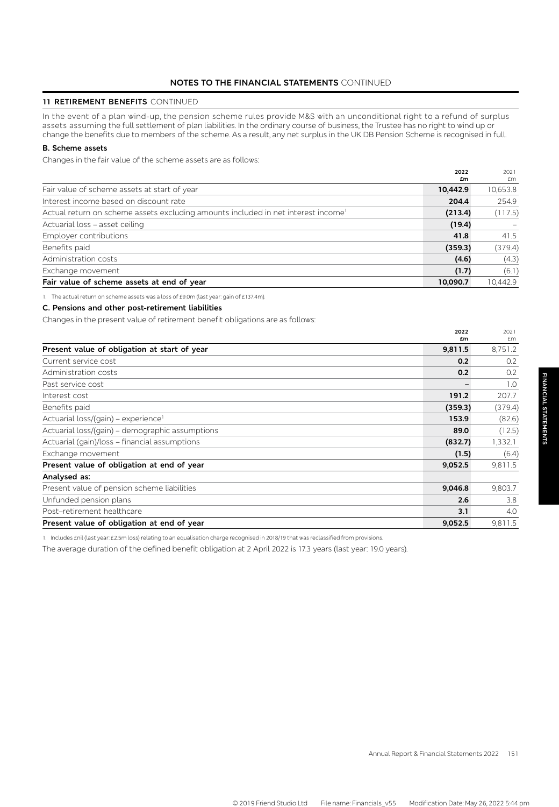## **11 RETIREMENT BENEFITS** CONTINUED

In the event of a plan wind-up, the pension scheme rules provide M&S with an unconditional right to a refund of surplus assets assuming the full settlement of plan liabilities. In the ordinary course of business, the Trustee has no right to wind up or change the benefits due to members of the scheme. As a result, any net surplus in the UK DB Pension Scheme is recognised in full.

## **B. Scheme assets**

Changes in the fair value of the scheme assets are as follows:

|                                                                                               | 2022<br>£m | 2021<br>£m |
|-----------------------------------------------------------------------------------------------|------------|------------|
| Fair value of scheme assets at start of year                                                  | 10,442.9   | 10,653.8   |
| Interest income based on discount rate                                                        | 204.4      | 254.9      |
| Actual return on scheme assets excluding amounts included in net interest income <sup>1</sup> | (213.4)    | (117.5)    |
| Actuarial loss - asset ceiling                                                                | (19.4)     |            |
| Employer contributions                                                                        | 41.8       | 41.5       |
| Benefits paid                                                                                 | (359.3)    | (379.4)    |
| Administration costs                                                                          | (4.6)      | (4.3)      |
| Exchange movement                                                                             | (1.7)      | (6.1)      |
| Fair value of scheme assets at end of year                                                    | 10.090.7   | 10,442.9   |

1. The actual return on scheme assets was a loss of £9.0m (last year: gain of £137.4m).

## **C. Pensions and other post-retirement liabilities**

Changes in the present value of retirement benefit obligations are as follows:

|                                                 | 2022<br>£m | 2021<br>£m |
|-------------------------------------------------|------------|------------|
| Present value of obligation at start of year    | 9,811.5    | 8,751.2    |
| Current service cost                            | 0.2        | 0.2        |
| Administration costs                            | 0.2        | 0.2        |
| Past service cost                               |            | 1.0        |
| Interest cost                                   | 191.2      | 207.7      |
| Benefits paid                                   | (359.3)    | (379.4)    |
| Actuarial loss/(gain) – experience <sup>1</sup> | 153.9      | (82.6)     |
| Actuarial loss/(gain) – demographic assumptions | 89.0       | (12.5)     |
| Actuarial (gain)/loss – financial assumptions   | (832.7)    | 1,332.1    |
| Exchange movement                               | (1.5)      | (6.4)      |
| Present value of obligation at end of year      | 9,052.5    | 9,811.5    |
| Analysed as:                                    |            |            |
| Present value of pension scheme liabilities     | 9,046.8    | 9,803.7    |
| Unfunded pension plans                          | 2.6        | 3.8        |
| Post-retirement healthcare                      | 3.1        | 4.0        |
| Present value of obligation at end of year      | 9,052.5    | 9,811.5    |

1. Includes £nil (last year: £2.5m loss) relating to an equalisation charge recognised in 2018/19 that was reclassified from provisions.

The average duration of the defined benefit obligation at 2 April 2022 is 17.3 years (last year: 19.0 years).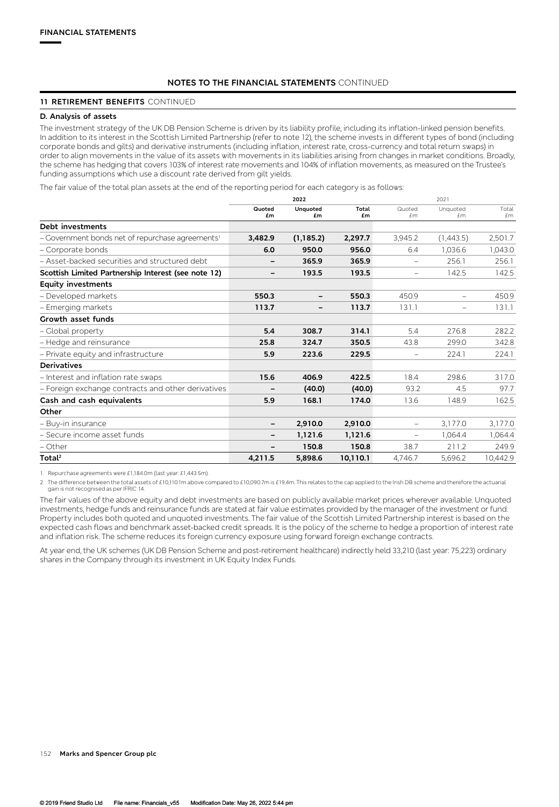## **11 RETIREMENT BENEFITS** CONTINUED

#### **D. Analysis of assets**

The investment strategy of the UK DB Pension Scheme is driven by its liability profile, including its inflation-linked pension benefits. In addition to its interest in the Scottish Limited Partnership (refer to note 12), the scheme invests in different types of bond (including corporate bonds and gilts) and derivative instruments (including inflation, interest rate, cross-currency and total return swaps) in order to align movements in the value of its assets with movements in its liabilities arising from changes in market conditions. Broadly, the scheme has hedging that covers 103% of interest rate movements and 104% of inflation movements, as measured on the Trustee's funding assumptions which use a discount rate derived from gilt yields.

The fair value of the total plan assets at the end of the reporting period for each category is as follows:

|                                                              | 2022                         |                | 2021        |                          |                          |             |
|--------------------------------------------------------------|------------------------------|----------------|-------------|--------------------------|--------------------------|-------------|
|                                                              | Quoted<br>£m                 | Unquoted<br>£m | Total<br>£m | Quoted<br>£m             | Unquoted<br>£m           | Total<br>£m |
| Debt investments                                             |                              |                |             |                          |                          |             |
| - Government bonds net of repurchase agreements <sup>1</sup> | 3,482.9                      | (1, 185.2)     | 2,297.7     | 3,945.2                  | (1,443.5)                | 2,501.7     |
| - Corporate bonds                                            | 6.0                          | 950.0          | 956.0       | 6.4                      | 1,036.6                  | 1,043.0     |
| - Asset-backed securities and structured debt                | -                            | 365.9          | 365.9       | $\overline{\phantom{0}}$ | 256.1                    | 256.1       |
| Scottish Limited Partnership Interest (see note 12)          | -                            | 193.5          | 193.5       | $\overline{\phantom{0}}$ | 142.5                    | 142.5       |
| <b>Equity investments</b>                                    |                              |                |             |                          |                          |             |
| - Developed markets                                          | 550.3                        |                | 550.3       | 450.9                    | $\overline{\phantom{0}}$ | 450.9       |
| - Emerging markets                                           | 113.7                        | -              | 113.7       | 131.1                    | $\overline{\phantom{0}}$ | 131.1       |
| Growth asset funds                                           |                              |                |             |                          |                          |             |
| - Global property                                            | 5.4                          | 308.7          | 314.1       | 5.4                      | 276.8                    | 282.2       |
| - Hedge and reinsurance                                      | 25.8                         | 324.7          | 350.5       | 43.8                     | 299.0                    | 342.8       |
| - Private equity and infrastructure                          | 5.9                          | 223.6          | 229.5       | $\overline{\phantom{0}}$ | 224.1                    | 224.1       |
| <b>Derivatives</b>                                           |                              |                |             |                          |                          |             |
| - Interest and inflation rate swaps                          | 15.6                         | 406.9          | 422.5       | 18.4                     | 298.6                    | 317.0       |
| - Foreign exchange contracts and other derivatives           |                              | (40.0)         | (40.0)      | 93.2                     | 4.5                      | 97.7        |
| Cash and cash equivalents                                    | 5.9                          | 168.1          | 174.0       | 13.6                     | 148.9                    | 162.5       |
| Other                                                        |                              |                |             |                          |                          |             |
| - Buy-in insurance                                           | -                            | 2,910.0        | 2,910.0     | $\overline{\phantom{m}}$ | 3,177.0                  | 3,177.0     |
| - Secure income asset funds                                  | $\qquad \qquad \blacksquare$ | 1,121.6        | 1,121.6     | $\overline{\phantom{0}}$ | 1,064.4                  | 1,064.4     |
| - Other                                                      |                              | 150.8          | 150.8       | 38.7                     | 211.2                    | 249.9       |
| Total $^2$                                                   | 4,211.5                      | 5,898.6        | 10,110.1    | 4,746.7                  | 5,696.2                  | 10,442.9    |

1. Repurchase agreements were £1,184.0m (last year: £1,443.5m).

2. The difference between the total assets of £10,110.1m above compared to £10,090.7m is £19.4m. This relates to the cap applied to the Irish DB scheme and therefore the actuarial gain is not recognised as per IFRIC 14

The fair values of the above equity and debt investments are based on publicly available market prices wherever available. Unquoted investments, hedge funds and reinsurance funds are stated at fair value estimates provided by the manager of the investment or fund. Property includes both quoted and unquoted investments. The fair value of the Scottish Limited Partnership interest is based on the expected cash flows and benchmark asset-backed credit spreads. It is the policy of the scheme to hedge a proportion of interest rate and inflation risk. The scheme reduces its foreign currency exposure using forward foreign exchange contracts.

At year end, the UK schemes (UK DB Pension Scheme and post-retirement healthcare) indirectly held 33,210 (last year: 75,223) ordinary shares in the Company through its investment in UK Equity Index Funds.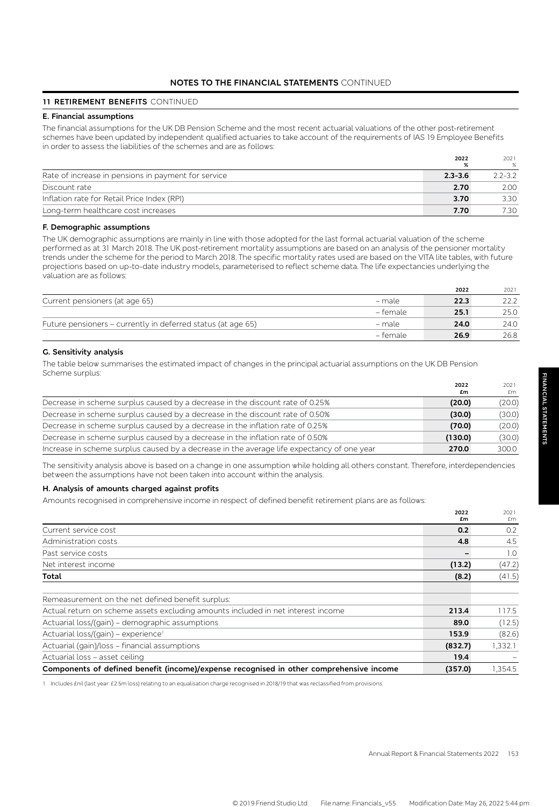## **11 RETIREMENT BENEFITS** CONTINUED

## **E. Financial assumptions**

The financial assumptions for the UK DB Pension Scheme and the most recent actuarial valuations of the other post-retirement schemes have been updated by independent qualified actuaries to take account of the requirements of IAS 19 Employee Benefits in order to assess the liabilities of the schemes and are as follows:

|                                                     | 2022<br>%   | 2021<br>% |
|-----------------------------------------------------|-------------|-----------|
| Rate of increase in pensions in payment for service | $2.3 - 3.6$ | $22-32$   |
| Discount rate                                       | 2.70        | 2.00      |
| Inflation rate for Retail Price Index (RPI)         | 3.70        | 3.30      |
| Long-term healthcare cost increases                 | 7.70        | 7.30      |

### **F. Demographic assumptions**

The UK demographic assumptions are mainly in line with those adopted for the last formal actuarial valuation of the scheme performed as at 31 March 2018. The UK post-retirement mortality assumptions are based on an analysis of the pensioner mortality trends under the scheme for the period to March 2018. The specific mortality rates used are based on the VITA lite tables, with future projections based on up-to-date industry models, parameterised to reflect scheme data. The life expectancies underlying the valuation are as follows:

|                                                              |          | 2022 | 2021 |
|--------------------------------------------------------------|----------|------|------|
| Current pensioners (at age 65)                               | – male   | 22.3 | 22.2 |
|                                                              | – female | 25.1 | 25.0 |
| Future pensioners – currently in deferred status (at age 65) | – male   | 24.0 | 24.0 |
|                                                              | – female | 26.9 | 26.8 |
|                                                              |          |      |      |

## **G. Sensitivity analysis**

The table below summarises the estimated impact of changes in the principal actuarial assumptions on the UK DB Pension Scheme surplus:

|                                                                                            | 2022<br>£m | 2021<br>f m |
|--------------------------------------------------------------------------------------------|------------|-------------|
| Decrease in scheme surplus caused by a decrease in the discount rate of 0.25%              | (20.0)     | (20.0)      |
| Decrease in scheme surplus caused by a decrease in the discount rate of 0.50%              | (30.0)     | (30.0)      |
| Decrease in scheme surplus caused by a decrease in the inflation rate of 0.25%             | (70.0)     | (20.0)      |
| Decrease in scheme surplus caused by a decrease in the inflation rate of 0.50%             | (130.0)    | (30.0)      |
| Increase in scheme surplus caused by a decrease in the average life expectancy of one year | 270.0      | 300.0       |

The sensitivity analysis above is based on a change in one assumption while holding all others constant. Therefore, interdependencies between the assumptions have not been taken into account within the analysis.

### **H. Analysis of amounts charged against profits**

Amounts recognised in comprehensive income in respect of defined benefit retirement plans are as follows:

|                                                                                         | 2022<br>£m | 2021<br>£m |
|-----------------------------------------------------------------------------------------|------------|------------|
| Current service cost                                                                    | 0.2        | 0.2        |
| Administration costs                                                                    | 4.8        | 4.5        |
| Past service costs                                                                      |            | 1.0        |
| Net interest income                                                                     | (13.2)     | (47.2)     |
| Total                                                                                   | (8.2)      | (41.5)     |
| Remeasurement on the net defined benefit surplus:                                       |            |            |
| Actual return on scheme assets excluding amounts included in net interest income        | 213.4      | 117.5      |
| Actuarial loss/(gain) - demographic assumptions                                         | 89.0       | (12.5)     |
| Actuarial loss/(gain) - experience <sup>1</sup>                                         | 153.9      | (82.6)     |
| Actuarial (gain)/loss - financial assumptions                                           | (832.7)    | 1,332.1    |
| Actuarial loss - asset ceiling                                                          | 19.4       |            |
| Components of defined benefit (income)/expense recognised in other comprehensive income | (357.0)    | 1,354.5    |

1. Includes £nil (last year: £2.5m loss) relating to an equalisation charge recognised in 2018/19 that was reclassified from provisions.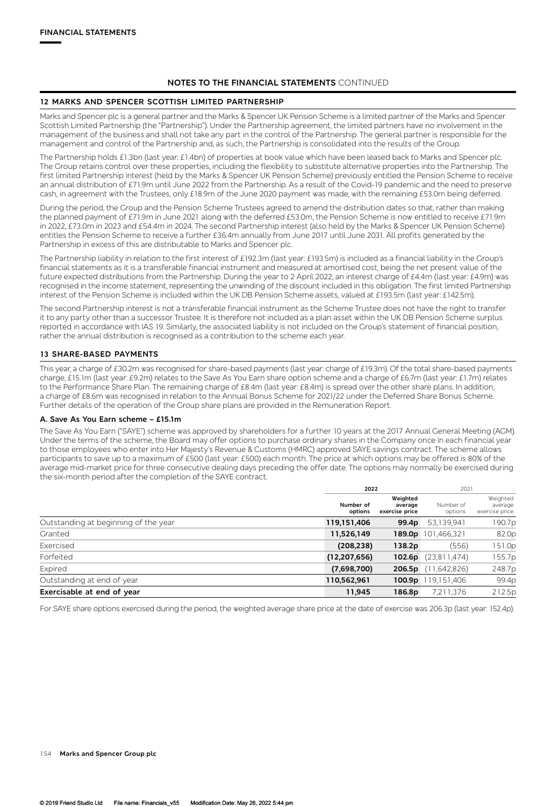#### **12 MARKS AND SPENCER SCOTTISH LIMITED PARTNERSHIP**

Marks and Spencer plc is a general partner and the Marks & Spencer UK Pension Scheme is a limited partner of the Marks and Spencer Scottish Limited Partnership (the "Partnership"). Under the Partnership agreement, the limited partners have no involvement in the management of the business and shall not take any part in the control of the Partnership. The general partner is responsible for the management and control of the Partnership and, as such, the Partnership is consolidated into the results of the Group.

The Partnership holds £1.3bn (last year: £1.4bn) of properties at book value which have been leased back to Marks and Spencer plc. The Group retains control over these properties, including the flexibility to substitute alternative properties into the Partnership. The first limited Partnership interest (held by the Marks & Spencer UK Pension Scheme) previously entitled the Pension Scheme to receive an annual distribution of £71.9m until June 2022 from the Partnership. As a result of the Covid-19 pandemic and the need to preserve cash, in agreement with the Trustees, only £18.9m of the June 2020 payment was made, with the remaining £53.0m being deferred.

During the period, the Group and the Pension Scheme Trustees agreed to amend the distribution dates so that, rather than making the planned payment of £71.9m in June 2021 along with the deferred £53.0m, the Pension Scheme is now entitled to receive £71.9m in 2022, £73.0m in 2023 and £54.4m in 2024. The second Partnership interest (also held by the Marks & Spencer UK Pension Scheme) entitles the Pension Scheme to receive a further £36.4m annually from June 2017 until June 2031. All profits generated by the Partnership in excess of this are distributable to Marks and Spencer plc.

The Partnership liability in relation to the first interest of £192.3m (last year: £193.5m) is included as a financial liability in the Group's financial statements as it is a transferable financial instrument and measured at amortised cost, being the net present value of the future expected distributions from the Partnership. During the year to 2 April 2022, an interest charge of £4.4m (last year: £4.9m) was recognised in the income statement, representing the unwinding of the discount included in this obligation. The first limited Partnership interest of the Pension Scheme is included within the UK DB Pension Scheme assets, valued at £193.5m (last year: £142.5m).

The second Partnership interest is not a transferable financial instrument as the Scheme Trustee does not have the right to transfer it to any party other than a successor Trustee. It is therefore not included as a plan asset within the UK DB Pension Scheme surplus reported in accordance with IAS 19. Similarly, the associated liability is not included on the Group's statement of financial position, rather the annual distribution is recognised as a contribution to the scheme each year.

#### **13 SHARE-BASED PAYMENTS**

This year, a charge of £30.2m was recognised for share-based payments (last year: charge of £19.3m). Of the total share-based payments charge, £15.1m (last year: £9.2m) relates to the Save As You Earn share option scheme and a charge of £6.7m (last year: £1.7m) relates to the Performance Share Plan. The remaining charge of £8.4m (last year: £8.4m) is spread over the other share plans. In addition, a charge of £8.6m was recognised in relation to the Annual Bonus Scheme for 2021/22 under the Deferred Share Bonus Scheme. Further details of the operation of the Group share plans are provided in the Remuneration Report.

#### **A. Save As You Earn scheme – £15.1m**

The Save As You Earn ("SAYE") scheme was approved by shareholders for a further 10 years at the 2017 Annual General Meeting (AGM). Under the terms of the scheme, the Board may offer options to purchase ordinary shares in the Company once in each financial year to those employees who enter into Her Majesty's Revenue & Customs (HMRC) approved SAYE savings contract. The scheme allows participants to save up to a maximum of £500 (last year: £500) each month. The price at which options may be offered is 80% of the average mid-market price for three consecutive dealing days preceding the offer date. The options may normally be exercised during the six-month period after the completion of the SAYE contract.

|                                      | 2022                 |                                       | 2021                         |                                       |  |
|--------------------------------------|----------------------|---------------------------------------|------------------------------|---------------------------------------|--|
|                                      | Number of<br>options | Weighted<br>average<br>exercise price | Number of<br>options         | Weighted<br>average<br>exercise price |  |
| Outstanding at beginning of the year | 119,151,406          | 99.4p                                 | 53,139,941                   | 190.7p                                |  |
| <b>Granted</b>                       | 11,526,149           |                                       | 189.0p 101,466,321           | 82.0p                                 |  |
| Exercised                            | (208, 238)           | 138.2p                                | (556)                        | 151.0p                                |  |
| Forfeited                            | (12, 207, 656)       |                                       | <b>102.6p</b> $(23,811,474)$ | 155.7p                                |  |
| Expired                              | (7,698,700)          |                                       | <b>206.5p</b> $(11,642,826)$ | 248.7p                                |  |
| Outstanding at end of year           | 110,562,961          | $100.9p$ 1                            | 19,151,406                   | 99.4p                                 |  |
| Exercisable at end of year           | 11,945               | 186.8p                                | 7,211,376                    | 212.5p                                |  |

For SAYE share options exercised during the period, the weighted average share price at the date of exercise was 206.3p (last year: 152.4p).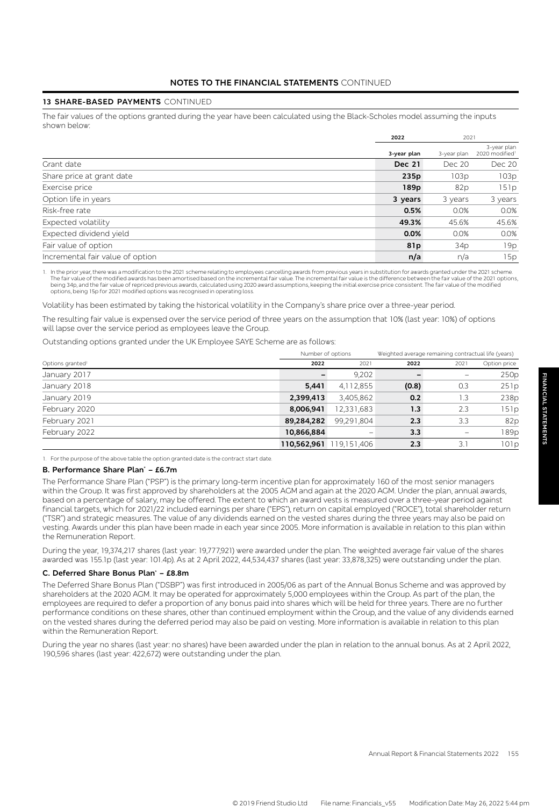## **13 SHARE-BASED PAYMENTS** CONTINUED

The fair values of the options granted during the year have been calculated using the Black-Scholes model assuming the inputs shown below:

|                                  | 2022             |               | 2021                                      |  |
|----------------------------------|------------------|---------------|-------------------------------------------|--|
|                                  | 3-year plan      | 3-year plan   | 3-year plan<br>2020 modified <sup>1</sup> |  |
| Grant date                       | <b>Dec 21</b>    | <b>Dec 20</b> | Dec 20                                    |  |
| Share price at grant date        | 235 <sub>p</sub> | 103p          | 103p                                      |  |
| Exercise price                   | 189 <sub>p</sub> | 82p           | 151p                                      |  |
| Option life in years             | 3 years          | 3 years       | 3 years                                   |  |
| Risk-free rate                   | 0.5%             | 0.0%          | 0.0%                                      |  |
| Expected volatility              | 49.3%            | 45.6%         | 45.6%                                     |  |
| Expected dividend yield          | 0.0%             | 0.0%          | 0.0%                                      |  |
| Fair value of option             | 81p              | 34p           | 19p                                       |  |
| Incremental fair value of option | n/a              | n/a           | 15p                                       |  |

1. In the prior year, there was a modification to the 2021 scheme relating to employees cancelling awards from previous years in substitution for awards granted under the 2021 scheme. The fair value of the modified awards has been amortised based on the incremental fair value. The incremental fair value is the difference between the fair value of the 2021 options,<br>being 34p, and the fair value of repric options, being 15p for 2021 modified options was recognised in operating loss.

Volatility has been estimated by taking the historical volatility in the Company's share price over a three-year period.

The resulting fair value is expensed over the service period of three years on the assumption that 10% (last year: 10%) of options will lapse over the service period as employees leave the Group.

Outstanding options granted under the UK Employee SAYE Scheme are as follows:

|                              | Number of options |                         | Weighted average remaining contractual life (years) |                   |              |
|------------------------------|-------------------|-------------------------|-----------------------------------------------------|-------------------|--------------|
| Options granted <sup>1</sup> | 2022              | 2021                    | 2022                                                | 2021              | Option price |
| January 2017                 |                   | 9,202                   |                                                     |                   | 250p         |
| January 2018                 | 5.441             | 4,112,855               | (0.8)                                               | 0.3               | 251p         |
| January 2019                 | 2,399,413         | 3,405,862               | 0.2                                                 | 1.3               | 238p         |
| February 2020                | 8,006,941         | 12,331,683              | 1.3                                                 | 2.3               | 151p         |
| February 2021                | 89,284,282        | 99,291,804              | 2.3                                                 | 3.3               | 82p          |
| February 2022                | 10,866,884        |                         | 3.3                                                 | $\qquad \qquad -$ | 189p         |
|                              |                   | 110,562,961 119,151,406 | 2.3                                                 | 3.1               | 101p         |

1. For the purpose of the above table the option granted date is the contract start date.

#### **B. Performance Share Plan\* – £6.7m**

The Performance Share Plan ("PSP") is the primary long-term incentive plan for approximately 160 of the most senior managers within the Group. It was first approved by shareholders at the 2005 AGM and again at the 2020 AGM. Under the plan, annual awards, based on a percentage of salary, may be offered. The extent to which an award vests is measured over a three-year period against financial targets, which for 2021/22 included earnings per share ("EPS"), return on capital employed ("ROCE"), total shareholder return ("TSR") and strategic measures. The value of any dividends earned on the vested shares during the three years may also be paid on vesting. Awards under this plan have been made in each year since 2005. More information is available in relation to this plan within the Remuneration Report.

During the year, 19,374,217 shares (last year: 19,777,921) were awarded under the plan. The weighted average fair value of the shares awarded was 155.1p (last year: 101.4p). As at 2 April 2022, 44,534,437 shares (last year: 33,878,325) were outstanding under the plan.

#### **C. Deferred Share Bonus Plan\* – £8.8m**

The Deferred Share Bonus Plan ("DSBP") was first introduced in 2005/06 as part of the Annual Bonus Scheme and was approved by shareholders at the 2020 AGM. It may be operated for approximately 5,000 employees within the Group. As part of the plan, the employees are required to defer a proportion of any bonus paid into shares which will be held for three years. There are no further performance conditions on these shares, other than continued employment within the Group, and the value of any dividends earned on the vested shares during the deferred period may also be paid on vesting. More information is available in relation to this plan within the Remuneration Report.

During the year no shares (last year: no shares) have been awarded under the plan in relation to the annual bonus. As at 2 April 2022, 190,596 shares (last year: 422,672) were outstanding under the plan.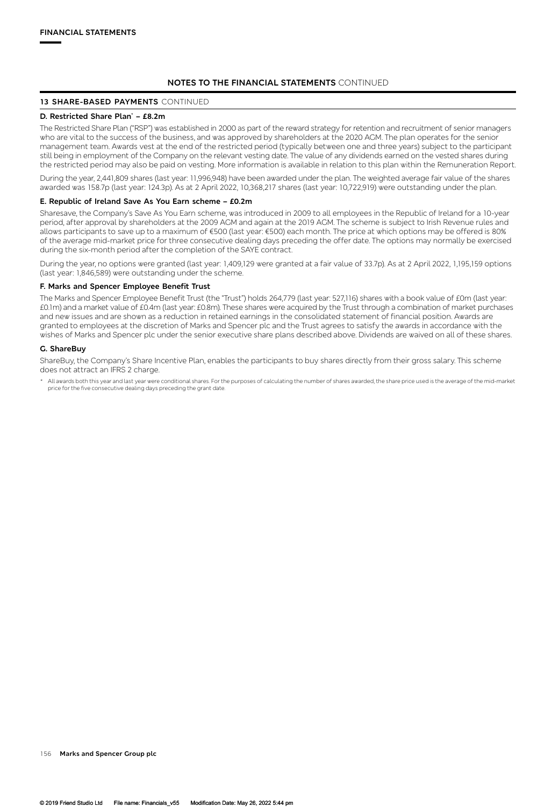## **13 SHARE-BASED PAYMENTS** CONTINUED

### **D. Restricted Share Plan\* – £8.2m**

The Restricted Share Plan ("RSP") was established in 2000 as part of the reward strategy for retention and recruitment of senior managers who are vital to the success of the business, and was approved by shareholders at the 2020 AGM. The plan operates for the senior management team. Awards vest at the end of the restricted period (typically between one and three years) subject to the participant still being in employment of the Company on the relevant vesting date. The value of any dividends earned on the vested shares during the restricted period may also be paid on vesting. More information is available in relation to this plan within the Remuneration Report.

During the year, 2,441,809 shares (last year: 11,996,948) have been awarded under the plan. The weighted average fair value of the shares awarded was 158.7p (last year: 124.3p). As at 2 April 2022, 10,368,217 shares (last year: 10,722,919) were outstanding under the plan.

#### **E. Republic of Ireland Save As You Earn scheme – £0.2m**

Sharesave, the Company's Save As You Earn scheme, was introduced in 2009 to all employees in the Republic of Ireland for a 10-year period, after approval by shareholders at the 2009 AGM and again at the 2019 AGM. The scheme is subject to Irish Revenue rules and allows participants to save up to a maximum of €500 (last year: €500) each month. The price at which options may be offered is 80% of the average mid-market price for three consecutive dealing days preceding the offer date. The options may normally be exercised during the six-month period after the completion of the SAYE contract.

During the year, no options were granted (last year: 1,409,129 were granted at a fair value of 33.7p). As at 2 April 2022, 1,195,159 options (last year: 1,846,589) were outstanding under the scheme.

### **F. Marks and Spencer Employee Benefit Trust**

The Marks and Spencer Employee Benefit Trust (the "Trust") holds 264,779 (last year: 527,116) shares with a book value of £0m (last year: £0.1m) and a market value of £0.4m (last year: £0.8m). These shares were acquired by the Trust through a combination of market purchases and new issues and are shown as a reduction in retained earnings in the consolidated statement of financial position. Awards are granted to employees at the discretion of Marks and Spencer plc and the Trust agrees to satisfy the awards in accordance with the wishes of Marks and Spencer plc under the senior executive share plans described above. Dividends are waived on all of these shares.

### **G. ShareBuy**

ShareBuy, the Company's Share Incentive Plan, enables the participants to buy shares directly from their gross salary. This scheme does not attract an IFRS 2 charge.

\* All awards both this year and last year were conditional shares. For the purposes of calculating the number of shares awarded, the share price used is the average of the mid-market<br>price for the five consecutive dealing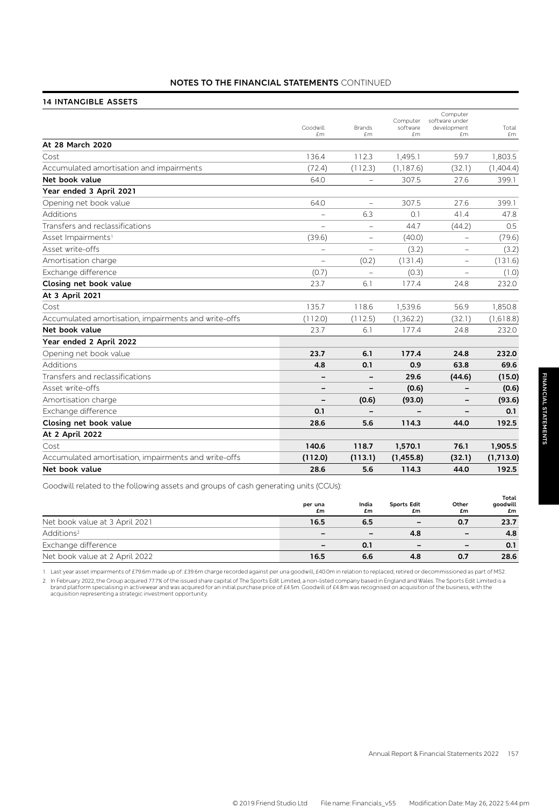# **14 INTANGIBLE ASSETS**

|                                                      | Goodwill<br>£m           | <b>Brands</b><br>£m      | Computer<br>software<br>£m | Computer<br>software under<br>development<br>£m | Total<br>£m |
|------------------------------------------------------|--------------------------|--------------------------|----------------------------|-------------------------------------------------|-------------|
| At 28 March 2020                                     |                          |                          |                            |                                                 |             |
| Cost                                                 | 136.4                    | 112.3                    | 1,495.1                    | 59.7                                            | 1,803.5     |
| Accumulated amortisation and impairments             | (72.4)                   | (112.3)                  | (1, 187.6)                 | (32.1)                                          | (1,404.4)   |
| Net book value                                       | 64.0                     | $\overline{\phantom{0}}$ | 307.5                      | 27.6                                            | 399.1       |
| Year ended 3 April 2021                              |                          |                          |                            |                                                 |             |
| Opening net book value                               | 64.0                     | $\qquad \qquad -$        | 307.5                      | 27.6                                            | 399.1       |
| <b>Additions</b>                                     |                          | 6.3                      | 0.1                        | 41.4                                            | 47.8        |
| Transfers and reclassifications                      |                          | $\overline{\phantom{0}}$ | 44.7                       | (44.2)                                          | 0.5         |
| Asset Impairments <sup>1</sup>                       | (39.6)                   | $\qquad \qquad -$        | (40.0)                     | $\qquad \qquad -$                               | (79.6)      |
| Asset write-offs                                     | $\overline{\phantom{0}}$ | $\overline{\phantom{0}}$ | (3.2)                      | $\overline{\phantom{0}}$                        | (3.2)       |
| Amortisation charge                                  |                          | (0.2)                    | (131.4)                    | $\overline{\phantom{0}}$                        | (131.6)     |
| Exchange difference                                  | (0.7)                    | $\qquad \qquad -$        | (0.3)                      | $\qquad \qquad -$                               | (1.0)       |
| Closing net book value                               | 23.7                     | 6.1                      | 177.4                      | 24.8                                            | 232.0       |
| At 3 April 2021                                      |                          |                          |                            |                                                 |             |
| Cost                                                 | 135.7                    | 118.6                    | 1,539.6                    | 56.9                                            | 1,850.8     |
| Accumulated amortisation, impairments and write-offs | (112.0)                  | (112.5)                  | (1, 362.2)                 | (32.1)                                          | (1,618.8)   |
| Net book value                                       | 23.7                     | 6.1                      | 177.4                      | 24.8                                            | 232.0       |
| Year ended 2 April 2022                              |                          |                          |                            |                                                 |             |
| Opening net book value                               | 23.7                     | 6.1                      | 177.4                      | 24.8                                            | 232.0       |
| Additions                                            | 4.8                      | 0.1                      | 0.9                        | 63.8                                            | 69.6        |
| Transfers and reclassifications                      |                          | $\qquad \qquad -$        | 29.6                       | (44.6)                                          | (15.0)      |
| Asset write-offs                                     | -                        | $\overline{\phantom{0}}$ | (0.6)                      |                                                 | (0.6)       |
| Amortisation charge                                  |                          | (0.6)                    | (93.0)                     | $\qquad \qquad \blacksquare$                    | (93.6)      |
| Exchange difference                                  | 0.1                      | $\overline{\phantom{0}}$ |                            | $\overline{\phantom{0}}$                        | 0.1         |
| Closing net book value                               | 28.6                     | 5.6                      | 114.3                      | 44.0                                            | 192.5       |
| At 2 April 2022                                      |                          |                          |                            |                                                 |             |
| Cost                                                 | 140.6                    | 118.7                    | 1,570.1                    | 76.1                                            | 1,905.5     |
| Accumulated amortisation, impairments and write-offs | (112.0)                  | (113.1)                  | (1,455.8)                  | (32.1)                                          | (1,713.0)   |
| Net book value                                       | 28.6                     | 5.6                      | 114.3                      | 44.0                                            | 192.5       |

Goodwill related to the following assets and groups of cash generating units (CGUs):

|                                | per una<br>£m | India<br>£m | <b>Sports Edit</b><br>£m | Other<br>£m              | Total<br>qoodwill<br>£m |
|--------------------------------|---------------|-------------|--------------------------|--------------------------|-------------------------|
| Net book value at 3 April 2021 | 16.5          | 6.5         |                          | 0.7                      | 23.7                    |
| Additions <sup>2</sup>         |               | -           | 4.8                      | $\overline{\phantom{0}}$ | 4.8                     |
| Exchange difference            | -             | 0.1         | $\overline{\phantom{0}}$ | $\overline{\phantom{0}}$ | 0.1                     |
| Net book value at 2 April 2022 | 16.5          | 6.6         | 4.8                      | 0.7                      | 28.6                    |

1. Last year asset impairments of £79.6m made up of: £39.6m charge recorded against per una goodwill, £40.0m in relation to replaced, retired or decommissioned as part of MS2.

2. In February 2022, the Group acquired 77.7% of the issued share capital of The Sports Edit Limited, a non-listed company based in England and Wales. The Sports Edit Limited is a<br>brand platform specialising in activewear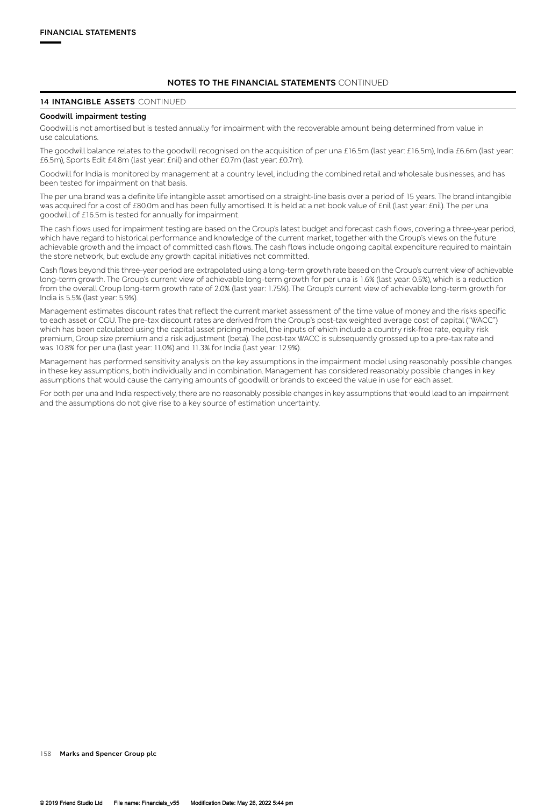## **14 INTANGIBLE ASSETS** CONTINUED

#### **Goodwill impairment testing**

Goodwill is not amortised but is tested annually for impairment with the recoverable amount being determined from value in use calculations.

The goodwill balance relates to the goodwill recognised on the acquisition of per una £16.5m (last year: £16.5m), India £6.6m (last year: £6.5m), Sports Edit £4.8m (last year: £nil) and other £0.7m (last year: £0.7m).

Goodwill for India is monitored by management at a country level, including the combined retail and wholesale businesses, and has been tested for impairment on that basis.

The per una brand was a definite life intangible asset amortised on a straight-line basis over a period of 15 years. The brand intangible was acquired for a cost of £80.0m and has been fully amortised. It is held at a net book value of £nil (last year: £nil). The per una goodwill of £16.5m is tested for annually for impairment.

The cash flows used for impairment testing are based on the Group's latest budget and forecast cash flows, covering a three-year period, which have regard to historical performance and knowledge of the current market, together with the Group's views on the future achievable growth and the impact of committed cash flows. The cash flows include ongoing capital expenditure required to maintain the store network, but exclude any growth capital initiatives not committed.

Cash flows beyond this three-year period are extrapolated using a long-term growth rate based on the Group's current view of achievable long-term growth. The Group's current view of achievable long-term growth for per una is 1.6% (last year: 0.5%), which is a reduction from the overall Group long-term growth rate of 2.0% (last year: 1.75%). The Group's current view of achievable long-term growth for India is 5.5% (last year: 5.9%).

Management estimates discount rates that reflect the current market assessment of the time value of money and the risks specific to each asset or CGU. The pre-tax discount rates are derived from the Group's post-tax weighted average cost of capital ("WACC") which has been calculated using the capital asset pricing model, the inputs of which include a country risk-free rate, equity risk premium, Group size premium and a risk adjustment (beta). The post-tax WACC is subsequently grossed up to a pre-tax rate and was 10.8% for per una (last year: 11.0%) and 11.3% for India (last year: 12.9%).

Management has performed sensitivity analysis on the key assumptions in the impairment model using reasonably possible changes in these key assumptions, both individually and in combination. Management has considered reasonably possible changes in key assumptions that would cause the carrying amounts of goodwill or brands to exceed the value in use for each asset.

For both per una and India respectively, there are no reasonably possible changes in key assumptions that would lead to an impairment and the assumptions do not give rise to a key source of estimation uncertainty.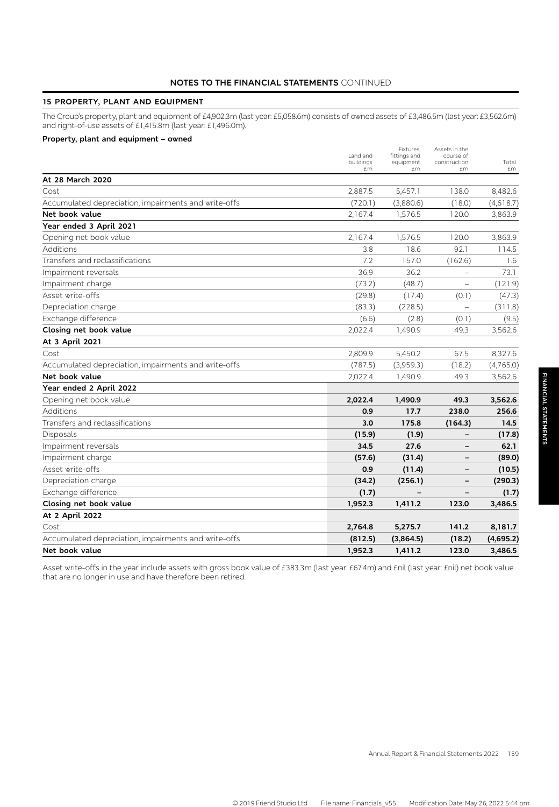## **15 PROPERTY, PLANT AND EQUIPMENT**

The Group's property, plant and equipment of £4,902.3m (last year: £5,058.6m) consists of owned assets of £3,486.5m (last year: £3,562.6m) and right-of-use assets of £1,415.8m (last year: £1,496.0m).

### **Property, plant and equipment – owned**

|                                                      | Land and<br>buildings | Fixtures,<br>fittings and<br>equipment | Assets in the<br>course of<br>construction | Total     |
|------------------------------------------------------|-----------------------|----------------------------------------|--------------------------------------------|-----------|
|                                                      | £m                    | £m                                     | £m                                         | £m        |
| At 28 March 2020                                     |                       |                                        |                                            |           |
| Cost                                                 | 2,887.5               | 5,457.1                                | 138.0                                      | 8,482.6   |
| Accumulated depreciation, impairments and write-offs | (720.1)               | (3,880.6)                              | (18.0)                                     | (4,618.7) |
| Net book value                                       | 2,167.4               | 1,576.5                                | 120.0                                      | 3,863.9   |
| Year ended 3 April 2021                              |                       |                                        |                                            |           |
| Opening net book value                               | 2,167.4               | 1,576.5                                | 120.0                                      | 3,863.9   |
| Additions                                            | 3.8                   | 18.6                                   | 92.1                                       | 114.5     |
| Transfers and reclassifications                      | 7.2                   | 157.0                                  | (162.6)                                    | 1.6       |
| Impairment reversals                                 | 36.9                  | 36.2                                   |                                            | 73.1      |
| Impairment charge                                    | (73.2)                | (48.7)                                 |                                            | (121.9)   |
| Asset write-offs                                     | (29.8)                | (17.4)                                 | (0.1)                                      | (47.3)    |
| Depreciation charge                                  | (83.3)                | (228.5)                                | $\qquad \qquad -$                          | (311.8)   |
| Exchange difference                                  | (6.6)                 | (2.8)                                  | (0.1)                                      | (9.5)     |
| Closing net book value                               | 2,022.4               | 1,490.9                                | 49.3                                       | 3,562.6   |
| At 3 April 2021                                      |                       |                                        |                                            |           |
| Cost                                                 | 2,809.9               | 5,450.2                                | 67.5                                       | 8,327.6   |
| Accumulated depreciation, impairments and write-offs | (787.5)               | (3,959.3)                              | (18.2)                                     | (4,765.0) |
| Net book value                                       | 2,022.4               | 1,490.9                                | 49.3                                       | 3,562.6   |
| Year ended 2 April 2022                              |                       |                                        |                                            |           |
| Opening net book value                               | 2,022.4               | 1,490.9                                | 49.3                                       | 3,562.6   |
| Additions                                            | 0.9                   | 17.7                                   | 238.0                                      | 256.6     |
| Transfers and reclassifications                      | 3.0                   | 175.8                                  | (164.3)                                    | 14.5      |
| Disposals                                            | (15.9)                | (1.9)                                  |                                            | (17.8)    |
| Impairment reversals                                 | 34.5                  | 27.6                                   |                                            | 62.1      |
| Impairment charge                                    | (57.6)                | (31.4)                                 |                                            | (89.0)    |
| Asset write-offs                                     | 0.9                   | (11.4)                                 |                                            | (10.5)    |
| Depreciation charge                                  | (34.2)                | (256.1)                                | -                                          | (290.3)   |
| Exchange difference                                  | (1.7)                 |                                        |                                            | (1.7)     |
| Closing net book value                               | 1,952.3               | 1,411.2                                | 123.0                                      | 3,486.5   |
| At 2 April 2022                                      |                       |                                        |                                            |           |
| Cost                                                 | 2,764.8               | 5,275.7                                | 141.2                                      | 8,181.7   |
| Accumulated depreciation, impairments and write-offs | (812.5)               | (3,864.5)                              | (18.2)                                     | (4,695.2) |
| Net book value                                       | 1,952.3               | 1,411.2                                | 123.0                                      | 3,486.5   |

Asset write-offs in the year include assets with gross book value of £383.3m (last year: £67.4m) and £nil (last year: £nil) net book value that are no longer in use and have therefore been retired.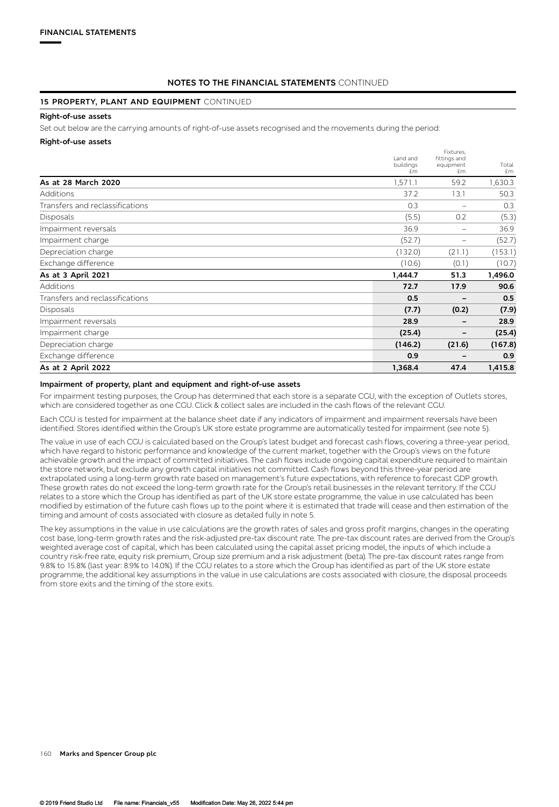### **15 PROPERTY, PLANT AND EQUIPMENT** CONTINUED

#### **Right-of-use assets**

Set out below are the carrying amounts of right-of-use assets recognised and the movements during the period:

#### **Right-of-use assets**

|                                 | Land and<br>buildings<br>£m | Fixtures,<br>fittings and<br>equipment<br>£m | Total<br>£m |
|---------------------------------|-----------------------------|----------------------------------------------|-------------|
| As at 28 March 2020             | 1,571.1                     | 59.2                                         | 1,630.3     |
| Additions                       | 37.2                        | 13.1                                         | 50.3        |
| Transfers and reclassifications | 0.3                         | $\qquad \qquad -$                            | 0.3         |
| Disposals                       | (5.5)                       | 0.2                                          | (5.3)       |
| Impairment reversals            | 36.9                        | $\qquad \qquad -$                            | 36.9        |
| Impairment charge               | (52.7)                      | $\overline{\phantom{m}}$                     | (52.7)      |
| Depreciation charge             | (132.0)                     | (21.1)                                       | (153.1)     |
| Exchange difference             | (10.6)                      | (0.1)                                        | (10.7)      |
| As at 3 April 2021              | 1,444.7                     | 51.3                                         | 1,496.0     |
| Additions                       | 72.7                        | 17.9                                         | 90.6        |
| Transfers and reclassifications | 0.5                         | -                                            | 0.5         |
| Disposals                       | (7.7)                       | (0.2)                                        | (7.9)       |
| Impairment reversals            | 28.9                        | $\qquad \qquad$                              | 28.9        |
| Impairment charge               | (25.4)                      | $\qquad \qquad \blacksquare$                 | (25.4)      |
| Depreciation charge             | (146.2)                     | (21.6)                                       | (167.8)     |
| Exchange difference             | 0.9                         | -                                            | 0.9         |
| As at 2 April 2022              | 1,368.4                     | 47.4                                         | 1,415.8     |

#### **Impairment of property, plant and equipment and right-of-use assets**

For impairment testing purposes, the Group has determined that each store is a separate CGU, with the exception of Outlets stores, which are considered together as one CGU. Click & collect sales are included in the cash flows of the relevant CGU.

Each CGU is tested for impairment at the balance sheet date if any indicators of impairment and impairment reversals have been identified. Stores identified within the Group's UK store estate programme are automatically tested for impairment (see note 5).

The value in use of each CGU is calculated based on the Group's latest budget and forecast cash flows, covering a three-year period, which have regard to historic performance and knowledge of the current market, together with the Group's views on the future achievable growth and the impact of committed initiatives. The cash flows include ongoing capital expenditure required to maintain the store network, but exclude any growth capital initiatives not committed. Cash flows beyond this three-year period are extrapolated using a long-term growth rate based on management's future expectations, with reference to forecast GDP growth. These growth rates do not exceed the long-term growth rate for the Group's retail businesses in the relevant territory. If the CGU relates to a store which the Group has identified as part of the UK store estate programme, the value in use calculated has been modified by estimation of the future cash flows up to the point where it is estimated that trade will cease and then estimation of the timing and amount of costs associated with closure as detailed fully in note 5.

The key assumptions in the value in use calculations are the growth rates of sales and gross profit margins, changes in the operating cost base, long-term growth rates and the risk-adjusted pre-tax discount rate. The pre-tax discount rates are derived from the Group's weighted average cost of capital, which has been calculated using the capital asset pricing model, the inputs of which include a country risk-free rate, equity risk premium, Group size premium and a risk adjustment (beta). The pre-tax discount rates range from 9.8% to 15.8% (last year: 8.9% to 14.0%). If the CGU relates to a store which the Group has identified as part of the UK store estate programme, the additional key assumptions in the value in use calculations are costs associated with closure, the disposal proceeds from store exits and the timing of the store exits.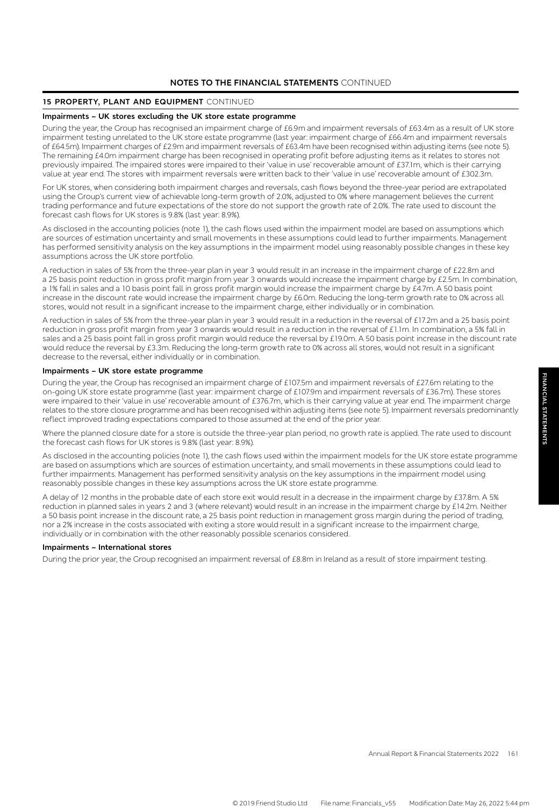## **15 PROPERTY, PLANT AND EQUIPMENT** CONTINUED

### **Impairments – UK stores excluding the UK store estate programme**

During the year, the Group has recognised an impairment charge of £6.9m and impairment reversals of £63.4m as a result of UK store impairment testing unrelated to the UK store estate programme (last year: impairment charge of £66.4m and impairment reversals of £64.5m). Impairment charges of £2.9m and impairment reversals of £63.4m have been recognised within adjusting items (see note 5). The remaining £4.0m impairment charge has been recognised in operating profit before adjusting items as it relates to stores not previously impaired. The impaired stores were impaired to their 'value in use' recoverable amount of £37.1m, which is their carrying value at year end. The stores with impairment reversals were written back to their 'value in use' recoverable amount of £302.3m.

For UK stores, when considering both impairment charges and reversals, cash flows beyond the three-year period are extrapolated using the Group's current view of achievable long-term growth of 2.0%, adjusted to 0% where management believes the current trading performance and future expectations of the store do not support the growth rate of 2.0%. The rate used to discount the forecast cash flows for UK stores is 9.8% (last year: 8.9%).

As disclosed in the accounting policies (note 1), the cash flows used within the impairment model are based on assumptions which are sources of estimation uncertainty and small movements in these assumptions could lead to further impairments. Management has performed sensitivity analysis on the key assumptions in the impairment model using reasonably possible changes in these key assumptions across the UK store portfolio.

A reduction in sales of 5% from the three-year plan in year 3 would result in an increase in the impairment charge of £22.8m and a 25 basis point reduction in gross profit margin from year 3 onwards would increase the impairment charge by £2.5m. In combination, a 1% fall in sales and a 10 basis point fall in gross profit margin would increase the impairment charge by £4.7m. A 50 basis point increase in the discount rate would increase the impairment charge by £6.0m. Reducing the long-term growth rate to 0% across all stores, would not result in a significant increase to the impairment charge, either individually or in combination.

A reduction in sales of 5% from the three-year plan in year 3 would result in a reduction in the reversal of £17.2m and a 25 basis point reduction in gross profit margin from year 3 onwards would result in a reduction in the reversal of £1.1m. In combination, a 5% fall in sales and a 25 basis point fall in gross profit margin would reduce the reversal by £19.0m. A 50 basis point increase in the discount rate would reduce the reversal by £3.3m. Reducing the long-term growth rate to 0% across all stores, would not result in a significant decrease to the reversal, either individually or in combination.

#### **Impairments – UK store estate programme**

During the year, the Group has recognised an impairment charge of £107.5m and impairment reversals of £27.6m relating to the on-going UK store estate programme (last year: impairment charge of £107.9m and impairment reversals of £36.7m). These stores were impaired to their 'value in use' recoverable amount of £376.7m, which is their carrying value at year end. The impairment charge relates to the store closure programme and has been recognised within adjusting items (see note 5). Impairment reversals predominantly reflect improved trading expectations compared to those assumed at the end of the prior year.

Where the planned closure date for a store is outside the three-year plan period, no growth rate is applied. The rate used to discount the forecast cash flows for UK stores is 9.8% (last year: 8.9%).

As disclosed in the accounting policies (note 1), the cash flows used within the impairment models for the UK store estate programme are based on assumptions which are sources of estimation uncertainty, and small movements in these assumptions could lead to further impairments. Management has performed sensitivity analysis on the key assumptions in the impairment model using reasonably possible changes in these key assumptions across the UK store estate programme.

A delay of 12 months in the probable date of each store exit would result in a decrease in the impairment charge by £37.8m. A 5% reduction in planned sales in years 2 and 3 (where relevant) would result in an increase in the impairment charge by £14.2m. Neither a 50 basis point increase in the discount rate, a 25 basis point reduction in management gross margin during the period of trading, nor a 2% increase in the costs associated with exiting a store would result in a significant increase to the impairment charge, individually or in combination with the other reasonably possible scenarios considered.

#### **Impairments – International stores**

During the prior year, the Group recognised an impairment reversal of £8.8m in Ireland as a result of store impairment testing.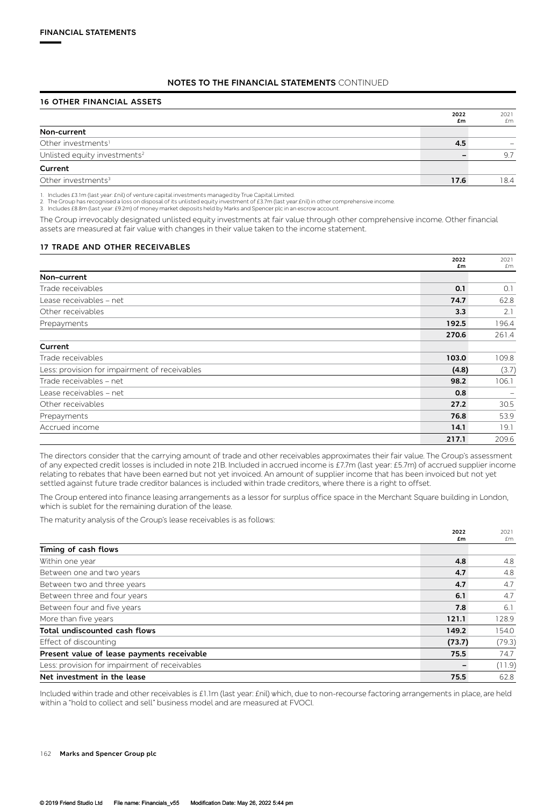## **16 OTHER FINANCIAL ASSETS**

|                                          | 2022<br>£m | 2021<br>£m |
|------------------------------------------|------------|------------|
| Non-current                              |            |            |
| Other investments <sup>1</sup>           | 4.5        |            |
| Unlisted equity investments <sup>2</sup> |            | 9.7        |
| Current                                  |            |            |
| Other investments <sup>3</sup>           | 17.6       | 18.4       |

1. Includes £3.1m (last year: £nil) of venture capital investments managed by True Capital Limited.<br>2. The Group has recognised a loss on disposal of its unlisted equity investment of £3.7m (last year:£nil) in other compre

The Group irrevocably designated unlisted equity investments at fair value through other comprehensive income. Other financial assets are measured at fair value with changes in their value taken to the income statement.

#### **17 TRADE AND OTHER RECEIVABLES**

|                                               | 2022<br>£m | 2021<br>£m |
|-----------------------------------------------|------------|------------|
| Non-current                                   |            |            |
| Trade receivables                             | 0.1        | 0.1        |
| Lease receivables - net                       | 74.7       | 62.8       |
| Other receivables                             | 3.3        | 2.1        |
| Prepayments                                   | 192.5      | 196.4      |
|                                               | 270.6      | 261.4      |
| Current                                       |            |            |
| Trade receivables                             | 103.0      | 109.8      |
| Less: provision for impairment of receivables | (4.8)      | (3.7)      |
| Trade receivables - net                       | 98.2       | 106.1      |
| Lease receivables - net                       | 0.8        |            |
| Other receivables                             | 27.2       | 30.5       |
| Prepayments                                   | 76.8       | 53.9       |
| Accrued income                                | 14.1       | 19.1       |
|                                               | 217.1      | 209.6      |

The directors consider that the carrying amount of trade and other receivables approximates their fair value. The Group's assessment of any expected credit losses is included in note 21B. Included in accrued income is £7.7m (last year: £5.7m) of accrued supplier income relating to rebates that have been earned but not yet invoiced. An amount of supplier income that has been invoiced but not yet settled against future trade creditor balances is included within trade creditors, where there is a right to offset.

The Group entered into finance leasing arrangements as a lessor for surplus office space in the Merchant Square building in London, which is sublet for the remaining duration of the lease.

The maturity analysis of the Group's lease receivables is as follows:

|                                               | 2022<br>£m | 2021<br>£m |
|-----------------------------------------------|------------|------------|
| Timing of cash flows                          |            |            |
| Within one year                               | 4.8        | 4.8        |
| Between one and two years                     | 4.7        | 4.8        |
| Between two and three years                   | 4.7        | 4.7        |
| Between three and four years                  | 6.1        | 4.7        |
| Between four and five years                   | 7.8        | 6.1        |
| More than five years                          | 121.1      | 128.9      |
| Total undiscounted cash flows                 | 149.2      | 154.0      |
| Effect of discounting                         | (73.7)     | (79.3)     |
| Present value of lease payments receivable    | 75.5       | 74.7       |
| Less: provision for impairment of receivables |            | (11.9)     |
| Net investment in the lease                   | 75.5       | 62.8       |

Included within trade and other receivables is £1.1m (last year: £nil) which, due to non-recourse factoring arrangements in place, are held within a "hold to collect and sell" business model and are measured at FVOCI.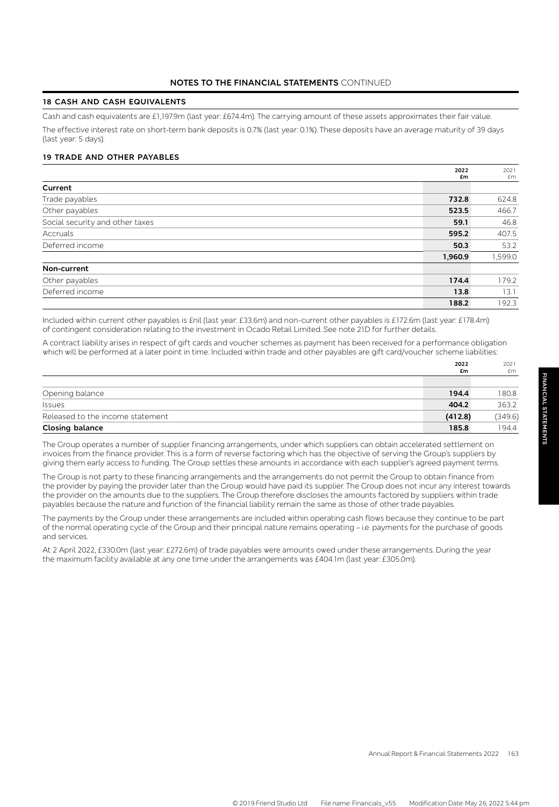## **18 CASH AND CASH EQUIVALENTS**

Cash and cash equivalents are £1,197.9m (last year: £674.4m). The carrying amount of these assets approximates their fair value. The effective interest rate on short-term bank deposits is 0.7% (last year: 0.1%). These deposits have an average maturity of 39 days (last year: 5 days).

## **19 TRADE AND OTHER PAYABLES**

|                                 | 2022<br>£m | 2021<br>£m |
|---------------------------------|------------|------------|
| Current                         |            |            |
| Trade payables                  | 732.8      | 624.8      |
| Other payables                  | 523.5      | 466.7      |
| Social security and other taxes | 59.1       | 46.8       |
| Accruals                        | 595.2      | 407.5      |
| Deferred income                 | 50.3       | 53.2       |
|                                 | 1,960.9    | 1,599.0    |
| Non-current                     |            |            |
| Other payables                  | 174.4      | 179.2      |
| Deferred income                 | 13.8       | 13.1       |
|                                 | 188.2      | 192.3      |

Included within current other payables is £nil (last year: £33.6m) and non-current other payables is £172.6m (last year: £178.4m) of contingent consideration relating to the investment in Ocado Retail Limited. See note 21D for further details.

A contract liability arises in respect of gift cards and voucher schemes as payment has been received for a performance obligation which will be performed at a later point in time. Included within trade and other payables are gift card/voucher scheme liabilities:

|                                  | 2022<br>£m | 2021<br>£m |
|----------------------------------|------------|------------|
|                                  |            |            |
| Opening balance                  | 194.4      | 180.8      |
| Issues                           | 404.2      | 363.2      |
| Released to the income statement | (412.8)    | (349.6)    |
| <b>Closing balance</b>           | 185.8      | 194.4      |

The Group operates a number of supplier financing arrangements, under which suppliers can obtain accelerated settlement on invoices from the finance provider. This is a form of reverse factoring which has the objective of serving the Group's suppliers by giving them early access to funding. The Group settles these amounts in accordance with each supplier's agreed payment terms.

The Group is not party to these financing arrangements and the arrangements do not permit the Group to obtain finance from the provider by paying the provider later than the Group would have paid its supplier. The Group does not incur any interest towards the provider on the amounts due to the suppliers. The Group therefore discloses the amounts factored by suppliers within trade payables because the nature and function of the financial liability remain the same as those of other trade payables.

The payments by the Group under these arrangements are included within operating cash flows because they continue to be part of the normal operating cycle of the Group and their principal nature remains operating – i.e. payments for the purchase of goods and services.

At 2 April 2022, £330.0m (last year: £272.6m) of trade payables were amounts owed under these arrangements. During the year the maximum facility available at any one time under the arrangements was £404.1m (last year: £305.0m).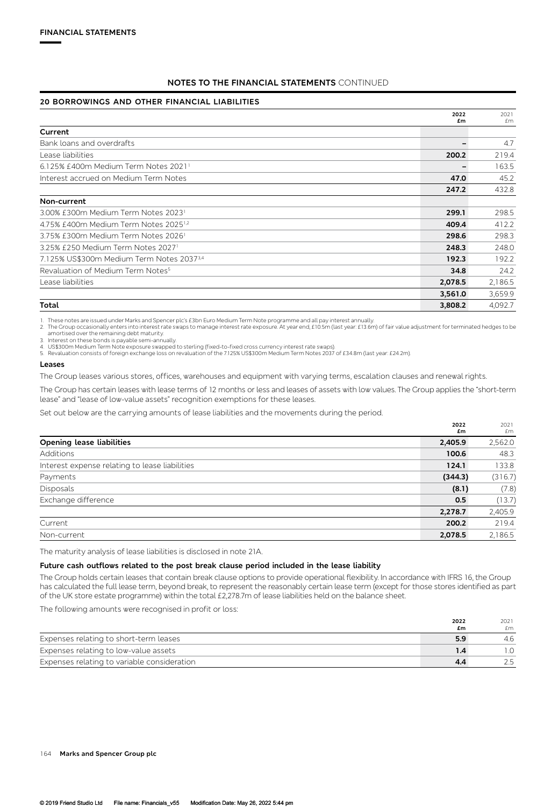## **20 BORROWINGS AND OTHER FINANCIAL LIABILITIES**

|                                                       | 2022<br>£m | 2021<br>£m |
|-------------------------------------------------------|------------|------------|
| Current                                               |            |            |
| Bank loans and overdrafts                             | -          | 4.7        |
| Lease liabilities                                     | 200.2      | 219.4      |
| 6.125% £400m Medium Term Notes 2021 <sup>1</sup>      | -          | 163.5      |
| Interest accrued on Medium Term Notes                 | 47.0       | 45.2       |
|                                                       | 247.2      | 432.8      |
| Non-current                                           |            |            |
| 3.00% £300m Medium Term Notes 2023 <sup>1</sup>       | 299.1      | 298.5      |
| 4.75% £400m Medium Term Notes 2025 <sup>1,2</sup>     | 409.4      | 412.2      |
| 3.75% £300m Medium Term Notes 2026 <sup>1</sup>       | 298.6      | 298.3      |
| 3.25% £250 Medium Term Notes 2027 <sup>1</sup>        | 248.3      | 248.0      |
| 7.125% US\$300m Medium Term Notes 2037 <sup>3,4</sup> | 192.3      | 192.2      |
| Revaluation of Medium Term Notes <sup>5</sup>         | 34.8       | 24.2       |
| Lease liabilities                                     | 2,078.5    | 2,186.5    |
|                                                       | 3,561.0    | 3,659.9    |
| Total                                                 | 3,808.2    | 4,092.7    |

1. These notes are issued under Marks and Spencer plc's £3bn Euro Medium Term Note programme and all pay interest annually.<br>2. The Group occasionally enters into interest rate swaps to manage interest rate exposure. At yea

amortised over the remaining debt maturity. 3. Interest on these bonds is payable semi-annually.

4. US\$300m Medium Term Note exposure swapped to sterling (fixed-to-fixed cross currency interest rate swaps).<br>5. Revaluation consists of foreign exchange loss on revaluation of the 7.125% US\$300m Medium Term Notes 2037

### **Leases**

The Group leases various stores, offices, warehouses and equipment with varying terms, escalation clauses and renewal rights.

The Group has certain leases with lease terms of 12 months or less and leases of assets with low values. The Group applies the "short-term lease" and "lease of low-value assets" recognition exemptions for these leases.

Set out below are the carrying amounts of lease liabilities and the movements during the period.

|                                                | 2022<br>£m | 2021<br>£m |
|------------------------------------------------|------------|------------|
| <b>Opening lease liabilities</b>               | 2,405.9    | 2,562.0    |
| <b>Additions</b>                               | 100.6      | 48.3       |
| Interest expense relating to lease liabilities | 124.1      | 133.8      |
| Payments                                       | (344.3)    | (316.7)    |
| Disposals                                      | (8.1)      | (7.8)      |
| Exchange difference                            | 0.5        | (13.7)     |
|                                                | 2,278.7    | 2,405.9    |
| Current                                        | 200.2      | 219.4      |
| Non-current                                    | 2,078.5    | 2,186.5    |

The maturity analysis of lease liabilities is disclosed in note 21A.

#### **Future cash outflows related to the post break clause period included in the lease liability**

The Group holds certain leases that contain break clause options to provide operational flexibility. In accordance with IFRS 16, the Group has calculated the full lease term, beyond break, to represent the reasonably certain lease term (except for those stores identified as part of the UK store estate programme) within the total £2,278.7m of lease liabilities held on the balance sheet.

The following amounts were recognised in profit or loss:

|                                             | 2022 | <b>LULI</b> |
|---------------------------------------------|------|-------------|
|                                             | £m   | £m          |
| Expenses relating to short-term leases      | 5.9  | 4.6         |
| Expenses relating to low-value assets       |      |             |
| Expenses relating to variable consideration | 4.4  |             |

**2022**

2021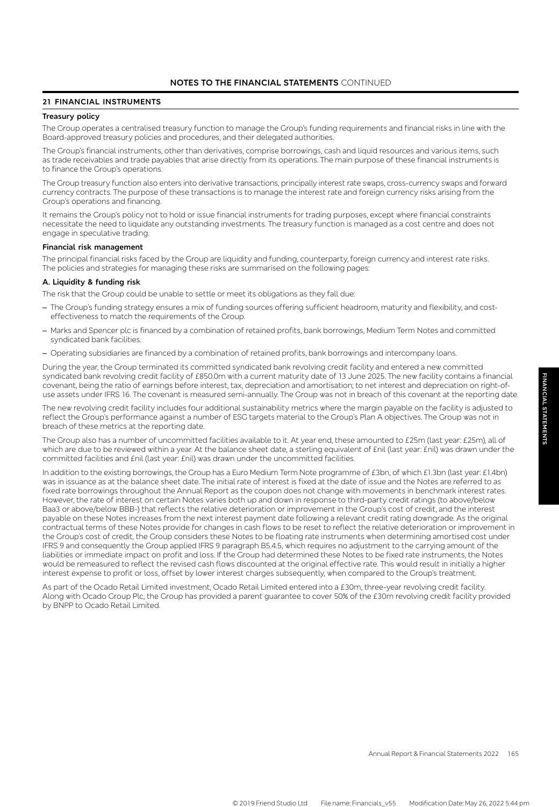## **21 FINANCIAL INSTRUMENTS**

### **Treasury policy**

The Group operates a centralised treasury function to manage the Group's funding requirements and financial risks in line with the Board-approved treasury policies and procedures, and their delegated authorities.

The Group's financial instruments, other than derivatives, comprise borrowings, cash and liquid resources and various items, such as trade receivables and trade payables that arise directly from its operations. The main purpose of these financial instruments is to finance the Group's operations.

The Group treasury function also enters into derivative transactions, principally interest rate swaps, cross-currency swaps and forward currency contracts. The purpose of these transactions is to manage the interest rate and foreign currency risks arising from the Group's operations and financing.

It remains the Group's policy not to hold or issue financial instruments for trading purposes, except where financial constraints necessitate the need to liquidate any outstanding investments. The treasury function is managed as a cost centre and does not engage in speculative trading.

#### **Financial risk management**

The principal financial risks faced by the Group are liquidity and funding, counterparty, foreign currency and interest rate risks. The policies and strategies for managing these risks are summarised on the following pages:

#### **A. Liquidity & funding risk**

The risk that the Group could be unable to settle or meet its obligations as they fall due:

- The Group's funding strategy ensures a mix of funding sources offering sufficient headroom, maturity and flexibility, and costeffectiveness to match the requirements of the Group.
- Marks and Spencer plc is financed by a combination of retained profits, bank borrowings, Medium Term Notes and committed syndicated bank facilities.
- Operating subsidiaries are financed by a combination of retained profits, bank borrowings and intercompany loans.

During the year, the Group terminated its committed syndicated bank revolving credit facility and entered a new committed syndicated bank revolving credit facility of £850.0m with a current maturity date of 13 June 2025. The new facility contains a financial covenant, being the ratio of earnings before interest, tax, depreciation and amortisation; to net interest and depreciation on right-ofuse assets under IFRS 16. The covenant is measured semi-annually. The Group was not in breach of this covenant at the reporting date.

The new revolving credit facility includes four additional sustainability metrics where the margin payable on the facility is adjusted to reflect the Group's performance against a number of ESG targets material to the Group's Plan A objectives. The Group was not in breach of these metrics at the reporting date.

The Group also has a number of uncommitted facilities available to it. At year end, these amounted to £25m (last year: £25m), all of which are due to be reviewed within a year. At the balance sheet date, a sterling equivalent of £nil (last year: £nil) was drawn under the committed facilities and £nil (last year: £nil) was drawn under the uncommitted facilities.

In addition to the existing borrowings, the Group has a Euro Medium Term Note programme of £3bn, of which £1.3bn (last year: £1.4bn) was in issuance as at the balance sheet date. The initial rate of interest is fixed at the date of issue and the Notes are referred to as fixed rate borrowings throughout the Annual Report as the coupon does not change with movements in benchmark interest rates. However, the rate of interest on certain Notes varies both up and down in response to third-party credit ratings (to above/below Baa3 or above/below BBB-) that reflects the relative deterioration or improvement in the Group's cost of credit, and the interest payable on these Notes increases from the next interest payment date following a relevant credit rating downgrade. As the original contractual terms of these Notes provide for changes in cash flows to be reset to reflect the relative deterioration or improvement in the Group's cost of credit, the Group considers these Notes to be floating rate instruments when determining amortised cost under IFRS 9 and consequently the Group applied IFRS 9 paragraph B5.4.5, which requires no adjustment to the carrying amount of the liabilities or immediate impact on profit and loss. If the Group had determined these Notes to be fixed rate instruments, the Notes would be remeasured to reflect the revised cash flows discounted at the original effective rate. This would result in initially a higher interest expense to profit or loss, offset by lower interest charges subsequently, when compared to the Group's treatment.

As part of the Ocado Retail Limited investment, Ocado Retail Limited entered into a £30m, three-year revolving credit facility. Along with Ocado Group Plc, the Group has provided a parent guarantee to cover 50% of the £30m revolving credit facility provided by BNPP to Ocado Retail Limited.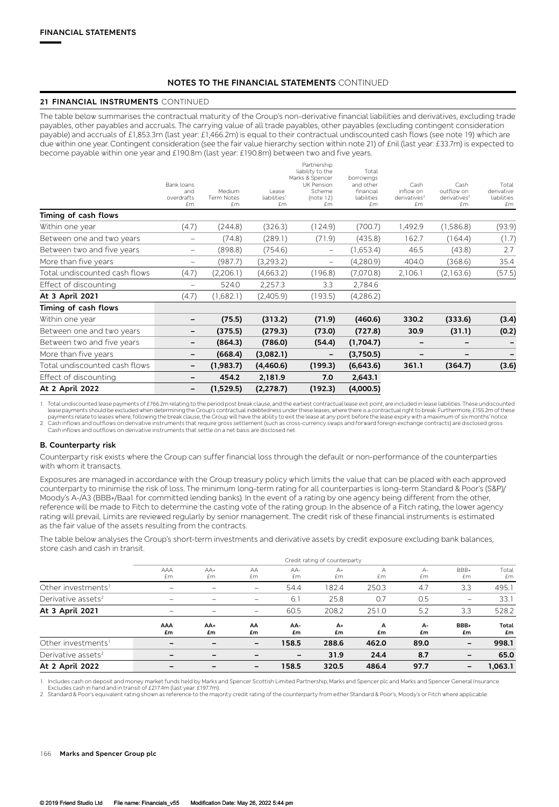## **21 FINANCIAL INSTRUMENTS** CONTINUED

The table below summarises the contractual maturity of the Group's non-derivative financial liabilities and derivatives, excluding trade payables, other payables and accruals. The carrying value of all trade payables, other payables (excluding contingent consideration payable) and accruals of £1,853.3m (last year: £1,466.2m) is equal to their contractual undiscounted cash flows (see note 19) which are due within one year. Contingent consideration (see the fair value hierarchy section within note 21) of £nil (last year: £33.7m) is expected to become payable within one year and £190.8m (last year: £190.8m) between two and five years.

| At 2 April 2022               | -                                     | (1,529.5)                  | (2, 278.7)                              | (192.3)                                                                                       | (4,000.5)                                                          |                                                     |                                                      |                                          |
|-------------------------------|---------------------------------------|----------------------------|-----------------------------------------|-----------------------------------------------------------------------------------------------|--------------------------------------------------------------------|-----------------------------------------------------|------------------------------------------------------|------------------------------------------|
| Effect of discounting         | -                                     | 454.2                      | 2,181.9                                 | 7.0                                                                                           | 2,643.1                                                            |                                                     |                                                      |                                          |
| Total undiscounted cash flows | -                                     | (1,983.7)                  | (4,460.6)                               | (199.3)                                                                                       | (6,643.6)                                                          | 361.1                                               | (364.7)                                              | (3.6)                                    |
| More than five years          | -                                     | (668.4)                    | (3,082.1)                               | $\overline{\phantom{m}}$                                                                      | (3,750.5)                                                          |                                                     |                                                      |                                          |
| Between two and five years    | -                                     | (864.3)                    | (786.0)                                 | (54.4)                                                                                        | (1,704.7)                                                          |                                                     |                                                      |                                          |
| Between one and two years     | -                                     | (375.5)                    | (279.3)                                 | (73.0)                                                                                        | (727.8)                                                            | 30.9                                                | (31.1)                                               | (0.2)                                    |
| Within one year               | -                                     | (75.5)                     | (313.2)                                 | (71.9)                                                                                        | (460.6)                                                            | 330.2                                               | (333.6)                                              | (3.4)                                    |
| Timing of cash flows          |                                       |                            |                                         |                                                                                               |                                                                    |                                                     |                                                      |                                          |
| At 3 April 2021               | (4.7)                                 | (1,682.1)                  | (2,405.9)                               | (193.5)                                                                                       | (4,286.2)                                                          |                                                     |                                                      |                                          |
| Effect of discounting         | —                                     | 524.0                      | 2,257.3                                 | 3.3                                                                                           | 2,784.6                                                            |                                                     |                                                      |                                          |
| Total undiscounted cash flows | (4.7)                                 | (2,206.1)                  | (4,663.2)                               | (196.8)                                                                                       | (7,070.8)                                                          | 2,106.1                                             | (2,163.6)                                            | (57.5)                                   |
| More than five years          | —                                     | (987.7)                    | (3,293.2)                               | $\qquad \qquad -$                                                                             | (4,280.9)                                                          | 404.0                                               | (368.6)                                              | 35.4                                     |
| Between two and five years    | -                                     | (898.8)                    | (754.6)                                 | $\overline{\phantom{0}}$                                                                      | (1,653.4)                                                          | 46.5                                                | (43.8)                                               | 2.7                                      |
| Between one and two years     | —                                     | (74.8)                     | (289.1)                                 | (71.9)                                                                                        | (435.8)                                                            | 162.7                                               | (164.4)                                              | (1.7)                                    |
| Within one year               | (4.7)                                 | (244.8)                    | (326.3)                                 | (124.9)                                                                                       | (700.7)                                                            | 1,492.9                                             | (1,586.8)                                            | (93.9)                                   |
| Timing of cash flows          |                                       |                            |                                         |                                                                                               |                                                                    |                                                     |                                                      |                                          |
|                               | Bank loans<br>and<br>overdrafts<br>£m | Medium<br>Term Notes<br>£m | Lease<br>liabilities <sup>1</sup><br>£m | Partnership<br>liability to the<br>Marks & Spencer<br>UK Pension<br>Scheme<br>(note 12)<br>£m | Total<br>borrowings<br>and other<br>financial<br>liabilities<br>£m | Cash<br>inflow on<br>derivatives <sup>2</sup><br>£m | Cash<br>outflow on<br>derivatives <sup>2</sup><br>£m | Total<br>derivative<br>liabilities<br>£m |

Total undiscounted lease payments of £766.2m relating to the period post break clause, and the earliest contractual lease exit point, are included in lease liabilities. These undiscounted lease payments should be excluded when determining the Group's contractual indebtedness under these leases, where there is a contractual right to break. Furthermore, £155.2m of these<br>payments relied to lease sypirm in the

Cash inflows and outflows on derivative instruments that settle on a net basis are disclosed net.

#### **B. Counterparty risk**

Counterparty risk exists where the Group can suffer financial loss through the default or non-performance of the counterparties with whom it transacts.

Exposures are managed in accordance with the Group treasury policy which limits the value that can be placed with each approved counterparty to minimise the risk of loss. The minimum long-term rating for all counterparties is long-term Standard & Poor's (S&P)/ Moody's A-/A3 (BBB+/Baa1 for committed lending banks). In the event of a rating by one agency being different from the other, reference will be made to Fitch to determine the casting vote of the rating group. In the absence of a Fitch rating, the lower agency rating will prevail. Limits are reviewed regularly by senior management. The credit risk of these financial instruments is estimated as the fair value of the assets resulting from the contracts.

The table below analyses the Group's short-term investments and derivative assets by credit exposure excluding bank balances, store cash and cash in transit.

|                                |                          |                          |                          |                          | Credit rating of counterparty |         |            |                              |             |
|--------------------------------|--------------------------|--------------------------|--------------------------|--------------------------|-------------------------------|---------|------------|------------------------------|-------------|
|                                | AAA<br>£m                | $AA+$<br>£m              | AA<br>£m                 | AA-<br>£m                | $A+$<br>£m                    | А<br>£m | $A-$<br>£m | BBB+<br>£m.                  | Total<br>£m |
| Other investments <sup>1</sup> |                          |                          |                          | 54.4                     | 182.4                         | 250.3   | 4.7        | 3.3                          | 495.1       |
| Derivative assets <sup>2</sup> |                          | $\overline{\phantom{m}}$ | -                        | 6.1                      | 25.8                          | 0.7     | 0.5        | $\overline{\phantom{0}}$     | 33.1        |
| At 3 April 2021                |                          | $\overline{\phantom{m}}$ | $\overline{\phantom{0}}$ | 60.5                     | 208.2                         | 251.0   | 5.2        | 3.3                          | 528.2       |
|                                | <b>AAA</b><br>£m         | AA+<br>£m                | AA<br>£m                 | AA-<br>£m                | $A+$<br>£m                    | A<br>£m | $A-$<br>£m | BBB+<br>£m                   | Total<br>£m |
| Other investments <sup>1</sup> |                          | $\overline{\phantom{0}}$ | -                        | 158.5                    | 288.6                         | 462.0   | 89.0       | -                            | 998.1       |
| Derivative assets <sup>2</sup> | $\overline{\phantom{0}}$ | $\overline{\phantom{a}}$ | -                        | $\overline{\phantom{a}}$ | 31.9                          | 24.4    | 8.7        | $\qquad \qquad \blacksquare$ | 65.0        |
| At 2 April 2022                |                          | $\overline{\phantom{0}}$ | -                        | 158.5                    | 320.5                         | 486.4   | 97.7       | $\qquad \qquad \blacksquare$ | 1,063.1     |

1. Includes cash on deposit and money market funds held by Marks and Spencer Scottish Limited Partnership, Marks and Spencer plc and Marks and Spencer General Insurance.<br>Excludes cash in hand and in transit of £217.4m (las

2. Standard & Poor's equivalent rating shown as reference to the majority credit rating of the counterparty from either Standard & Poor's, Moody's or Fitch where applicable.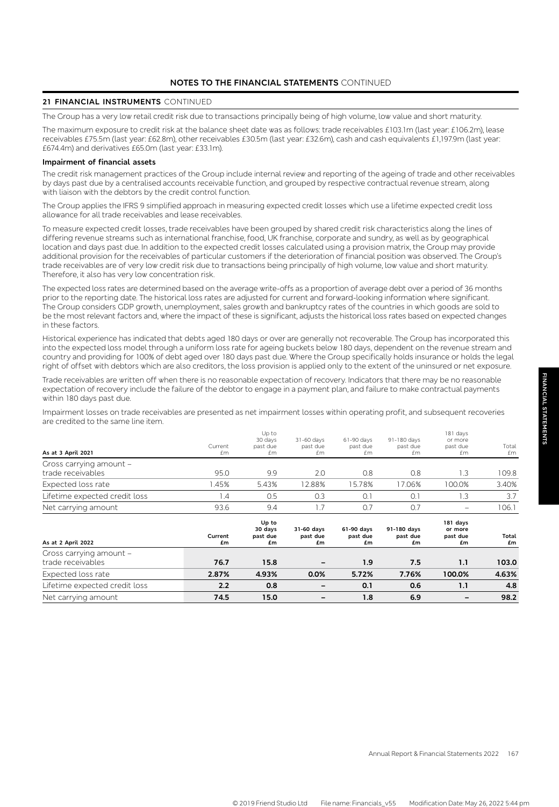## **21 FINANCIAL INSTRUMENTS** CONTINUED

The Group has a very low retail credit risk due to transactions principally being of high volume, low value and short maturity.

The maximum exposure to credit risk at the balance sheet date was as follows: trade receivables £103.1m (last year: £106.2m), lease receivables £75.5m (last year: £62.8m), other receivables £30.5m (last year: £32.6m), cash and cash equivalents £1,197.9m (last year: £674.4m) and derivatives £65.0m (last year: £33.1m).

### **Impairment of financial assets**

The credit risk management practices of the Group include internal review and reporting of the ageing of trade and other receivables by days past due by a centralised accounts receivable function, and grouped by respective contractual revenue stream, along with liaison with the debtors by the credit control function.

The Group applies the IFRS 9 simplified approach in measuring expected credit losses which use a lifetime expected credit loss allowance for all trade receivables and lease receivables.

To measure expected credit losses, trade receivables have been grouped by shared credit risk characteristics along the lines of differing revenue streams such as international franchise, food, UK franchise, corporate and sundry, as well as by geographical location and days past due. In addition to the expected credit losses calculated using a provision matrix, the Group may provide additional provision for the receivables of particular customers if the deterioration of financial position was observed. The Group's trade receivables are of very low credit risk due to transactions being principally of high volume, low value and short maturity. Therefore, it also has very low concentration risk.

The expected loss rates are determined based on the average write-offs as a proportion of average debt over a period of 36 months prior to the reporting date. The historical loss rates are adjusted for current and forward-looking information where significant. The Group considers GDP growth, unemployment, sales growth and bankruptcy rates of the countries in which goods are sold to be the most relevant factors and, where the impact of these is significant, adjusts the historical loss rates based on expected changes in these factors.

Historical experience has indicated that debts aged 180 days or over are generally not recoverable. The Group has incorporated this into the expected loss model through a uniform loss rate for ageing buckets below 180 days, dependent on the revenue stream and country and providing for 100% of debt aged over 180 days past due. Where the Group specifically holds insurance or holds the legal right of offset with debtors which are also creditors, the loss provision is applied only to the extent of the uninsured or net exposure.

Trade receivables are written off when there is no reasonable expectation of recovery. Indicators that there may be no reasonable expectation of recovery include the failure of the debtor to engage in a payment plan, and failure to make contractual payments within 180 days past due.

Impairment losses on trade receivables are presented as net impairment losses within operating profit, and subsequent recoveries are credited to the same line item.

| As at 3 April 2021                           | Current<br>£m | Up to<br>30 days<br>past due<br>£m | 31-60 days<br>past due<br>£m | 61-90 days<br>past due<br>£m | 91-180 days<br>past due<br>£m | 181 days<br>or more<br>past due<br>£m | Total<br>£m |
|----------------------------------------------|---------------|------------------------------------|------------------------------|------------------------------|-------------------------------|---------------------------------------|-------------|
| Cross carrying amount -                      |               |                                    |                              |                              |                               |                                       |             |
| trade receivables                            | 95.0          | 9.9                                | 2.0                          | 0.8                          | 0.8                           | 1.3                                   | 109.8       |
| Expected loss rate                           | .45%          | 5.43%                              | 12.88%                       | 15.78%                       | 17.06%                        | 100.0%                                | 3.40%       |
| Lifetime expected credit loss                | 1.4           | 0.5                                | 0.3                          | 0.1                          | 0.1                           | 1.3                                   | 3.7         |
| Net carrying amount                          | 93.6          | 9.4                                | 1.7                          | 0.7                          | 0.7                           | $\qquad \qquad$                       | 106.1       |
|                                              |               | Up to<br>30 days                   | $31-60$ days                 | $61-90$ days                 | 91-180 days                   | 181 days<br>or more                   |             |
| As at 2 April 2022                           | Current<br>£m | past due<br>£m                     | past due<br>£m               | past due<br>£m               | past due<br>£m                | past due<br>£m                        | Total<br>£m |
| Cross carrying amount -<br>trade receivables | 76.7          | 15.8                               |                              | 1.9                          | 7.5                           | 1.1                                   | 103.0       |
| Expected loss rate                           | 2.87%         | 4.93%                              | 0.0%                         | 5.72%                        | 7.76%                         | 100.0%                                | 4.63%       |
| Lifetime expected credit loss                | 2.2           | 0.8                                | -                            | 0.1                          | 0.6                           | 1.1                                   | 4.8         |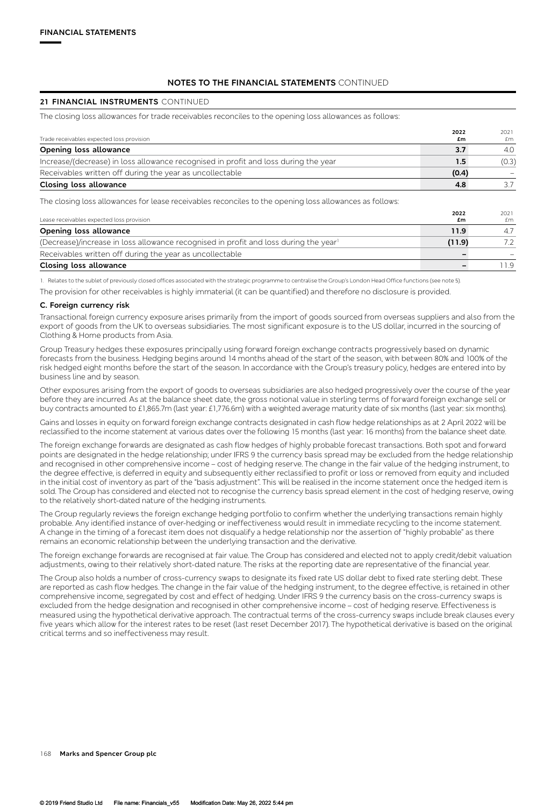### **21 FINANCIAL INSTRUMENTS** CONTINUED

The closing loss allowances for trade receivables reconciles to the opening loss allowances as follows:

| Trade receivables expected loss provision                                           | 2022<br>£m | 2021<br>fm. |
|-------------------------------------------------------------------------------------|------------|-------------|
| Opening loss allowance                                                              | 3.7        | 4.0         |
| Increase/(decrease) in loss allowance recognised in profit and loss during the year | 1.5        | (0.3)       |
| Receivables written off during the year as uncollectable                            | (0.4)      |             |
| Closing loss allowance                                                              | 4.8        | 37          |

The closing loss allowances for lease receivables reconciles to the opening loss allowances as follows:

| Lease receivables expected loss provision                                                        | 2022<br>£m | 2021<br>£m |
|--------------------------------------------------------------------------------------------------|------------|------------|
| Opening loss allowance                                                                           | 11.9       | 4.7        |
| (Decrease)/increase in loss allowance recognised in profit and loss during the year <sup>1</sup> | (11.9)     | 7.2        |
| Receivables written off during the year as uncollectable                                         |            |            |
| <b>Closing loss allowance</b>                                                                    |            | 19         |

1. Relates to the sublet of previously closed offices associated with the strategic programme to centralise the Group's London Head Office functions (see note 5).

The provision for other receivables is highly immaterial (it can be quantified) and therefore no disclosure is provided.

#### **C. Foreign currency risk**

Transactional foreign currency exposure arises primarily from the import of goods sourced from overseas suppliers and also from the export of goods from the UK to overseas subsidiaries. The most significant exposure is to the US dollar, incurred in the sourcing of Clothing & Home products from Asia.

Group Treasury hedges these exposures principally using forward foreign exchange contracts progressively based on dynamic forecasts from the business. Hedging begins around 14 months ahead of the start of the season, with between 80% and 100% of the risk hedged eight months before the start of the season. In accordance with the Group's treasury policy, hedges are entered into by business line and by season.

Other exposures arising from the export of goods to overseas subsidiaries are also hedged progressively over the course of the year before they are incurred. As at the balance sheet date, the gross notional value in sterling terms of forward foreign exchange sell or buy contracts amounted to £1,865.7m (last year: £1,776.6m) with a weighted average maturity date of six months (last year: six months).

Gains and losses in equity on forward foreign exchange contracts designated in cash flow hedge relationships as at 2 April 2022 will be reclassified to the income statement at various dates over the following 15 months (last year: 16 months) from the balance sheet date.

The foreign exchange forwards are designated as cash flow hedges of highly probable forecast transactions. Both spot and forward points are designated in the hedge relationship; under IFRS 9 the currency basis spread may be excluded from the hedge relationship and recognised in other comprehensive income – cost of hedging reserve. The change in the fair value of the hedging instrument, to the degree effective, is deferred in equity and subsequently either reclassified to profit or loss or removed from equity and included in the initial cost of inventory as part of the "basis adjustment". This will be realised in the income statement once the hedged item is sold. The Group has considered and elected not to recognise the currency basis spread element in the cost of hedging reserve, owing to the relatively short-dated nature of the hedging instruments.

The Group regularly reviews the foreign exchange hedging portfolio to confirm whether the underlying transactions remain highly probable. Any identified instance of over-hedging or ineffectiveness would result in immediate recycling to the income statement. A change in the timing of a forecast item does not disqualify a hedge relationship nor the assertion of "highly probable" as there remains an economic relationship between the underlying transaction and the derivative.

The foreign exchange forwards are recognised at fair value. The Group has considered and elected not to apply credit/debit valuation adjustments, owing to their relatively short-dated nature. The risks at the reporting date are representative of the financial year.

The Group also holds a number of cross-currency swaps to designate its fixed rate US dollar debt to fixed rate sterling debt. These are reported as cash flow hedges. The change in the fair value of the hedging instrument, to the degree effective, is retained in other comprehensive income, segregated by cost and effect of hedging. Under IFRS 9 the currency basis on the cross-currency swaps is excluded from the hedge designation and recognised in other comprehensive income – cost of hedging reserve. Effectiveness is measured using the hypothetical derivative approach. The contractual terms of the cross-currency swaps include break clauses every five years which allow for the interest rates to be reset (last reset December 2017). The hypothetical derivative is based on the original critical terms and so ineffectiveness may result.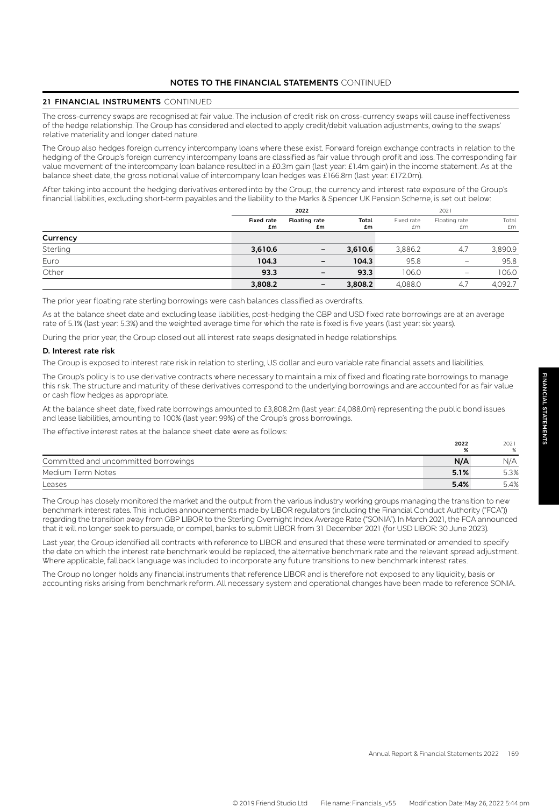## **21 FINANCIAL INSTRUMENTS** CONTINUED

The cross-currency swaps are recognised at fair value. The inclusion of credit risk on cross-currency swaps will cause ineffectiveness of the hedge relationship. The Group has considered and elected to apply credit/debit valuation adjustments, owing to the swaps' relative materiality and longer dated nature.

The Group also hedges foreign currency intercompany loans where these exist. Forward foreign exchange contracts in relation to the hedging of the Group's foreign currency intercompany loans are classified as fair value through profit and loss. The corresponding fair value movement of the intercompany loan balance resulted in a £0.3m gain (last year: £1.4m gain) in the income statement. As at the balance sheet date, the gross notional value of intercompany loan hedges was £166.8m (last year: £172.0m).

After taking into account the hedging derivatives entered into by the Group, the currency and interest rate exposure of the Group's financial liabilities, excluding short-term payables and the liability to the Marks & Spencer UK Pension Scheme, is set out below:

|          |                         | 2022                       |             |                  | 2021                     |             |  |
|----------|-------------------------|----------------------------|-------------|------------------|--------------------------|-------------|--|
|          | <b>Fixed rate</b><br>£m | <b>Floating rate</b><br>£m | Total<br>£m | Fixed rate<br>£m | Floating rate<br>£m      | Total<br>£m |  |
| Currency |                         |                            |             |                  |                          |             |  |
| Sterling | 3,610.6                 | -                          | 3,610.6     | 3,886.2          | 4.7                      | 3,890.9     |  |
| Euro     | 104.3                   | $\qquad \qquad$            | 104.3       | 95.8             |                          | 95.8        |  |
| Other    | 93.3                    | $\qquad \qquad$            | 93.3        | 106.0            | $\overline{\phantom{0}}$ | 106.0       |  |
|          | 3,808.2                 | -                          | 3,808.2     | 4,088.0          | 4.7                      | 4,092.7     |  |

The prior year floating rate sterling borrowings were cash balances classified as overdrafts.

As at the balance sheet date and excluding lease liabilities, post-hedging the GBP and USD fixed rate borrowings are at an average rate of 5.1% (last year: 5.3%) and the weighted average time for which the rate is fixed is five years (last year: six years).

During the prior year, the Group closed out all interest rate swaps designated in hedge relationships.

### **D. Interest rate risk**

The Group is exposed to interest rate risk in relation to sterling, US dollar and euro variable rate financial assets and liabilities.

The Group's policy is to use derivative contracts where necessary to maintain a mix of fixed and floating rate borrowings to manage this risk. The structure and maturity of these derivatives correspond to the underlying borrowings and are accounted for as fair value or cash flow hedges as appropriate.

At the balance sheet date, fixed rate borrowings amounted to £3,808.2m (last year: £4,088.0m) representing the public bond issues and lease liabilities, amounting to 100% (last year: 99%) of the Group's gross borrowings.

The effective interest rates at the balance sheet date were as follows:

|                                      | 2022<br>% | 2021<br>% |
|--------------------------------------|-----------|-----------|
| Committed and uncommitted borrowings | N/A       | N/A       |
| Medium Term Notes                    | 5.1%      | 5.3%      |
| Leases                               | 5.4%      | 5.4%      |

The Group has closely monitored the market and the output from the various industry working groups managing the transition to new benchmark interest rates. This includes announcements made by LIBOR regulators (including the Financial Conduct Authority ("FCA")) regarding the transition away from GBP LIBOR to the Sterling Overnight Index Average Rate ("SONIA"). In March 2021, the FCA announced that it will no longer seek to persuade, or compel, banks to submit LIBOR from 31 December 2021 (for USD LIBOR: 30 June 2023).

Last year, the Group identified all contracts with reference to LIBOR and ensured that these were terminated or amended to specify the date on which the interest rate benchmark would be replaced, the alternative benchmark rate and the relevant spread adjustment. Where applicable, fallback language was included to incorporate any future transitions to new benchmark interest rates.

The Group no longer holds any financial instruments that reference LIBOR and is therefore not exposed to any liquidity, basis or accounting risks arising from benchmark reform. All necessary system and operational changes have been made to reference SONIA.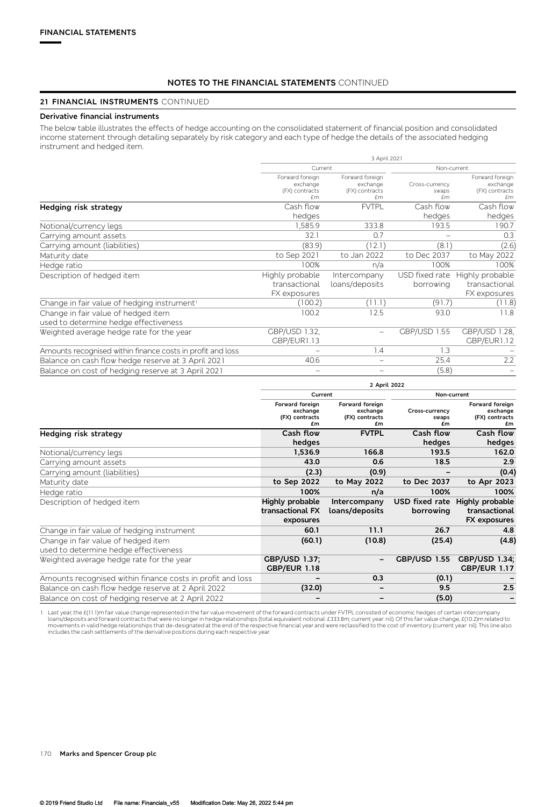### **21 FINANCIAL INSTRUMENTS** CONTINUED

#### **Derivative financial instruments**

The below table illustrates the effects of hedge accounting on the consolidated statement of financial position and consolidated income statement through detailing separately by risk category and each type of hedge the details of the associated hedging instrument and hedged item.

|                                                                              | 3 April 2021                                        |                                                     |                               |                                                     |  |  |
|------------------------------------------------------------------------------|-----------------------------------------------------|-----------------------------------------------------|-------------------------------|-----------------------------------------------------|--|--|
|                                                                              | Current                                             |                                                     | Non-current                   |                                                     |  |  |
|                                                                              | Forward foreign<br>exchange<br>(FX) contracts<br>£m | Forward foreign<br>exchange<br>(FX) contracts<br>£m | Cross-currency<br>swaps<br>£m | Forward foreign<br>exchange<br>(FX) contracts<br>£m |  |  |
| Hedging risk strategy                                                        | Cash flow<br>hedges                                 | <b>FVTPL</b>                                        | Cash flow<br>hedges           | Cash flow<br>hedges                                 |  |  |
| Notional/currency legs                                                       | 1,585.9                                             | 333.8                                               | 193.5                         | 190.7                                               |  |  |
| Carrying amount assets                                                       | 32.1                                                | 0.7                                                 |                               | 0.3                                                 |  |  |
| Carrying amount (liabilities)                                                | (83.9)                                              | (12.1)                                              | (8.1)                         | (2.6)                                               |  |  |
| Maturity date                                                                | to Sep 2021                                         | to Jan 2022                                         | to Dec 2037                   | to May 2022                                         |  |  |
| Hedge ratio                                                                  | 100%                                                | n/a                                                 | 100%                          | 100%                                                |  |  |
| Description of hedged item                                                   | Highly probable<br>transactional<br>FX exposures    | Intercompany<br>loans/deposits                      | USD fixed rate<br>borrowing   | Highly probable<br>transactional<br>FX exposures    |  |  |
| Change in fair value of hedging instrument <sup>1</sup>                      | (100.2)                                             | (11.1)                                              | (91.7)                        | (11.8)                                              |  |  |
| Change in fair value of hedged item<br>used to determine hedge effectiveness | 100.2                                               | 12.5                                                | 93.0                          | 11.8                                                |  |  |
| Weighted average hedge rate for the year                                     | <b>GBP/USD 1.32,</b><br>GBP/EUR1.13                 | $\overline{\phantom{0}}$                            | <b>GBP/USD 1.55</b>           | <b>GBP/USD 1.28,</b><br>GBP/EUR1.12                 |  |  |
| Amounts recognised within finance costs in profit and loss                   |                                                     | 1.4                                                 | 1.3                           |                                                     |  |  |
| Balance on cash flow hedge reserve at 3 April 2021                           | 40.6                                                |                                                     | 25.4                          | 2.2                                                 |  |  |
| Balance on cost of hedging reserve at 3 April 2021                           |                                                     | $\qquad \qquad -$                                   | (5.8)                         |                                                     |  |  |

|                                                                              |                                                     | 2 April 2022                                        |                               |                                                     |
|------------------------------------------------------------------------------|-----------------------------------------------------|-----------------------------------------------------|-------------------------------|-----------------------------------------------------|
|                                                                              | Current                                             |                                                     | Non-current                   |                                                     |
|                                                                              | Forward foreign<br>exchange<br>(FX) contracts<br>£m | Forward foreign<br>exchange<br>(FX) contracts<br>£m | Cross-currency<br>swaps<br>£m | Forward foreign<br>exchange<br>(FX) contracts<br>£m |
| Hedging risk strategy                                                        | Cash flow<br>hedges                                 | <b>FVTPL</b>                                        | Cash flow<br>hedges           | Cash flow<br>hedges                                 |
| Notional/currency legs                                                       | 1,536.9                                             | 166.8                                               | 193.5                         | 162.0                                               |
| Carrying amount assets                                                       | 43.0                                                | 0.6                                                 | 18.5                          | 2.9                                                 |
| Carrying amount (liabilities)                                                | (2.3)                                               | (0.9)                                               |                               | (0.4)                                               |
| Maturity date                                                                | to Sep 2022                                         | to May 2022                                         | to Dec 2037                   | to Apr 2023                                         |
| Hedge ratio                                                                  | 100%                                                | n/a                                                 | 100%                          | 100%                                                |
| Description of hedged item                                                   | Highly probable<br>transactional FX<br>exposures    | Intercompany<br>loans/deposits                      | USD fixed rate<br>borrowing   | Highly probable<br>transactional<br>FX exposures    |
| Change in fair value of hedging instrument                                   | 60.1                                                | 11.1                                                | 26.7                          | 4.8                                                 |
| Change in fair value of hedged item<br>used to determine hedge effectiveness | (60.1)                                              | (10.8)                                              | (25.4)                        | (4.8)                                               |
| Weighted average hedge rate for the year                                     | <b>GBP/USD 1.37;</b><br><b>GBP/EUR 1.18</b>         |                                                     | <b>GBP/USD 1.55</b>           | <b>GBP/USD 1.34;</b><br><b>GBP/EUR 1.17</b>         |
| Amounts recognised within finance costs in profit and loss                   |                                                     | 0.3                                                 | (0.1)                         |                                                     |
| Balance on cash flow hedge reserve at 2 April 2022                           | (32.0)                                              |                                                     | 9.5                           | 2.5                                                 |
| Balance on cost of hedging reserve at 2 April 2022                           |                                                     |                                                     | (5.0)                         |                                                     |

1. Last year, the £(11.1)m fair value change represented in the fair value movement of the forward contracts under FVTPL consisted of economic hedges of certain intercompany<br>loans/deposits and forward contracts that were n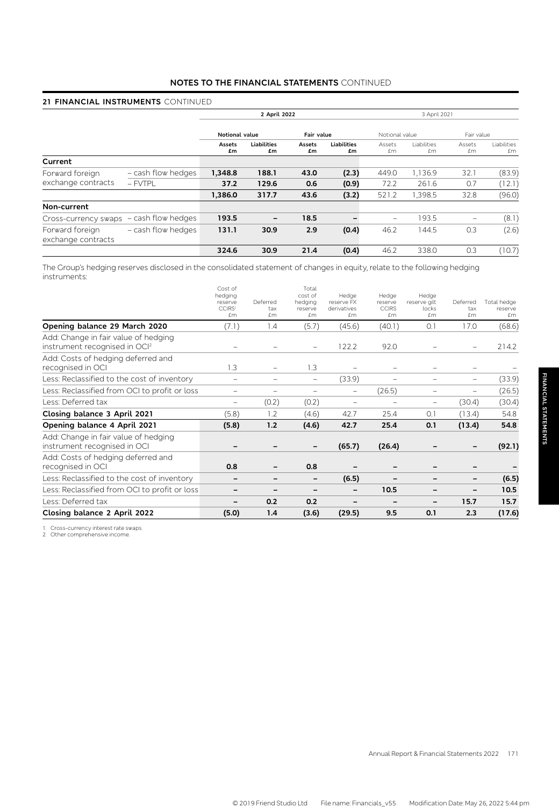# **21 FINANCIAL INSTRUMENTS** CONTINUED

|                                       |                    | 2 April 2022   |                          |              |                          | 3 April 2021             |                   |                          |                   |
|---------------------------------------|--------------------|----------------|--------------------------|--------------|--------------------------|--------------------------|-------------------|--------------------------|-------------------|
|                                       |                    | Notional value |                          | Fair value   |                          | Notional value           |                   | Fair value               |                   |
|                                       |                    | Assets<br>£m   | <b>Liabilities</b><br>£m | Assets<br>£m | <b>Liabilities</b><br>£m | Assets<br>£m             | Liabilities<br>£m | Assets<br>£m             | Liabilities<br>£m |
| Current                               |                    |                |                          |              |                          |                          |                   |                          |                   |
| Forward foreign                       | - cash flow hedges | 1,348.8        | 188.1                    | 43.0         | (2.3)                    | 449.0                    | 1,136.9           | 32.1                     | (83.9)            |
| exchange contracts                    | $ FVTPL$           | 37.2           | 129.6                    | 0.6          | (0.9)                    | 72.2                     | 261.6             | 0.7                      | (12.1)            |
|                                       |                    | 1,386.0        | 317.7                    | 43.6         | (3.2)                    | 521.2                    | 1,398.5           | 32.8                     | (96.0)            |
| Non-current                           |                    |                |                          |              |                          |                          |                   |                          |                   |
| Cross-currency swaps                  | - cash flow hedges | 193.5          | $\overline{\phantom{a}}$ | 18.5         |                          | $\overline{\phantom{0}}$ | 193.5             | $\overline{\phantom{0}}$ | (8.1)             |
| Forward foreign<br>exchange contracts | - cash flow hedges | 131.1          | 30.9                     | 2.9          | (0.4)                    | 46.2                     | 144.5             | 0.3                      | (2.6)             |
|                                       |                    | 324.6          | 30.9                     | 21.4         | (0.4)                    | 46.2                     | 338.0             | 0.3                      | (10.7)            |

The Group's hedging reserves disclosed in the consolidated statement of changes in equity, relate to the following hedging instruments:

|                                                                                   | Cost of<br>hedging<br>reserve<br>CCIRS <sup>1</sup><br>£m | Deferred<br>tax<br>£m    | Total<br>cost of<br>hedging<br>reserve<br>£m | Hedge<br>reserve FX<br>derivatives<br>£m | Hedge<br>reserve<br><b>CCIRS</b><br>£m | Hedge<br>reserve gilt<br>locks<br>£m | Deferred<br>tax<br>£m    | Total hedge<br>reserve<br>£m |
|-----------------------------------------------------------------------------------|-----------------------------------------------------------|--------------------------|----------------------------------------------|------------------------------------------|----------------------------------------|--------------------------------------|--------------------------|------------------------------|
| Opening balance 29 March 2020                                                     | (7.1)                                                     | 1.4                      | (5.7)                                        | (45.6)                                   | (40.1)                                 | 0.1                                  | 17.0                     | (68.6)                       |
| Add: Change in fair value of hedging<br>instrument recognised in OCI <sup>2</sup> |                                                           |                          |                                              | 122.2                                    | 92.0                                   |                                      |                          | 214.2                        |
| Add: Costs of hedging deferred and<br>recognised in OCI                           | 1.3                                                       | $\overline{\phantom{0}}$ | 1.3                                          |                                          |                                        |                                      |                          |                              |
| Less: Reclassified to the cost of inventory                                       | $\qquad \qquad$                                           | $\overline{\phantom{0}}$ | $\overline{\phantom{m}}$                     | (33.9)                                   |                                        |                                      | $\overline{\phantom{0}}$ | (33.9)                       |
| Less: Reclassified from OCI to profit or loss                                     | —                                                         |                          |                                              |                                          | (26.5)                                 |                                      |                          | (26.5)                       |
| Less: Deferred tax                                                                | $\overline{\phantom{0}}$                                  | (0.2)                    | (0.2)                                        | $\overline{\phantom{0}}$                 | $\overline{\phantom{0}}$               | $\overline{\phantom{m}}$             | (30.4)                   | (30.4)                       |
| Closing balance 3 April 2021                                                      | (5.8)                                                     | 1.2                      | (4.6)                                        | 42.7                                     | 25.4                                   | 0.1                                  | (13.4)                   | 54.8                         |
| Opening balance 4 April 2021                                                      | (5.8)                                                     | 1.2                      | (4.6)                                        | 42.7                                     | 25.4                                   | 0.1                                  | (13.4)                   | 54.8                         |
| Add: Change in fair value of hedging<br>instrument recognised in OCI              |                                                           |                          |                                              | (65.7)                                   | (26.4)                                 |                                      |                          | (92.1)                       |
| Add: Costs of hedging deferred and<br>recognised in OCI                           | 0.8                                                       |                          | 0.8                                          |                                          |                                        |                                      |                          |                              |
| Less: Reclassified to the cost of inventory                                       |                                                           |                          |                                              | (6.5)                                    |                                        |                                      |                          | (6.5)                        |
| Less: Reclassified from OCI to profit or loss                                     | -                                                         | -                        |                                              | $\qquad \qquad -$                        | 10.5                                   | -                                    |                          | 10.5                         |
| Less: Deferred tax                                                                | -                                                         | 0.2                      | 0.2                                          |                                          |                                        | -                                    | 15.7                     | 15.7                         |
| Closing balance 2 April 2022                                                      | (5.0)                                                     | 1.4                      | (3.6)                                        | (29.5)                                   | 9.5                                    | 0.1                                  | 2.3                      | (17.6)                       |

1. Cross-currency interest rate swaps. 2. Other comprehensive income.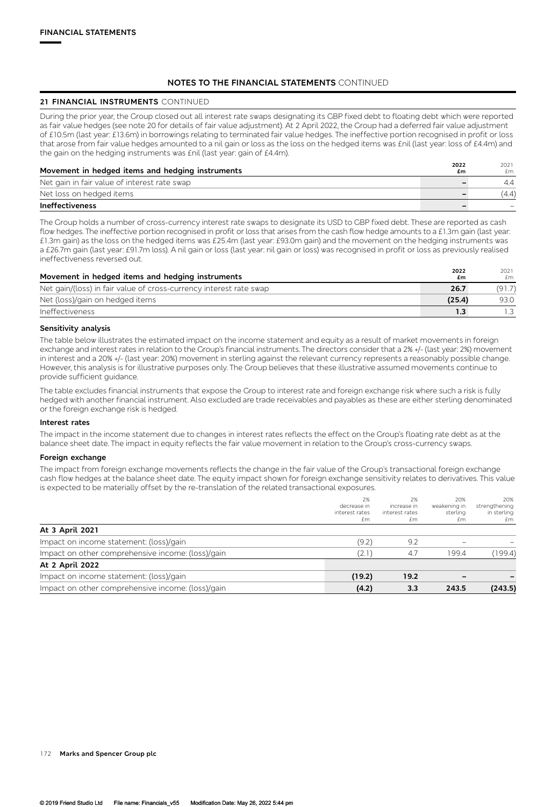### **21 FINANCIAL INSTRUMENTS** CONTINUED

During the prior year, the Group closed out all interest rate swaps designating its GBP fixed debt to floating debt which were reported as fair value hedges (see note 20 for details of fair value adjustment). At 2 April 2022, the Group had a deferred fair value adjustment of £10.5m (last year: £13.6m) in borrowings relating to terminated fair value hedges. The ineffective portion recognised in profit or loss that arose from fair value hedges amounted to a nil gain or loss as the loss on the hedged items was £nil (last year: loss of £4.4m) and the gain on the hedging instruments was £nil (last year: gain of £4.4m).

| Movement in hedged items and hedging instruments | 2022<br>£m | 2021<br>fm |
|--------------------------------------------------|------------|------------|
| Net gain in fair value of interest rate swap     |            | 44         |
| Net loss on hedged items                         |            | (4.4)      |
| <b>Ineffectiveness</b>                           |            |            |

The Group holds a number of cross-currency interest rate swaps to designate its USD to GBP fixed debt. These are reported as cash flow hedges. The ineffective portion recognised in profit or loss that arises from the cash flow hedge amounts to a £1.3m gain (last year: £1.3m gain) as the loss on the hedged items was £25.4m (last year: £93.0m gain) and the movement on the hedging instruments was a £26.7m gain (last year: £91.7m loss). A nil gain or loss (last year: nil gain or loss) was recognised in profit or loss as previously realised ineffectiveness reversed out.

| Movement in hedged items and hedging instruments                   | 2022<br>£m | 2021<br>£m |
|--------------------------------------------------------------------|------------|------------|
| Net gain/(loss) in fair value of cross-currency interest rate swap | 26.7       | (91.7)     |
| Net (loss)/gain on hedged items                                    | (25.4)     | 93.0       |
| <b>Ineffectiveness</b>                                             |            |            |

### **Sensitivity analysis**

The table below illustrates the estimated impact on the income statement and equity as a result of market movements in foreign exchange and interest rates in relation to the Group's financial instruments. The directors consider that a 2% +/- (last year: 2%) movement in interest and a 20% +/- (last year: 20%) movement in sterling against the relevant currency represents a reasonably possible change. However, this analysis is for illustrative purposes only. The Group believes that these illustrative assumed movements continue to provide sufficient guidance.

The table excludes financial instruments that expose the Group to interest rate and foreign exchange risk where such a risk is fully hedged with another financial instrument. Also excluded are trade receivables and payables as these are either sterling denominated or the foreign exchange risk is hedged.

#### **Interest rates**

The impact in the income statement due to changes in interest rates reflects the effect on the Group's floating rate debt as at the balance sheet date. The impact in equity reflects the fair value movement in relation to the Group's cross-currency swaps.

#### **Foreign exchange**

The impact from foreign exchange movements reflects the change in the fair value of the Group's transactional foreign exchange cash flow hedges at the balance sheet date. The equity impact shown for foreign exchange sensitivity relates to derivatives. This value is expected to be materially offset by the re-translation of the related transactional exposures.

|                                                   | 2%<br>decrease in<br>interest rates<br>£m | 2%<br>increase in<br>interest rates<br>£m | 20%<br>weakening in<br>sterlina<br>£m | 20%<br>strengthening<br>in sterling<br>£m |
|---------------------------------------------------|-------------------------------------------|-------------------------------------------|---------------------------------------|-------------------------------------------|
| At 3 April 2021                                   |                                           |                                           |                                       |                                           |
| Impact on income statement: (loss)/gain           | (9.2)                                     | 9.2                                       |                                       |                                           |
| Impact on other comprehensive income: (loss)/gain | (2.1)                                     | 4.7                                       | 199.4                                 | 199.4)                                    |
| At 2 April 2022                                   |                                           |                                           |                                       |                                           |
| Impact on income statement: (loss)/gain           | (19.2)                                    | 19.2                                      |                                       |                                           |
| Impact on other comprehensive income: (loss)/gain | (4.2)                                     | 3.3                                       | 243.5                                 | (243.5)                                   |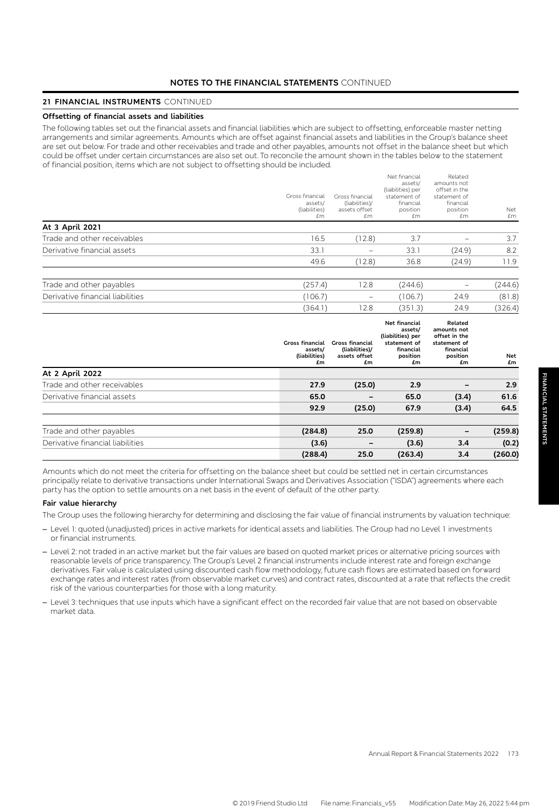# **21 FINANCIAL INSTRUMENTS** CONTINUED

### **Offsetting of financial assets and liabilities**

The following tables set out the financial assets and financial liabilities which are subject to offsetting, enforceable master netting arrangements and similar agreements. Amounts which are offset against financial assets and liabilities in the Group's balance sheet are set out below. For trade and other receivables and trade and other payables, amounts not offset in the balance sheet but which could be offset under certain circumstances are also set out. To reconcile the amount shown in the tables below to the statement of financial position, items which are not subject to offsetting should be included.

|                                  | <b>Cross financial</b><br>assets/<br>(liabilities)<br>£m | Gross financial<br>(liabilities)/<br>assets offset<br>£m | Net financial<br>assets/<br>(liabilities) per<br>statement of<br>financial<br>position<br>£m | Related<br>amounts not<br>offset in the<br>statement of<br>financial<br>position<br>£m | Net<br>£m |
|----------------------------------|----------------------------------------------------------|----------------------------------------------------------|----------------------------------------------------------------------------------------------|----------------------------------------------------------------------------------------|-----------|
| At 3 April 2021                  |                                                          |                                                          |                                                                                              |                                                                                        |           |
| Trade and other receivables      | 16.5                                                     | (12.8)                                                   | 3.7                                                                                          |                                                                                        | 3.7       |
| Derivative financial assets      | 33.1                                                     |                                                          | 33.1                                                                                         | (24.9)                                                                                 | 8.2       |
|                                  | 49.6                                                     | (12.8)                                                   | 36.8                                                                                         | (24.9)                                                                                 | 11.9      |
| Trade and other payables         | (257.4)                                                  | 12.8                                                     | (244.6)                                                                                      |                                                                                        | (244.6)   |
| Derivative financial liabilities | (106.7)                                                  |                                                          | (106.7)                                                                                      | 24.9                                                                                   | (81.8)    |

|                                  | (364.1)                                                  | 2.8                                                             | (351.3)                                                                                      | 24.9                                                                                   | (326.4)   |
|----------------------------------|----------------------------------------------------------|-----------------------------------------------------------------|----------------------------------------------------------------------------------------------|----------------------------------------------------------------------------------------|-----------|
|                                  | <b>Gross financial</b><br>assets/<br>(liabilities)<br>£m | <b>Gross financial</b><br>(liabilities)/<br>assets offset<br>£m | Net financial<br>assets/<br>(liabilities) per<br>statement of<br>financial<br>position<br>£m | Related<br>amounts not<br>offset in the<br>statement of<br>financial<br>position<br>£m | Net<br>£m |
| At 2 April 2022                  |                                                          |                                                                 |                                                                                              |                                                                                        |           |
| Trade and other receivables      | 27.9                                                     | (25.0)                                                          | 2.9                                                                                          |                                                                                        | 2.9       |
| Derivative financial assets      | 65.0                                                     |                                                                 | 65.0                                                                                         | (3.4)                                                                                  | 61.6      |
|                                  | 92.9                                                     | (25.0)                                                          | 67.9                                                                                         | (3.4)                                                                                  | 64.5      |
| Trade and other payables         | (284.8)                                                  | 25.0                                                            | (259.8)                                                                                      |                                                                                        | (259.8)   |
| Derivative financial liabilities | (3.6)                                                    |                                                                 | (3.6)                                                                                        | 3.4                                                                                    | (0.2)     |
|                                  | (288.4)                                                  | 25.0                                                            | (263.4)                                                                                      | 3.4                                                                                    | (260.0)   |

Amounts which do not meet the criteria for offsetting on the balance sheet but could be settled net in certain circumstances principally relate to derivative transactions under International Swaps and Derivatives Association ("ISDA") agreements where each party has the option to settle amounts on a net basis in the event of default of the other party.

#### **Fair value hierarchy**

The Group uses the following hierarchy for determining and disclosing the fair value of financial instruments by valuation technique:

- Level 1: quoted (unadjusted) prices in active markets for identical assets and liabilities. The Group had no Level 1 investments or financial instruments.
- Level 2: not traded in an active market but the fair values are based on quoted market prices or alternative pricing sources with reasonable levels of price transparency. The Group's Level 2 financial instruments include interest rate and foreign exchange derivatives. Fair value is calculated using discounted cash flow methodology, future cash flows are estimated based on forward exchange rates and interest rates (from observable market curves) and contract rates, discounted at a rate that reflects the credit risk of the various counterparties for those with a long maturity.
- Level 3: techniques that use inputs which have a significant effect on the recorded fair value that are not based on observable market data.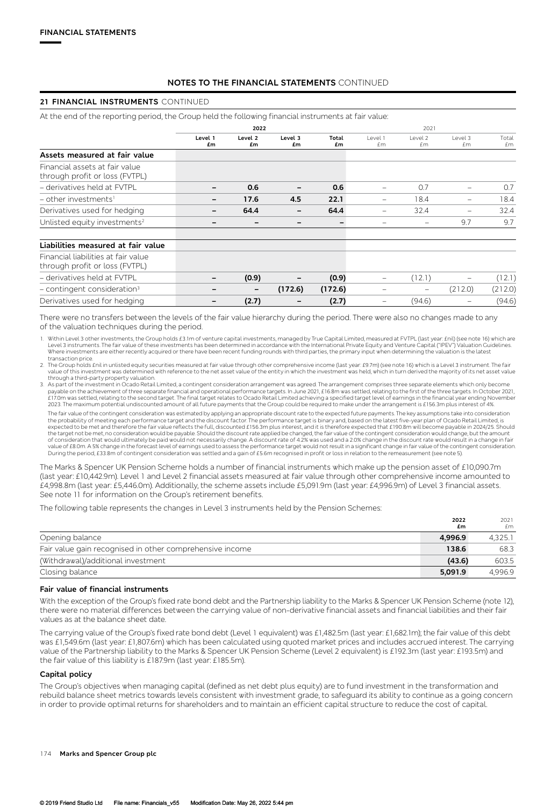### **21 FINANCIAL INSTRUMENTS** CONTINUED

At the end of the reporting period, the Group held the following financial instruments at fair value: **2022** 2021 **Level 1 £m Level 2 £m Level 3 £m Total £m** Level 1 £m Level 2 £m Level 3 £m Total £m **Assets measured at fair value** Financial assets at fair value through profit or loss (FVTPL) – derivatives held at FVTPL **– 0.6 – 0.6** – 0.7 – 0.7 – other investments1 **– 17.6 4.5 22.1** – 18.4 – 18.4 Derivatives used for hedging **– 64.4 – 64.4** – 32.4 – 32.4 Unlisted equity investments2 **– – – –** – – 9.7 9.7 **Liabilities measured at fair value** Financial liabilities at fair value through profit or loss (FVTPL) – derivatives held at FVTPL **– (0.9) – (0.9)** – (12.1) – (12.1) – contingent consideration3 **– – (172.6) (172.6)** – – (212.0) (212.0) Derivatives used for hedging **– (2.7) – (2.7)** – (94.6) – (94.6)

There were no transfers between the levels of the fair value hierarchy during the period. There were also no changes made to any of the valuation techniques during the period.

1. Within Level 3 other investments, the Group holds £3.1m of venture capital investments, managed by True Capital Limited, measured at FVTPL (last year: £nil) (see note 16) which are<br>Level 3 instruments. The fair value of Where investments are either recently acquired or there have been recent funding rounds with third parties, the primary input when determining the valuation is the latest transaction price.

2. The Group holds £nil in unlisted equity securities measured at fair value through other comprehensive income (last year: £9.7m) (see note 16) which is a Level 3 instrument. The fair value of this investment was determined with reference to the net asset value of the entity in which the investment was held, which in turn derived the majority of its net asset value through a third-party property valuation.

3. As part of the investment in Ocado Retail Limited, a contingent consideration arrangement was agreed. The arrangement comprises three separate elements which only become payable on the achievement of three separate financial and operational performance targets. In June 2021, £16.8m was settled, relating to the first of the three targets. In October 2021, £17.0m was settled, relating to the second target. The final target relates to Ocado Retail Limited achieving a specified target level of earnings in the financial year ending November<br>2023. The maximum potential undiscoun The fair value of the contingent consideration was estimated by applying an appropriate discount rate to the expected future payments. The key assumptions take into consideration the probability of meeting each performance target and the discount factor. The performance target is binary and, based on the latest five-year plan of Ocado Retail Limited, is<br>expected to be met and therefore the fair val

the target not be met, no consideration would be payable. Should the discount rate applied be changed, the fair value of the contingent consideration would change, but the amount are amount in the mount of the mount of the During the period, £33.8m of contingent consideration was settled and a gain of £5.6m recognised in profit or loss in relation to the remeasurement (see note 5).

The Marks & Spencer UK Pension Scheme holds a number of financial instruments which make up the pension asset of £10,090.7m (last year: £10,442.9m). Level 1 and Level 2 financial assets measured at fair value through other comprehensive income amounted to £4,998.8m (last year: £5,446.0m). Additionally, the scheme assets include £5,091.9m (last year: £4,996.9m) of Level 3 financial assets. See note 11 for information on the Group's retirement benefits.

The following table represents the changes in Level 3 instruments held by the Pension Schemes:

|                                                          | 2022<br>£m | 2021<br>£m |
|----------------------------------------------------------|------------|------------|
| Opening balance                                          | 4,996.9    | 4.325.1    |
| Fair value gain recognised in other comprehensive income | 138.6      | 68.3       |
| (Withdrawal)/additional investment                       | (43.6)     | 603.5      |
| Closing balance                                          | 5.091.9    | 4.996.9    |

#### **Fair value of financial instruments**

With the exception of the Group's fixed rate bond debt and the Partnership liability to the Marks & Spencer UK Pension Scheme (note 12), there were no material differences between the carrying value of non-derivative financial assets and financial liabilities and their fair values as at the balance sheet date.

The carrying value of the Group's fixed rate bond debt (Level 1 equivalent) was £1,482.5m (last year: £1,682.1m); the fair value of this debt was £1,549.6m (last year: £1,807.6m) which has been calculated using quoted market prices and includes accrued interest. The carrying value of the Partnership liability to the Marks & Spencer UK Pension Scheme (Level 2 equivalent) is £192.3m (last year: £193.5m) and the fair value of this liability is £187.9m (last year: £185.5m).

#### **Capital policy**

The Group's objectives when managing capital (defined as net debt plus equity) are to fund investment in the transformation and rebuild balance sheet metrics towards levels consistent with investment grade, to safeguard its ability to continue as a going concern in order to provide optimal returns for shareholders and to maintain an efficient capital structure to reduce the cost of capital.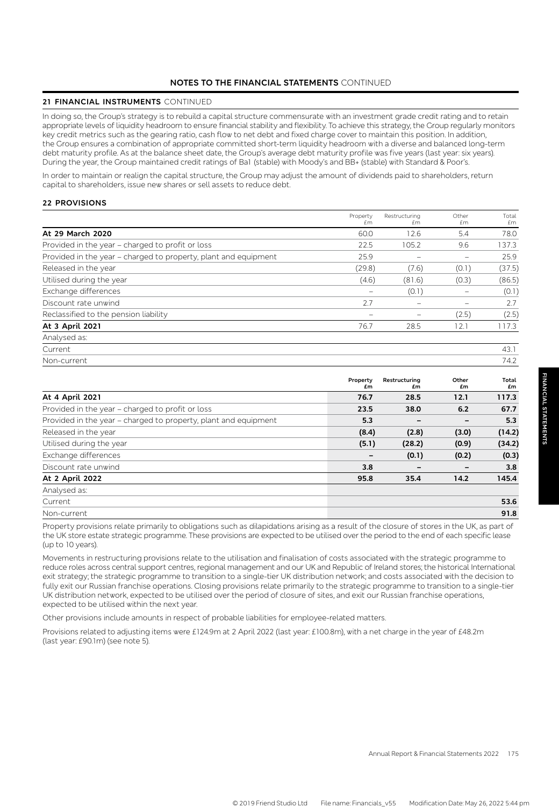## **21 FINANCIAL INSTRUMENTS** CONTINUED

In doing so, the Group's strategy is to rebuild a capital structure commensurate with an investment grade credit rating and to retain appropriate levels of liquidity headroom to ensure financial stability and flexibility. To achieve this strategy, the Group regularly monitors key credit metrics such as the gearing ratio, cash flow to net debt and fixed charge cover to maintain this position. In addition, the Group ensures a combination of appropriate committed short-term liquidity headroom with a diverse and balanced long-term debt maturity profile. As at the balance sheet date, the Group's average debt maturity profile was five years (last year: six years). During the year, the Group maintained credit ratings of Ba1 (stable) with Moody's and BB+ (stable) with Standard & Poor's.

In order to maintain or realign the capital structure, the Group may adjust the amount of dividends paid to shareholders, return capital to shareholders, issue new shares or sell assets to reduce debt.

### **22 PROVISIONS**

|                                                                 | Property<br>£m | Restructuring<br>£m | Other<br>£m | Total<br>£m |
|-----------------------------------------------------------------|----------------|---------------------|-------------|-------------|
| At 29 March 2020                                                | 60.0           | 12.6                | 5.4         | 78.0        |
| Provided in the year – charged to profit or loss                | 22.5           | 105.2               | 9.6         | 137.3       |
| Provided in the year – charged to property, plant and equipment | 25.9           |                     |             | 25.9        |
| Released in the year                                            | (29.8)         | (7.6)               | (0.1)       | (37.5)      |
| Utilised during the year                                        | (4.6)          | (81.6)              | (0.3)       | (86.5)      |
| Exchange differences                                            |                | (0.1)               |             | (0.1)       |
| Discount rate unwind                                            | 2.7            |                     |             | 2.7         |
| Reclassified to the pension liability                           |                |                     | (2.5)       | (2.5)       |
| At 3 April 2021                                                 | 76.7           | 28.5                | 12.1        | 117.3       |
| Analysed as:                                                    |                |                     |             |             |
| Current                                                         |                |                     |             | 43.1        |

| Current | т.,             |
|---------|-----------------|
| Non-d   |                 |
| current | ∸               |
|         | $\cdot$ $\cdot$ |

|                                                                 | Property<br>£m | Restructuring<br>£m | Other<br>£m | Total<br>£m |
|-----------------------------------------------------------------|----------------|---------------------|-------------|-------------|
| <b>At 4 April 2021</b>                                          | 76.7           | 28.5                | 12.1        | 117.3       |
| Provided in the year – charged to profit or loss                | 23.5           | 38.0                | 6.2         | 67.7        |
| Provided in the year – charged to property, plant and equipment | 5.3            |                     |             | 5.3         |
| Released in the year                                            | (8.4)          | (2.8)               | (3.0)       | (14.2)      |
| Utilised during the year                                        | (5.1)          | (28.2)              | (0.9)       | (34.2)      |
| Exchange differences                                            |                | (0.1)               | (0.2)       | (0.3)       |
| Discount rate unwind                                            | 3.8            |                     |             | 3.8         |
| At 2 April 2022                                                 | 95.8           | 35.4                | 14.2        | 145.4       |
| Analysed as:                                                    |                |                     |             |             |
| Current                                                         |                |                     |             | 53.6        |
| Non-current                                                     |                |                     |             | 91.8        |

Property provisions relate primarily to obligations such as dilapidations arising as a result of the closure of stores in the UK, as part of the UK store estate strategic programme. These provisions are expected to be utilised over the period to the end of each specific lease (up to 10 years).

Movements in restructuring provisions relate to the utilisation and finalisation of costs associated with the strategic programme to reduce roles across central support centres, regional management and our UK and Republic of Ireland stores; the historical International exit strategy; the strategic programme to transition to a single-tier UK distribution network; and costs associated with the decision to fully exit our Russian franchise operations. Closing provisions relate primarily to the strategic programme to transition to a single-tier UK distribution network, expected to be utilised over the period of closure of sites, and exit our Russian franchise operations, expected to be utilised within the next year.

Other provisions include amounts in respect of probable liabilities for employee-related matters.

Provisions related to adjusting items were £124.9m at 2 April 2022 (last year: £100.8m), with a net charge in the year of £48.2m (last year: £90.1m) (see note 5).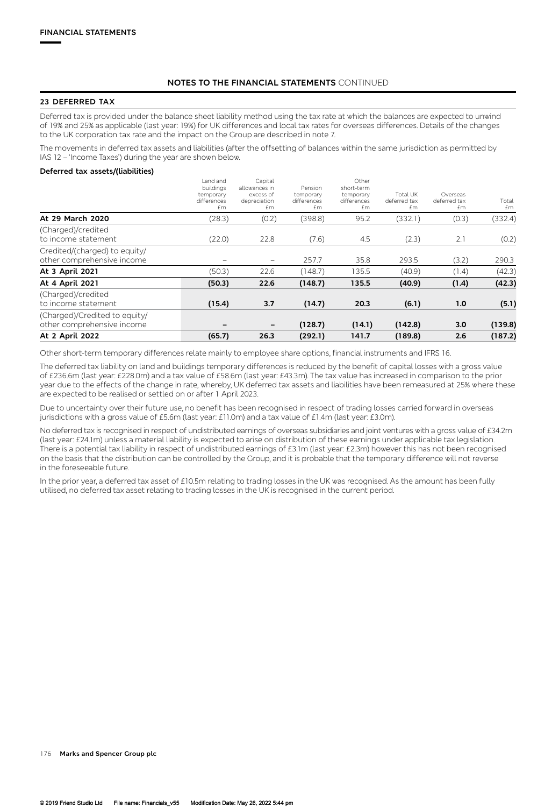## **23 DEFERRED TAX**

Deferred tax is provided under the balance sheet liability method using the tax rate at which the balances are expected to unwind of 19% and 25% as applicable (last year: 19%) for UK differences and local tax rates for overseas differences. Details of the changes to the UK corporation tax rate and the impact on the Group are described in note 7.

The movements in deferred tax assets and liabilities (after the offsetting of balances within the same jurisdiction as permitted by IAS 12 – 'Income Taxes') during the year are shown below.

### **Deferred tax assets/(liabilities)**

| At 2 April 2022                                             | (65.7)                                                  | 26.3                                                        | (292.1)                                   | 141.7                                                 | (189.8)                        | 2.6                            | (187.2)     |
|-------------------------------------------------------------|---------------------------------------------------------|-------------------------------------------------------------|-------------------------------------------|-------------------------------------------------------|--------------------------------|--------------------------------|-------------|
| (Charged)/Credited to equity/<br>other comprehensive income |                                                         | $\overline{\phantom{m}}$                                    | (128.7)                                   | (14.1)                                                | (142.8)                        | 3.0                            | (139.8)     |
| (Charged)/credited<br>to income statement                   | (15.4)                                                  | 3.7                                                         | (14.7)                                    | 20.3                                                  | (6.1)                          | 1.0                            | (5.1)       |
| At 4 April 2021                                             | (50.3)                                                  | 22.6                                                        | (148.7)                                   | 135.5                                                 | (40.9)                         | (1.4)                          | (42.3)      |
| At 3 April 2021                                             | (50.3)                                                  | 22.6                                                        | (148.7)                                   | 135.5                                                 | (40.9)                         | (1.4)                          | (42.3)      |
| Credited/(charged) to equity/<br>other comprehensive income |                                                         | $\overline{\phantom{m}}$                                    | 257.7                                     | 35.8                                                  | 293.5                          | (3.2)                          | 290.3       |
| (Charged)/credited<br>to income statement                   | (22.0)                                                  | 22.8                                                        | (7.6)                                     | 4.5                                                   | (2.3)                          | 2.1                            | (0.2)       |
| At 29 March 2020                                            | (28.3)                                                  | (0.2)                                                       | (398.8)                                   | 95.2                                                  | (332.1)                        | (0.3)                          | (332.4)     |
|                                                             | Land and<br>buildings<br>temporary<br>differences<br>£m | Capital<br>allowances in<br>excess of<br>depreciation<br>£m | Pension<br>temporary<br>differences<br>£m | Other<br>short-term<br>temporary<br>differences<br>£m | Total UK<br>deferred tax<br>£m | Overseas<br>deferred tax<br>£m | Total<br>£m |

Other short-term temporary differences relate mainly to employee share options, financial instruments and IFRS 16.

The deferred tax liability on land and buildings temporary differences is reduced by the benefit of capital losses with a gross value of £236.6m (last year: £228.0m) and a tax value of £58.6m (last year: £43.3m). The tax value has increased in comparison to the prior year due to the effects of the change in rate, whereby, UK deferred tax assets and liabilities have been remeasured at 25% where these are expected to be realised or settled on or after 1 April 2023.

Due to uncertainty over their future use, no benefit has been recognised in respect of trading losses carried forward in overseas jurisdictions with a gross value of £5.6m (last year: £11.0m) and a tax value of £1.4m (last year: £3.0m).

No deferred tax is recognised in respect of undistributed earnings of overseas subsidiaries and joint ventures with a gross value of £34.2m (last year: £24.1m) unless a material liability is expected to arise on distribution of these earnings under applicable tax legislation. There is a potential tax liability in respect of undistributed earnings of £3.1m (last year: £2.3m) however this has not been recognised on the basis that the distribution can be controlled by the Group, and it is probable that the temporary difference will not reverse in the foreseeable future.

In the prior year, a deferred tax asset of £10.5m relating to trading losses in the UK was recognised. As the amount has been fully utilised, no deferred tax asset relating to trading losses in the UK is recognised in the current period.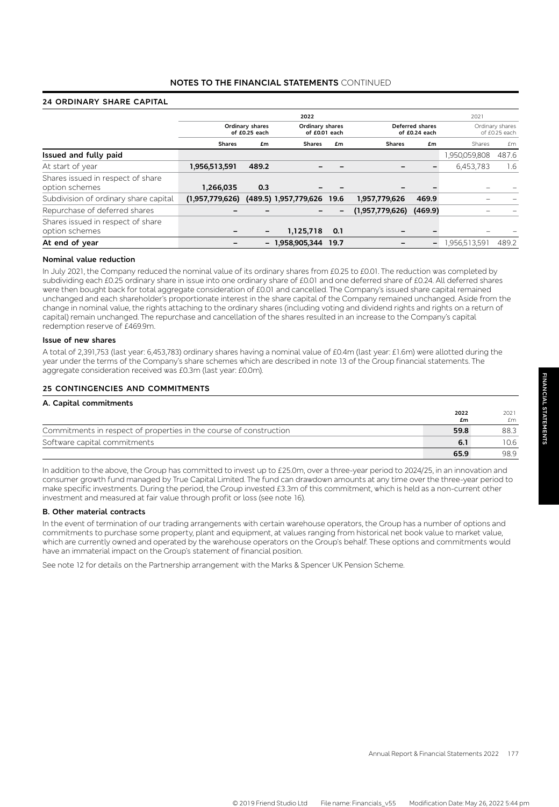## **24 ORDINARY SHARE CAPITAL**

|                                                     |                                  |       | 2022                             |      |                              |                          | 2021          |                                  |  |                                  |
|-----------------------------------------------------|----------------------------------|-------|----------------------------------|------|------------------------------|--------------------------|---------------|----------------------------------|--|----------------------------------|
|                                                     | Ordinary shares<br>of £0.25 each |       | Ordinary shares<br>of £0.01 each |      |                              |                          |               | Deferred shares<br>of £0.24 each |  | Ordinary shares<br>of £0.25 each |
|                                                     | <b>Shares</b>                    | £m    | <b>Shares</b>                    | £m   | <b>Shares</b>                | £m                       | Shares        | £m                               |  |                                  |
| Issued and fully paid                               |                                  |       |                                  |      |                              |                          | 1,950,059,808 | 487.6                            |  |                                  |
| At start of year                                    | 1,956,513,591                    | 489.2 |                                  |      |                              |                          | 6,453,783     | 1.6                              |  |                                  |
| Shares issued in respect of share<br>option schemes | 1,266,035                        | 0.3   |                                  |      |                              |                          |               |                                  |  |                                  |
| Subdivision of ordinary share capital               | (1,957,779,626)                  |       | (489.5) 1,957,779,626 19.6       |      | 1,957,779,626                | 469.9                    |               |                                  |  |                                  |
| Repurchase of deferred shares                       |                                  |       |                                  |      | (1,957,779,626)              | (469.9)                  |               |                                  |  |                                  |
| Shares issued in respect of share<br>option schemes |                                  |       | 1,125,718                        | 0.1  | $\qquad \qquad$              |                          |               |                                  |  |                                  |
| At end of year                                      |                                  | -     | 1,958,905,344                    | 19.7 | $\qquad \qquad \blacksquare$ | $\overline{\phantom{m}}$ | 1,956,513,591 | 489.2                            |  |                                  |

#### **Nominal value reduction**

In July 2021, the Company reduced the nominal value of its ordinary shares from £0.25 to £0.01. The reduction was completed by subdividing each £0.25 ordinary share in issue into one ordinary share of £0.01 and one deferred share of £0.24. All deferred shares were then bought back for total aggregate consideration of £0.01 and cancelled. The Company's issued share capital remained unchanged and each shareholder's proportionate interest in the share capital of the Company remained unchanged. Aside from the change in nominal value, the rights attaching to the ordinary shares (including voting and dividend rights and rights on a return of capital) remain unchanged. The repurchase and cancellation of the shares resulted in an increase to the Company's capital redemption reserve of £469.9m.

#### **Issue of new shares**

A total of 2,391,753 (last year: 6,453,783) ordinary shares having a nominal value of £0.4m (last year: £1.6m) were allotted during the year under the terms of the Company's share schemes which are described in note 13 of the Group financial statements. The aggregate consideration received was £0.3m (last year: £0.0m).

#### **25 CONTINGENCIES AND COMMITMENTS**

#### **A. Capital commitments 2022 £m** 2021 £m Commitments in respect of properties in the course of construction **59.8** 88.3 Software capital commitments **6.1** 10.6 **65.9** 98.9

In addition to the above, the Group has committed to invest up to £25.0m, over a three-year period to 2024/25, in an innovation and consumer growth fund managed by True Capital Limited. The fund can drawdown amounts at any time over the three-year period to make specific investments. During the period, the Group invested £3.3m of this commitment, which is held as a non-current other investment and measured at fair value through profit or loss (see note 16).

#### **B. Other material contracts**

In the event of termination of our trading arrangements with certain warehouse operators, the Group has a number of options and commitments to purchase some property, plant and equipment, at values ranging from historical net book value to market value, which are currently owned and operated by the warehouse operators on the Group's behalf. These options and commitments would have an immaterial impact on the Group's statement of financial position.

See note 12 for details on the Partnership arrangement with the Marks & Spencer UK Pension Scheme.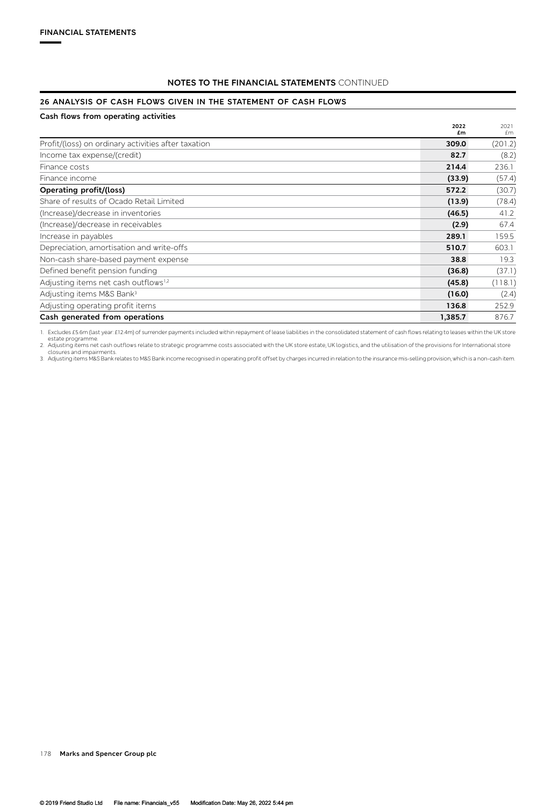## **26 ANALYSIS OF CASH FLOWS GIVEN IN THE STATEMENT OF CASH FLOWS**

| Cash flows from operating activities                |            |            |
|-----------------------------------------------------|------------|------------|
|                                                     | 2022<br>£m | 2021<br>£m |
| Profit/(loss) on ordinary activities after taxation | 309.0      | (201.2)    |
| Income tax expense/(credit)                         | 82.7       | (8.2)      |
| Finance costs                                       | 214.4      | 236.1      |
| Finance income                                      | (33.9)     | (57.4)     |
| Operating profit/(loss)                             | 572.2      | (30.7)     |
| Share of results of Ocado Retail Limited            | (13.9)     | (78.4)     |
| (Increase)/decrease in inventories                  | (46.5)     | 41.2       |
| (Increase)/decrease in receivables                  | (2.9)      | 67.4       |
| Increase in payables                                | 289.1      | 159.5      |
| Depreciation, amortisation and write-offs           | 510.7      | 603.1      |
| Non-cash share-based payment expense                | 38.8       | 19.3       |
| Defined benefit pension funding                     | (36.8)     | (37.1)     |
| Adjusting items net cash outflows <sup>1,2</sup>    | (45.8)     | (118.1)    |
| Adjusting items M&S Bank <sup>3</sup>               | (16.0)     | (2.4)      |
| Adjusting operating profit items                    | 136.8      | 252.9      |
| Cash generated from operations                      | 1,385.7    | 876.7      |

1. Excludes £5.6m (last year: £12.4m) of surrender payments included within repayment of lease liabilities in the consolidated statement of cash flows relating to leases within the UK store estate programme.<br>2. Adjusting items net cash outflows relate to strategic programme costs associated with the UK store estate, UK logistics, and the utilisation of the provisions for International store

closures and impairments.<br>3. Adjusting items M&S Bank relates to M&S Bank income recognised in operating profit offset by charges incurred in relation to the insurance mis-selling provision, which is a non-cash item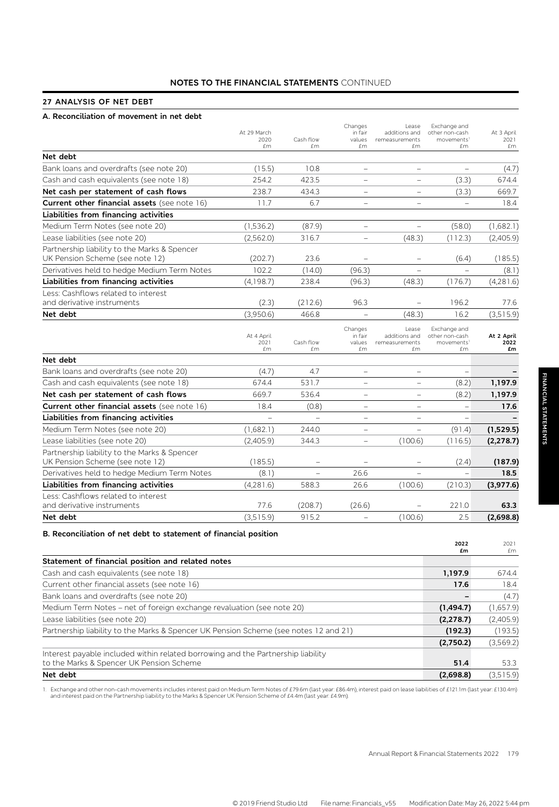## **27 ANALYSIS OF NET DEBT**

# **A. Reconciliation of movement in net debt**

|                                              | At 29 March              |                          | Changes<br>in fair                 | Lease<br>additions and                         | Exchange and<br>other non-cash                    | At 3 April               |
|----------------------------------------------|--------------------------|--------------------------|------------------------------------|------------------------------------------------|---------------------------------------------------|--------------------------|
|                                              | 2020                     | Cash flow                | values                             | remeasurements                                 | movements                                         | 2021                     |
|                                              | £m                       | £m                       | £m                                 | £m                                             | £m                                                | £m                       |
| Net debt                                     |                          |                          |                                    |                                                |                                                   |                          |
| Bank loans and overdrafts (see note 20)      | (15.5)                   | 10.8                     |                                    | $\overline{\phantom{a}}$                       |                                                   | (4.7)                    |
| Cash and cash equivalents (see note 18)      | 254.2                    | 423.5                    | $\overline{\phantom{0}}$           | $\qquad \qquad -$                              | (3.3)                                             | 674.4                    |
| Net cash per statement of cash flows         | 238.7                    | 434.3                    | $\overline{\phantom{0}}$           | $\qquad \qquad -$                              | (3.3)                                             | 669.7                    |
| Current other financial assets (see note 16) | 11.7                     | 6.7                      | $\overline{\phantom{0}}$           | $\overline{\phantom{0}}$                       | $\overline{a}$                                    | 18.4                     |
| Liabilities from financing activities        |                          |                          |                                    |                                                |                                                   |                          |
| Medium Term Notes (see note 20)              | (1, 536.2)               | (87.9)                   |                                    | $\qquad \qquad -$                              | (58.0)                                            | (1,682.1)                |
| Lease liabilities (see note 20)              | (2,562.0)                | 316.7                    |                                    | (48.3)                                         | (112.3)                                           | (2,405.9)                |
| Partnership liability to the Marks & Spencer |                          |                          |                                    |                                                |                                                   |                          |
| UK Pension Scheme (see note 12)              | (202.7)                  | 23.6                     |                                    |                                                | (6.4)                                             | (185.5)                  |
| Derivatives held to hedge Medium Term Notes  | 102.2                    | (14.0)                   | (96.3)                             |                                                |                                                   | (8.1)                    |
| Liabilities from financing activities        | (4,198.7)                | 238.4                    | (96.3)                             | (48.3)                                         | (176.7)                                           | (4,281.6)                |
| Less: Cashflows related to interest          |                          |                          |                                    |                                                |                                                   |                          |
| and derivative instruments                   | (2.3)                    | (212.6)                  | 96.3                               |                                                | 196.2                                             | 77.6                     |
| Net debt                                     | (3,950.6)                | 466.8                    |                                    | (48.3)                                         | 16.2                                              | (3,515.9)                |
|                                              | At 4 April<br>2021<br>£m | Cash flow<br>£m          | Changes<br>in fair<br>values<br>£m | Lease<br>additions and<br>remeasurements<br>£m | Exchange and<br>other non-cash<br>movements<br>£m | At 2 April<br>2022<br>£m |
| Net debt                                     |                          |                          |                                    |                                                |                                                   |                          |
| Bank loans and overdrafts (see note 20)      | (4.7)                    | 4.7                      | $\overline{\phantom{0}}$           | $\qquad \qquad -$                              | $\qquad \qquad -$                                 |                          |
| Cash and cash equivalents (see note 18)      | 674.4                    | 531.7                    | $\qquad \qquad -$                  | $\qquad \qquad -$                              | (8.2)                                             | 1,197.9                  |
| Net cash per statement of cash flows         | 669.7                    | 536.4                    | $\overline{\phantom{0}}$           | $\overline{\phantom{0}}$                       | (8.2)                                             | 1,197.9                  |
| Current other financial assets (see note 16) | 18.4                     | (0.8)                    | $\overline{\phantom{0}}$           | $\qquad \qquad -$                              | $\qquad \qquad -$                                 | 17.6                     |
| Liabilities from financing activities        |                          | $\overline{a}$           |                                    | $\overline{a}$                                 | $\overline{\phantom{0}}$                          |                          |
| Medium Term Notes (see note 20)              | (1,682.1)                | 244.0                    | $\overline{\phantom{0}}$           |                                                | (91.4)                                            | (1,529.5)                |
| Lease liabilities (see note 20)              | (2,405.9)                | 344.3                    | $\overline{\phantom{0}}$           | (100.6)                                        | (116.5)                                           | (2, 278.7)               |
| Partnership liability to the Marks & Spencer |                          |                          |                                    |                                                |                                                   |                          |
| UK Pension Scheme (see note 12)              | (185.5)                  | $\overline{\phantom{0}}$ |                                    |                                                | (2.4)                                             | (187.9)                  |
| Derivatives held to hedge Medium Term Notes  | (8.1)                    |                          | 26.6                               |                                                |                                                   | 18.5                     |
| Liabilities from financing activities        | (4,281.6)                | 588.3                    | 26.6                               | (100.6)                                        | (210.3)                                           | (3,977.6)                |
| Less: Cashflows related to interest          |                          |                          |                                    |                                                |                                                   |                          |
| and derivative instruments                   | 77.6                     | (208.7)                  | (26.6)                             |                                                | 221.0                                             | 63.3                     |
| Net debt                                     | (3,515.9)                | 915.2                    | $\overline{\phantom{0}}$           | (100.6)                                        | 2.5                                               | (2,698.8)                |

# **B. Reconciliation of net debt to statement of financial position**

|                                                                                      | 2022<br>£m | 2021<br>£m |
|--------------------------------------------------------------------------------------|------------|------------|
| Statement of financial position and related notes                                    |            |            |
| Cash and cash equivalents (see note 18)                                              | 1,197.9    | 674.4      |
| Current other financial assets (see note 16)                                         | 17.6       | 18.4       |
| Bank loans and overdrafts (see note 20)                                              |            | (4.7)      |
| Medium Term Notes - net of foreign exchange revaluation (see note 20)                | (1, 494.7) | (1,657.9)  |
| Lease liabilities (see note 20)                                                      | (2, 278.7) | (2,405.9)  |
| Partnership liability to the Marks & Spencer UK Pension Scheme (see notes 12 and 21) | (192.3)    | (193.5)    |
|                                                                                      | (2,750.2)  | (3,569.2)  |
| Interest payable included within related borrowing and the Partnership liability     |            |            |
| to the Marks & Spencer UK Pension Scheme                                             | 51.4       | 53.3       |
| Net debt                                                                             | (2,698.8)  | (3,515.9)  |

1. Exchange and other non-cash movements includes interest paid on Medium Term Notes of £79.6m (last year: £86.4m), interest paid on lease liabilities of £121.1m (last year: £130.4m)<br>and interest paid on the Partnership li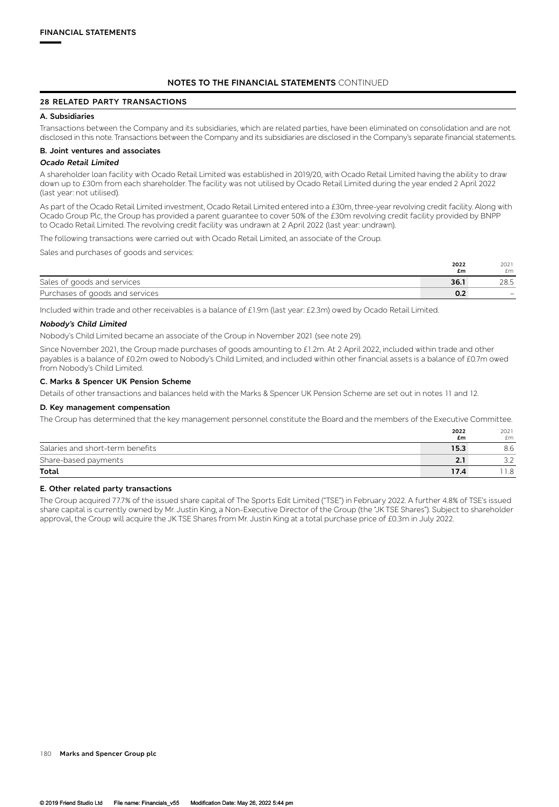## **28 RELATED PARTY TRANSACTIONS**

#### **A. Subsidiaries**

Transactions between the Company and its subsidiaries, which are related parties, have been eliminated on consolidation and are not disclosed in this note. Transactions between the Company and its subsidiaries are disclosed in the Company's separate financial statements.

#### **B. Joint ventures and associates**

#### *Ocado Retail Limited*

A shareholder loan facility with Ocado Retail Limited was established in 2019/20, with Ocado Retail Limited having the ability to draw down up to £30m from each shareholder. The facility was not utilised by Ocado Retail Limited during the year ended 2 April 2022 (last year: not utilised).

As part of the Ocado Retail Limited investment, Ocado Retail Limited entered into a £30m, three-year revolving credit facility. Along with Ocado Group Plc, the Group has provided a parent guarantee to cover 50% of the £30m revolving credit facility provided by BNPP to Ocado Retail Limited. The revolving credit facility was undrawn at 2 April 2022 (last year: undrawn).

The following transactions were carried out with Ocado Retail Limited, an associate of the Group.

Sales and purchases of goods and services:

|                                 | 2022 | 2021 |
|---------------------------------|------|------|
|                                 | £m   | £m   |
| Sales of goods and services     | 36.1 | 28.5 |
| Purchases of goods and services |      |      |

Included within trade and other receivables is a balance of £1.9m (last year: £2.3m) owed by Ocado Retail Limited.

#### *Nobody's Child Limited*

Nobody's Child Limited became an associate of the Group in November 2021 (see note 29).

Since November 2021, the Group made purchases of goods amounting to £1.2m. At 2 April 2022, included within trade and other payables is a balance of £0.2m owed to Nobody's Child Limited, and included within other financial assets is a balance of £0.7m owed from Nobody's Child Limited.

#### **C. Marks & Spencer UK Pension Scheme**

Details of other transactions and balances held with the Marks & Spencer UK Pension Scheme are set out in notes 11 and 12.

#### **D. Key management compensation**

The Group has determined that the key management personnel constitute the Board and the members of the Executive Committee.

|                                  | 2022<br>£m | 2021<br>£m |
|----------------------------------|------------|------------|
| Salaries and short-term benefits | 15.3       | 8.6        |
| Share-based payments             | 2.1        |            |
| Total                            | 17.4       | 1.8        |

#### **E. Other related party transactions**

The Group acquired 77.7% of the issued share capital of The Sports Edit Limited ("TSE") in February 2022. A further 4.8% of TSE's issued share capital is currently owned by Mr. Justin King, a Non-Executive Director of the Group (the "JK TSE Shares"). Subject to shareholder approval, the Group will acquire the JK TSE Shares from Mr. Justin King at a total purchase price of £0.3m in July 2022.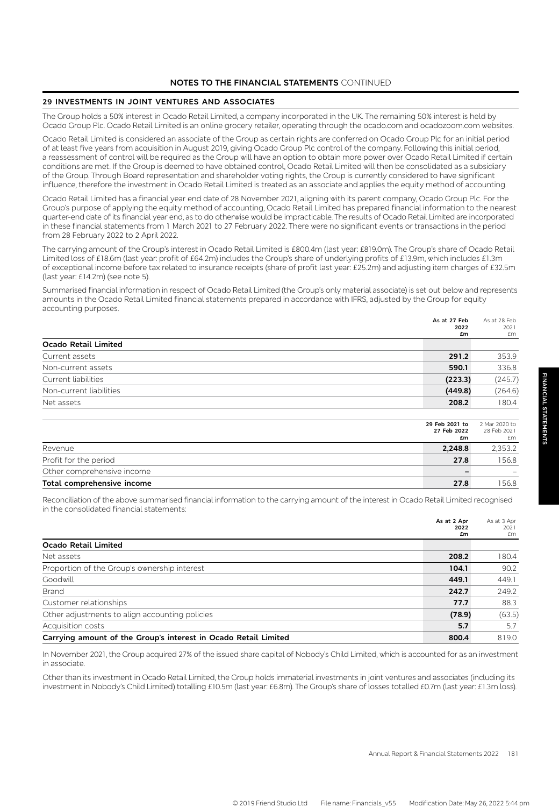### **29 INVESTMENTS IN JOINT VENTURES AND ASSOCIATES**

The Group holds a 50% interest in Ocado Retail Limited, a company incorporated in the UK. The remaining 50% interest is held by Ocado Group Plc. Ocado Retail Limited is an online grocery retailer, operating through the ocado.com and ocadozoom.com websites.

Ocado Retail Limited is considered an associate of the Group as certain rights are conferred on Ocado Group Plc for an initial period of at least five years from acquisition in August 2019, giving Ocado Group Plc control of the company. Following this initial period, a reassessment of control will be required as the Group will have an option to obtain more power over Ocado Retail Limited if certain conditions are met. If the Group is deemed to have obtained control, Ocado Retail Limited will then be consolidated as a subsidiary of the Group. Through Board representation and shareholder voting rights, the Group is currently considered to have significant influence, therefore the investment in Ocado Retail Limited is treated as an associate and applies the equity method of accounting.

Ocado Retail Limited has a financial year end date of 28 November 2021, aligning with its parent company, Ocado Group Plc. For the Group's purpose of applying the equity method of accounting, Ocado Retail Limited has prepared financial information to the nearest quarter-end date of its financial year end, as to do otherwise would be impracticable. The results of Ocado Retail Limited are incorporated in these financial statements from 1 March 2021 to 27 February 2022. There were no significant events or transactions in the period from 28 February 2022 to 2 April 2022.

The carrying amount of the Group's interest in Ocado Retail Limited is £800.4m (last year: £819.0m). The Group's share of Ocado Retail Limited loss of £18.6m (last year: profit of £64.2m) includes the Group's share of underlying profits of £13.9m, which includes £1.3m of exceptional income before tax related to insurance receipts (share of profit last year: £25.2m) and adjusting item charges of £32.5m (last year: £14.2m) (see note 5).

Summarised financial information in respect of Ocado Retail Limited (the Group's only material associate) is set out below and represents amounts in the Ocado Retail Limited financial statements prepared in accordance with IFRS, adjusted by the Group for equity accounting purposes.

|                            | As at 27 Feb<br>2022                | As at 28 Feb<br>2021               |
|----------------------------|-------------------------------------|------------------------------------|
| Ocado Retail Limited       | £m                                  | £m                                 |
| Current assets             | 291.2                               | 353.9                              |
| Non-current assets         | 590.1                               | 336.8                              |
| Current liabilities        | (223.3)                             | (245.7)                            |
| Non-current liabilities    | (449.8)                             | (264.6)                            |
| Net assets                 | 208.2                               | 180.4                              |
|                            | 29 Feb 2021 to<br>27 Feb 2022<br>£m | 2 Mar 2020 to<br>28 Feb 2021<br>£m |
| Revenue                    | 2,248.8                             | 2,353.2                            |
| Profit for the period      | 27.8                                | 156.8                              |
| Other comprehensive income |                                     |                                    |
| Total comprehensive income | 27.8                                | 156.8                              |

Reconciliation of the above summarised financial information to the carrying amount of the interest in Ocado Retail Limited recognised in the consolidated financial statements:

|                                                                 | As at 2 Apr<br>2022 | As at 3 Apr<br>2021 |
|-----------------------------------------------------------------|---------------------|---------------------|
|                                                                 | £m                  | £m                  |
| Ocado Retail Limited                                            |                     |                     |
| Net assets                                                      | 208.2               | 180.4               |
| Proportion of the Group's ownership interest                    | 104.1               | 90.2                |
| Goodwill                                                        | 449.1               | 449.1               |
| <b>Brand</b>                                                    | 242.7               | 249.2               |
| Customer relationships                                          | 77.7                | 88.3                |
| Other adjustments to align accounting policies                  | (78.9)              | (63.5)              |
| Acquisition costs                                               | 5.7                 | 5.7                 |
| Carrying amount of the Group's interest in Ocado Retail Limited | 800.4               | 819.0               |

In November 2021, the Group acquired 27% of the issued share capital of Nobody's Child Limited, which is accounted for as an investment in associate.

Other than its investment in Ocado Retail Limited, the Group holds immaterial investments in joint ventures and associates (including its investment in Nobody's Child Limited) totalling £10.5m (last year: £6.8m). The Group's share of losses totalled £0.7m (last year: £1.3m loss).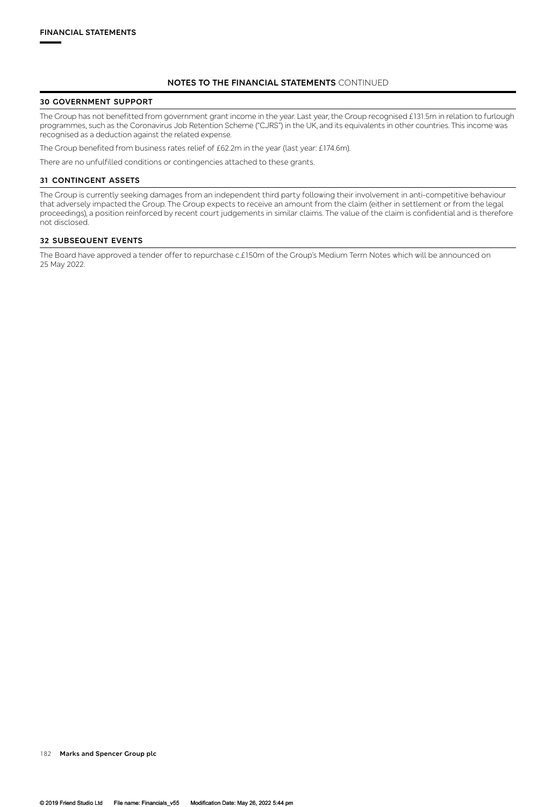## **30 GOVERNMENT SUPPORT**

The Group has not benefitted from government grant income in the year. Last year, the Group recognised £131.5m in relation to furlough programmes, such as the Coronavirus Job Retention Scheme ("CJRS") in the UK, and its equivalents in other countries. This income was recognised as a deduction against the related expense.

The Group benefited from business rates relief of £62.2m in the year (last year: £174.6m).

There are no unfulfilled conditions or contingencies attached to these grants.

### **31 CONTINGENT ASSETS**

The Group is currently seeking damages from an independent third party following their involvement in anti-competitive behaviour that adversely impacted the Group. The Group expects to receive an amount from the claim (either in settlement or from the legal proceedings), a position reinforced by recent court judgements in similar claims. The value of the claim is confidential and is therefore not disclosed.

#### **32 SUBSEQUENT EVENTS**

The Board have approved a tender offer to repurchase c.£150m of the Group's Medium Term Notes which will be announced on 25 May 2022.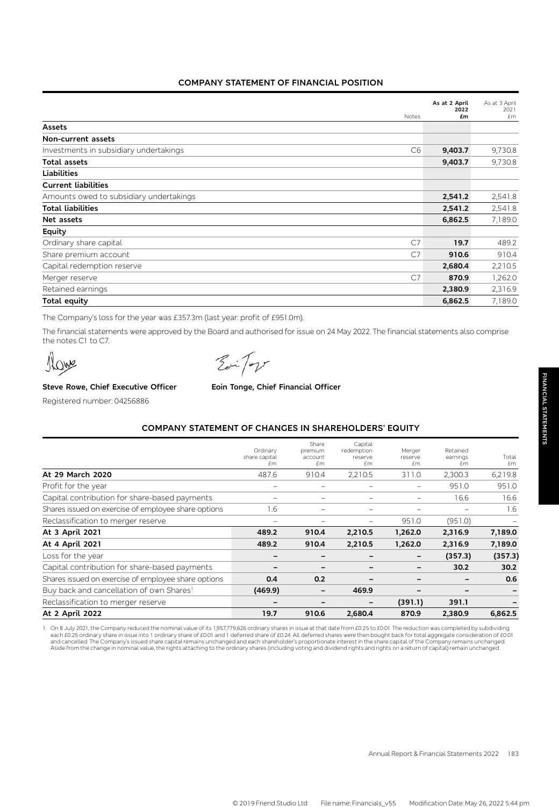# **COMPANY STATEMENT OF FINANCIAL POSITION**

|                                         |                | As at 2 April | As at 3 April |
|-----------------------------------------|----------------|---------------|---------------|
|                                         | Notes          | 2022<br>£m    | 2021<br>£m    |
| Assets                                  |                |               |               |
| Non-current assets                      |                |               |               |
| Investments in subsidiary undertakings  | C <sub>6</sub> | 9,403.7       | 9,730.8       |
| Total assets                            |                | 9,403.7       | 9,730.8       |
| <b>Liabilities</b>                      |                |               |               |
| <b>Current liabilities</b>              |                |               |               |
| Amounts owed to subsidiary undertakings |                | 2,541.2       | 2,541.8       |
| <b>Total liabilities</b>                |                | 2,541.2       | 2,541.8       |
| Net assets                              |                | 6,862.5       | 7,189.0       |
| Equity                                  |                |               |               |
| Ordinary share capital                  | C <sub>7</sub> | 19.7          | 489.2         |
| Share premium account                   | C <sub>7</sub> | 910.6         | 910.4         |
| Capital redemption reserve              |                | 2,680.4       | 2,210.5       |
| Merger reserve                          | C <sub>7</sub> | 870.9         | 1,262.0       |
| Retained earnings                       |                | 2,380.9       | 2,316.9       |
| Total equity                            |                | 6,862.5       | 7,189.0       |

The Company's loss for the year was £357.3m (last year: profit of £951.0m).

The financial statements were approved by the Board and authorised for issue on 24 May 2022. The financial statements also comprise the notes C1 to C7.

Row

Evi Top

### Steve Rowe, Chief Executive Officer **Eoin Tonge, Chief Financial Officer**

Registered number: 04256886

# **COMPANY STATEMENT OF CHANGES IN SHAREHOLDERS' EQUITY**

| Share<br>Capital<br>Ordinary<br>redemption<br>Retained<br>premium<br>Meraer<br>share capital<br>earnings<br>account<br>reserve<br>reserve<br>£m<br>£m<br>£m<br>£m<br>£m<br>At 29 March 2020<br>487.6<br>2,210.5<br>2,300.3<br>910.4<br>311.0<br>951.0<br>Profit for the year<br>Capital contribution for share-based payments<br>16.6<br>-<br>Shares issued on exercise of employee share options<br>1.6<br>-<br>Reclassification to merger reserve<br>951.0<br>(951.0)<br>At 3 April 2021<br>489.2<br>910.4<br>2,210.5<br>1,262.0<br>2,316.9<br><b>At 4 April 2021</b><br>489.2<br>910.4<br>2,210.5<br>1,262.0<br>2,316.9<br>Loss for the year<br>(357.3)<br>$\qquad \qquad$<br>Capital contribution for share-based payments<br>30.2<br>Shares issued on exercise of employee share options<br>0.2<br>0.4<br>Buy back and cancellation of own Shares <sup>1</sup><br>(469.9)<br>469.9<br>-<br>Reclassification to merger reserve<br>(391.1)<br>391.1<br>At 2 April 2022<br>19.7<br>910.6<br>870.9<br>2,380.9<br>2,680.4 |  |  |  |             |
|---------------------------------------------------------------------------------------------------------------------------------------------------------------------------------------------------------------------------------------------------------------------------------------------------------------------------------------------------------------------------------------------------------------------------------------------------------------------------------------------------------------------------------------------------------------------------------------------------------------------------------------------------------------------------------------------------------------------------------------------------------------------------------------------------------------------------------------------------------------------------------------------------------------------------------------------------------------------------------------------------------------------------|--|--|--|-------------|
|                                                                                                                                                                                                                                                                                                                                                                                                                                                                                                                                                                                                                                                                                                                                                                                                                                                                                                                                                                                                                           |  |  |  | Total<br>£m |
|                                                                                                                                                                                                                                                                                                                                                                                                                                                                                                                                                                                                                                                                                                                                                                                                                                                                                                                                                                                                                           |  |  |  | 6,219.8     |
|                                                                                                                                                                                                                                                                                                                                                                                                                                                                                                                                                                                                                                                                                                                                                                                                                                                                                                                                                                                                                           |  |  |  | 951.0       |
|                                                                                                                                                                                                                                                                                                                                                                                                                                                                                                                                                                                                                                                                                                                                                                                                                                                                                                                                                                                                                           |  |  |  | 16.6        |
|                                                                                                                                                                                                                                                                                                                                                                                                                                                                                                                                                                                                                                                                                                                                                                                                                                                                                                                                                                                                                           |  |  |  | 1.6         |
|                                                                                                                                                                                                                                                                                                                                                                                                                                                                                                                                                                                                                                                                                                                                                                                                                                                                                                                                                                                                                           |  |  |  |             |
|                                                                                                                                                                                                                                                                                                                                                                                                                                                                                                                                                                                                                                                                                                                                                                                                                                                                                                                                                                                                                           |  |  |  | 7,189.0     |
|                                                                                                                                                                                                                                                                                                                                                                                                                                                                                                                                                                                                                                                                                                                                                                                                                                                                                                                                                                                                                           |  |  |  | 7,189.0     |
|                                                                                                                                                                                                                                                                                                                                                                                                                                                                                                                                                                                                                                                                                                                                                                                                                                                                                                                                                                                                                           |  |  |  | (357.3)     |
|                                                                                                                                                                                                                                                                                                                                                                                                                                                                                                                                                                                                                                                                                                                                                                                                                                                                                                                                                                                                                           |  |  |  | 30.2        |
|                                                                                                                                                                                                                                                                                                                                                                                                                                                                                                                                                                                                                                                                                                                                                                                                                                                                                                                                                                                                                           |  |  |  | 0.6         |
|                                                                                                                                                                                                                                                                                                                                                                                                                                                                                                                                                                                                                                                                                                                                                                                                                                                                                                                                                                                                                           |  |  |  |             |
|                                                                                                                                                                                                                                                                                                                                                                                                                                                                                                                                                                                                                                                                                                                                                                                                                                                                                                                                                                                                                           |  |  |  |             |
|                                                                                                                                                                                                                                                                                                                                                                                                                                                                                                                                                                                                                                                                                                                                                                                                                                                                                                                                                                                                                           |  |  |  | 6,862.5     |

1. On 8 July 2021, the Company reduced the nominal value of its 1,957,779,626 ordinary shares in issue at that date from £0.25 to £0.01. The reduction was completed by subdividing<br>each £0.25 ordinary shares of £0.01 and 1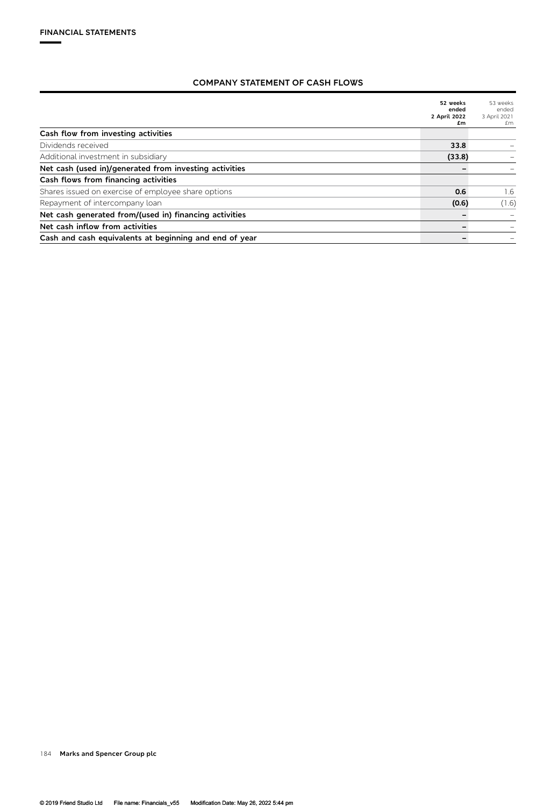# **COMPANY STATEMENT OF CASH FLOWS**

|                                                        | 52 weeks<br>ended<br>2 April 2022<br>£m | 53 weeks<br>ended<br>3 April 2021<br>£m |
|--------------------------------------------------------|-----------------------------------------|-----------------------------------------|
| Cash flow from investing activities                    |                                         |                                         |
| Dividends received                                     | 33.8                                    |                                         |
| Additional investment in subsidiary                    | (33.8)                                  |                                         |
| Net cash (used in)/generated from investing activities |                                         |                                         |
| Cash flows from financing activities                   |                                         |                                         |
| Shares issued on exercise of employee share options    | 0.6                                     | 1.6                                     |
| Repayment of intercompany loan                         | (0.6)                                   | (1.6)                                   |
| Net cash generated from/(used in) financing activities |                                         |                                         |
| Net cash inflow from activities                        |                                         |                                         |
| Cash and cash equivalents at beginning and end of year |                                         |                                         |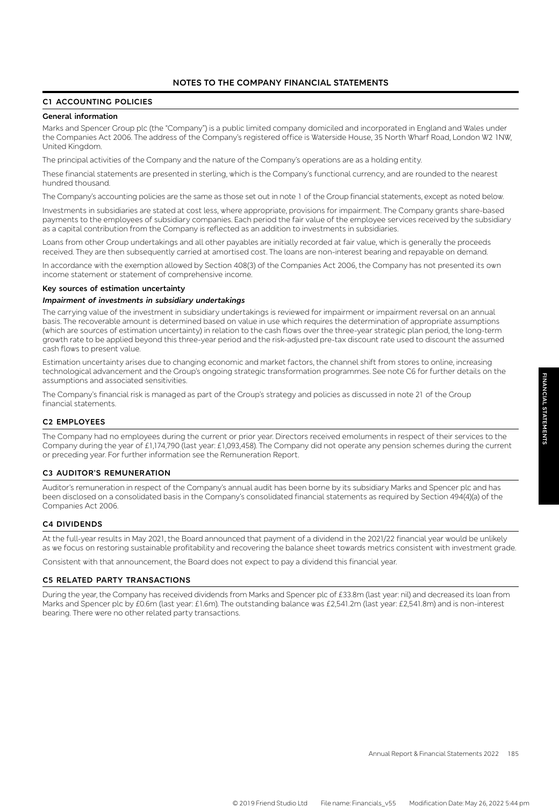## **C1 ACCOUNTING POLICIES**

#### **General information**

Marks and Spencer Group plc (the "Company") is a public limited company domiciled and incorporated in England and Wales under the Companies Act 2006. The address of the Company's registered office is Waterside House, 35 North Wharf Road, London W2 1NW, United Kingdom.

The principal activities of the Company and the nature of the Company's operations are as a holding entity.

These financial statements are presented in sterling, which is the Company's functional currency, and are rounded to the nearest hundred thousand.

The Company's accounting policies are the same as those set out in note 1 of the Group financial statements, except as noted below.

Investments in subsidiaries are stated at cost less, where appropriate, provisions for impairment. The Company grants share-based payments to the employees of subsidiary companies. Each period the fair value of the employee services received by the subsidiary as a capital contribution from the Company is reflected as an addition to investments in subsidiaries.

Loans from other Group undertakings and all other payables are initially recorded at fair value, which is generally the proceeds received. They are then subsequently carried at amortised cost. The loans are non-interest bearing and repayable on demand.

In accordance with the exemption allowed by Section 408(3) of the Companies Act 2006, the Company has not presented its own income statement or statement of comprehensive income.

### **Key sources of estimation uncertainty**

### *Impairment of investments in subsidiary undertakings*

The carrying value of the investment in subsidiary undertakings is reviewed for impairment or impairment reversal on an annual basis. The recoverable amount is determined based on value in use which requires the determination of appropriate assumptions (which are sources of estimation uncertainty) in relation to the cash flows over the three-year strategic plan period, the long-term growth rate to be applied beyond this three-year period and the risk-adjusted pre-tax discount rate used to discount the assumed cash flows to present value.

Estimation uncertainty arises due to changing economic and market factors, the channel shift from stores to online, increasing technological advancement and the Group's ongoing strategic transformation programmes. See note C6 for further details on the assumptions and associated sensitivities.

The Company's financial risk is managed as part of the Group's strategy and policies as discussed in note 21 of the Group financial statements.

#### **C2 EMPLOYEES**

The Company had no employees during the current or prior year. Directors received emoluments in respect of their services to the Company during the year of £1,174,790 (last year: £1,093,458). The Company did not operate any pension schemes during the current or preceding year. For further information see the Remuneration Report.

### **C3 AUDITOR'S REMUNERATION**

Auditor's remuneration in respect of the Company's annual audit has been borne by its subsidiary Marks and Spencer plc and has been disclosed on a consolidated basis in the Company's consolidated financial statements as required by Section 494(4)(a) of the Companies Act 2006.

#### **C4 DIVIDENDS**

At the full-year results in May 2021, the Board announced that payment of a dividend in the 2021/22 financial year would be unlikely as we focus on restoring sustainable profitability and recovering the balance sheet towards metrics consistent with investment grade.

Consistent with that announcement, the Board does not expect to pay a dividend this financial year.

### **C5 RELATED PARTY TRANSACTIONS**

During the year, the Company has received dividends from Marks and Spencer plc of £33.8m (last year: nil) and decreased its loan from Marks and Spencer plc by £0.6m (last year: £1.6m). The outstanding balance was £2,541.2m (last year: £2,541.8m) and is non-interest bearing. There were no other related party transactions.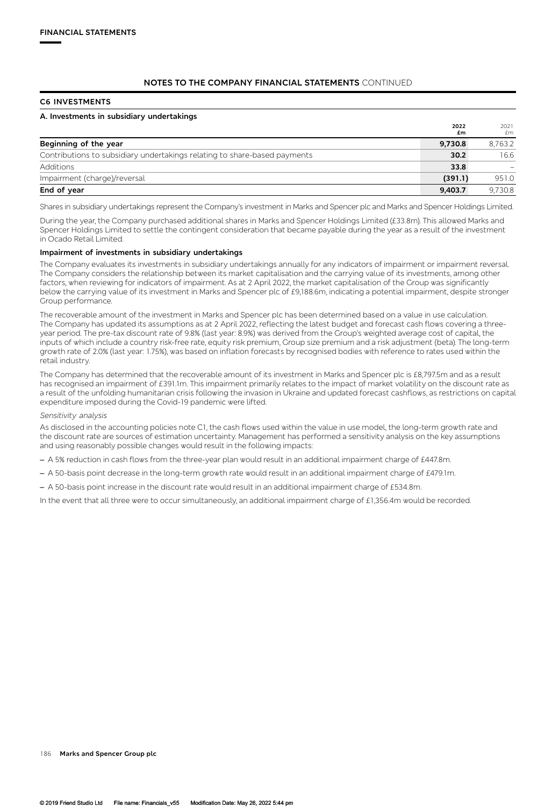## **C6 INVESTMENTS**

## **A. Investments in subsidiary undertakings**

| 2022<br>£m | 2021<br>f m |
|------------|-------------|
| 9.730.8    | 8.763.2     |
| 30.2       | 16.6        |
| 33.8       |             |
| (391.1)    | 951.0       |
| 9,403.7    | 9,730.8     |
|            |             |

Shares in subsidiary undertakings represent the Company's investment in Marks and Spencer plc and Marks and Spencer Holdings Limited.

During the year, the Company purchased additional shares in Marks and Spencer Holdings Limited (£33.8m). This allowed Marks and Spencer Holdings Limited to settle the contingent consideration that became payable during the year as a result of the investment in Ocado Retail Limited.

### **Impairment of investments in subsidiary undertakings**

The Company evaluates its investments in subsidiary undertakings annually for any indicators of impairment or impairment reversal. The Company considers the relationship between its market capitalisation and the carrying value of its investments, among other factors, when reviewing for indicators of impairment. As at 2 April 2022, the market capitalisation of the Group was significantly below the carrying value of its investment in Marks and Spencer plc of £9,188.6m, indicating a potential impairment, despite stronger Group performance.

The recoverable amount of the investment in Marks and Spencer plc has been determined based on a value in use calculation. The Company has updated its assumptions as at 2 April 2022, reflecting the latest budget and forecast cash flows covering a threeyear period. The pre-tax discount rate of 9.8% (last year: 8.9%) was derived from the Group's weighted average cost of capital, the inputs of which include a country risk-free rate, equity risk premium, Group size premium and a risk adjustment (beta). The long-term growth rate of 2.0% (last year: 1.75%), was based on inflation forecasts by recognised bodies with reference to rates used within the retail industry.

The Company has determined that the recoverable amount of its investment in Marks and Spencer plc is £8,797.5m and as a result has recognised an impairment of £391.1m. This impairment primarily relates to the impact of market volatility on the discount rate as a result of the unfolding humanitarian crisis following the invasion in Ukraine and updated forecast cashflows, as restrictions on capital expenditure imposed during the Covid-19 pandemic were lifted.

#### *Sensitivity analysis*

As disclosed in the accounting policies note C1, the cash flows used within the value in use model, the long-term growth rate and the discount rate are sources of estimation uncertainty. Management has performed a sensitivity analysis on the key assumptions and using reasonably possible changes would result in the following impacts:

- A 5% reduction in cash flows from the three-year plan would result in an additional impairment charge of £447.8m.
- A 50-basis point decrease in the long-term growth rate would result in an additional impairment charge of £479.1m.
- A 50-basis point increase in the discount rate would result in an additional impairment charge of £534.8m.

In the event that all three were to occur simultaneously, an additional impairment charge of £1,356.4m would be recorded.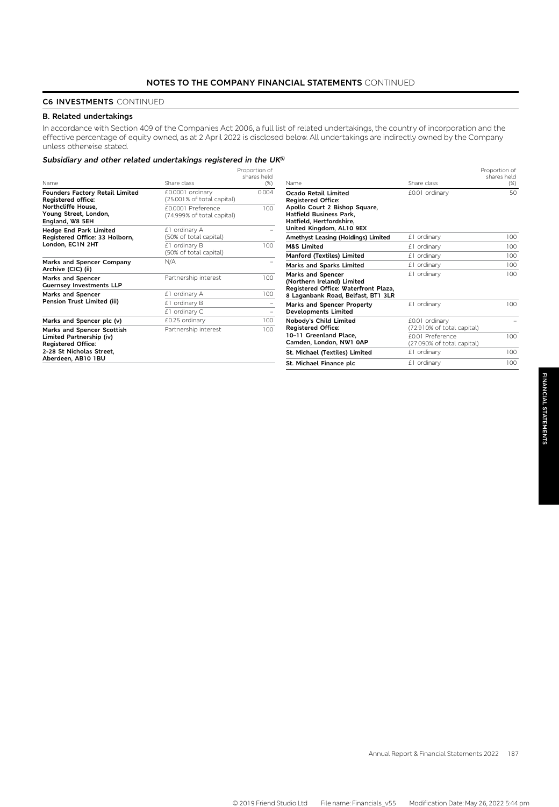### **C6 INVESTMENTS** CONTINUED

#### **B. Related undertakings**

In accordance with Section 409 of the Companies Act 2006, a full list of related undertakings, the country of incorporation and the effective percentage of equity owned, as at 2 April 2022 is disclosed below. All undertakings are indirectly owned by the Company unless otherwise stated.

## *Subsidiary and other related undertakings registered in the UK(i)*

| Name                                                                | Share class                                      | Proportion of<br>shares held<br>(%) | Name                                                                                    | Share class                                    | Proportion of<br>shares held<br>(%) |
|---------------------------------------------------------------------|--------------------------------------------------|-------------------------------------|-----------------------------------------------------------------------------------------|------------------------------------------------|-------------------------------------|
| <b>Founders Factory Retail Limited</b><br><b>Registered office:</b> | £0.0001 ordinary<br>(25.001% of total capital)   | 0.004                               | Ocado Retail Limited<br><b>Registered Office:</b>                                       | £0.01 ordinary                                 | 5C                                  |
| Northcliffe House,<br>Young Street, London,<br>England, W8 5EH      | £0,0001 Preference<br>(74.999% of total capital) | 100                                 | Apollo Court 2 Bishop Square,<br>Hatfield Business Park,<br>Hatfield, Hertfordshire,    |                                                |                                     |
| Hedge End Park Limited                                              | £1 ordinary A                                    | $\equiv$                            | United Kingdom, AL10 9EX                                                                |                                                |                                     |
| Registered Office: 33 Holborn,                                      | (50% of total capital)                           |                                     | Amethyst Leasing (Holdings) Limited                                                     | £1 ordinary                                    | 10C                                 |
| London, EC1N 2HT                                                    | £1 ordinary B                                    | 100                                 | <b>M&amp;S Limited</b>                                                                  | £1 ordinary                                    | 10C                                 |
|                                                                     | (50% of total capital)                           |                                     | Manford (Textiles) Limited                                                              | £1 ordinary                                    | 10C                                 |
| Marks and Spencer Company<br>Archive (CIC) (ii)                     | N/A                                              |                                     | Marks and Sparks Limited                                                                | £1 ordinary                                    | 10C                                 |
| Marks and Spencer<br><b>Guernsey Investments LLP</b>                | Partnership interest                             | 100                                 | Marks and Spencer<br>(Northern Ireland) Limited<br>Registered Office: Waterfront Plaza, | £1 ordinary                                    | 10C                                 |
| Marks and Spencer                                                   | £1 ordinary A                                    | 100                                 | 8 Laganbank Road, Belfast, BT1 3LR                                                      |                                                |                                     |
| Pension Trust Limited (iii)                                         | £1 ordinary B                                    |                                     | Marks and Spencer Property                                                              | £1 ordinary                                    | 10C                                 |
|                                                                     | £1 ordinary C                                    | $\overline{\phantom{m}}$            | Developments Limited                                                                    |                                                |                                     |
| Marks and Spencer plc (v)                                           | £0.25 ordinary                                   | 100                                 | Nobody's Child Limited                                                                  | £0.01 ordinary                                 |                                     |
| Marks and Spencer Scottish                                          | Partnership interest                             | 100                                 | <b>Registered Office:</b>                                                               | (72.910% of total capital)                     |                                     |
| Limited Partnership (iv)<br><b>Registered Office:</b>               |                                                  |                                     | 10-11 Greenland Place,<br>Camden, London, NW1 0AP                                       | £0.01 Preference<br>(27.090% of total capital) | 10C                                 |
| 2-28 St Nicholas Street,                                            |                                                  |                                     | St. Michael (Textiles) Limited                                                          | £1 ordinary                                    | 10C                                 |
| Aberdeen, AB10 1BU                                                  |                                                  |                                     | St. Michael Finance plc                                                                 | £1 ordinary                                    | 10C                                 |

–

100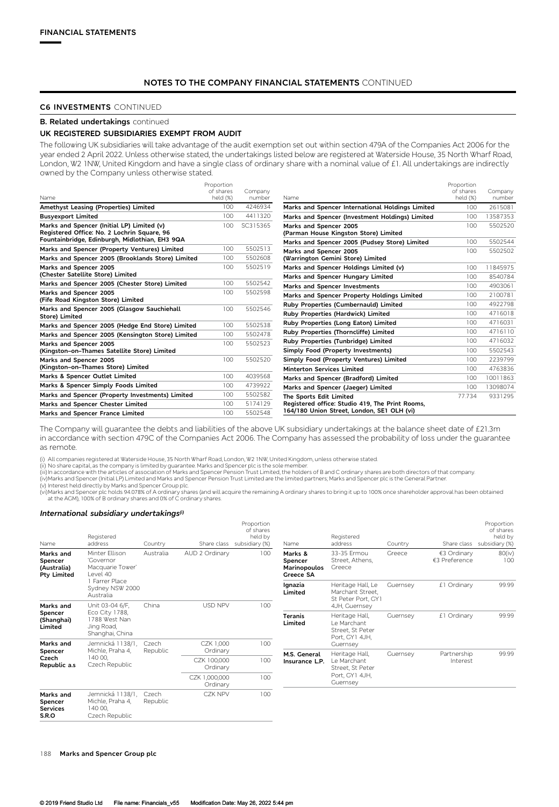#### **C6 INVESTMENTS** CONTINUED

#### **B. Related undertakings** continued

### **UK REGISTERED SUBSIDIARIES EXEMPT FROM AUDIT**

The following UK subsidiaries will take advantage of the audit exemption set out within section 479A of the Companies Act 2006 for the year ended 2 April 2022. Unless otherwise stated, the undertakings listed below are registered at Waterside House, 35 North Wharf Road, London, W2 1NW, United Kingdom and have a single class of ordinary share with a nominal value of £1. All undertakings are indirectly owned by the Company unless otherwise stated.

|                                                               | Proportion |          |                                                  | Proportion |          |
|---------------------------------------------------------------|------------|----------|--------------------------------------------------|------------|----------|
|                                                               | of shares  | Company  |                                                  | of shares  | Company  |
| Name                                                          | held (%)   | number   | Name                                             | held (%)   | number   |
| Amethyst Leasing (Properties) Limited                         | 100        | 4246934  | Marks and Spencer International Holdings Limited | 100        | 2615081  |
| <b>Busyexport Limited</b>                                     | 100        | 4411320  | Marks and Spencer (Investment Holdings) Limited  | 100        | 13587353 |
| Marks and Spencer (Initial LP) Limited (v)                    | 100        | SC315365 | Marks and Spencer 2005                           | 100        | 5502520  |
| Registered Office: No. 2 Lochrin Square, 96                   |            |          | (Parman House Kingston Store) Limited            |            |          |
| Fountainbridge, Edinburgh, Midlothian, EH3 9QA                |            |          | Marks and Spencer 2005 (Pudsey Store) Limited    | 100        | 5502544  |
| Marks and Spencer (Property Ventures) Limited                 | 100        | 5502513  | Marks and Spencer 2005                           | 100        | 5502502  |
| Marks and Spencer 2005 (Brooklands Store) Limited             | 100        | 5502608  | (Warrington Gemini Store) Limited                |            |          |
| Marks and Spencer 2005                                        | 100        | 5502519  | Marks and Spencer Holdings Limited (v)           | 100        | 11845975 |
| (Chester Satellite Store) Limited                             |            |          | Marks and Spencer Hungary Limited                | 100        | 8540784  |
| Marks and Spencer 2005 (Chester Store) Limited                | 100        | 5502542  | Marks and Spencer Investments                    | 100        | 4903061  |
| Marks and Spencer 2005<br>(Fife Road Kingston Store) Limited  | 100        | 5502598  | Marks and Spencer Property Holdings Limited      | 100        | 2100781  |
|                                                               |            |          | Ruby Properties (Cumbernauld) Limited            | 100        | 4922798  |
| Marks and Spencer 2005 (Glasgow Sauchiehall<br>Store) Limited | 100        | 5502546  | Ruby Properties (Hardwick) Limited               | 100        | 4716018  |
| Marks and Spencer 2005 (Hedge End Store) Limited              | 100        | 5502538  | Ruby Properties (Long Eaton) Limited             | 100        | 4716031  |
| Marks and Spencer 2005 (Kensington Store) Limited             | 100        | 5502478  | Ruby Properties (Thorncliffe) Limited            | 100        | 4716110  |
| Marks and Spencer 2005                                        | 100        | 5502523  | Ruby Properties (Tunbridge) Limited              | 100        | 4716032  |
| (Kingston-on-Thames Satellite Store) Limited                  |            |          | Simply Food (Property Investments)               | 100        | 5502543  |
| Marks and Spencer 2005                                        | 100        | 5502520  | Simply Food (Property Ventures) Limited          | 100        | 2239799  |
| (Kingston-on-Thames Store) Limited                            |            |          | <b>Minterton Services Limited</b>                | 100        | 4763836  |
| Marks & Spencer Outlet Limited                                | 100        | 4039568  | Marks and Spencer (Bradford) Limited             | 100        | 10011863 |
| Marks & Spencer Simply Foods Limited                          | 100        | 4739922  | Marks and Spencer (Jaeger) Limited               | 100        | 13098074 |
| Marks and Spencer (Property Investments) Limited              | 100        | 5502582  | The Sports Edit Limited                          | 77.734     | 9331295  |
| Marks and Spencer Chester Limited                             | 100        | 5174129  | Registered office: Studio 419, The Print Rooms,  |            |          |
| Marks and Spencer France Limited                              | 100        | 5502548  | 164/180 Union Street, London, SE1 OLH (vi)       |            |          |
|                                                               |            |          |                                                  |            |          |

The Company will guarantee the debts and liabilities of the above UK subsidiary undertakings at the balance sheet date of £21.3m in accordance with section 479C of the Companies Act 2006. The Company has assessed the probability of loss under the guarantee as remote.

(i) All companies registered at Waterside House, 35 North Wharf Road, London, W2 1NW, United Kingdom, unless otherwise stated<br>(ii) No share capital, as the company is limited by guarantee. Marks and Spencer plc is the sol

(iii)In accordance with the articles of association of Marks and Spencer Pension Trust Limited, the holders of B and C ordinary shares are both directors of that company<br>(iv)Marks and Spencer (Initial LP) Limited and Marks

(v) Interest held directly by Marks and Spencer Group plc.<br>(vi)Marks and Spencer plc holds 94.078% of A ordinary shares (and will acquire the remaining A ordinary shares to bring it up to 100% once shareholder approval has

#### *International subsidiary undertakings(i)*

| Name                                               | Registered<br>address                                                                                            | Country           | Share class               | Proportion<br>of shares<br>held by<br>subsidiary (%) |
|----------------------------------------------------|------------------------------------------------------------------------------------------------------------------|-------------------|---------------------------|------------------------------------------------------|
| Marks and<br>Spencer<br>(Australia)<br>Pty Limited | Minter Filison<br>'Governor<br>Macquarie Tower'<br>$ $ evel 40<br>1 Farrer Place<br>Sydney NSW 2000<br>Australia | Australia         | AUD 2 Ordinary            | 100                                                  |
| Marks and<br>Spencer<br>(Shanghai)<br>Limited      | Unit 03-04 6/F,<br>Eco City 1788,<br>1788 West Nan<br>Jing Road,<br>Shanghai, China                              | China             | USD NPV                   | 100                                                  |
| Marks and<br>Spencer                               | Jemnická 1138/1,<br>Michle, Praha 4,                                                                             | Czech<br>Republic | CZK 1,000<br>Ordinary     | 100                                                  |
| Czech<br>Republic a.s                              | 140 00.<br>Czech Republic                                                                                        |                   | CZK 100,000<br>Ordinary   | 100                                                  |
|                                                    |                                                                                                                  |                   | CZK 1,000,000<br>Ordinary | 100                                                  |
| Marks and<br>Spencer<br><b>Services</b><br>S.R.O   | Jemnická 1138/1.<br>Michle, Praha 4,<br>140 00,<br>Czech Republic                                                | Czech<br>Republic | CZK NPV                   | 100                                                  |

| Name                                                          | Registered<br>address                                                           | Country  | Share class                  | Proportion<br>of shares<br>held by<br>subsidiary (%) |
|---------------------------------------------------------------|---------------------------------------------------------------------------------|----------|------------------------------|------------------------------------------------------|
| Marks &<br>Spencer<br><b>Marinopoulos</b><br><b>Greece SA</b> | 33-35 Ermou<br>Street, Athens,<br>Greece                                        | Greece   | €3 Ordinary<br>€3 Preference | 80(iv)<br>100                                        |
| Ignazia<br>Limited                                            | Heritage Hall, Le<br>Marchant Street,<br>St Peter Port, CY1<br>4JH, Guernsey    | Guernsey | £1 Ordinary                  | 99.99                                                |
| <b>Teranis</b><br>Limited                                     | Heritage Hall,<br>Le Marchant<br>Street, St Peter<br>Port, GY1 4JH,<br>Guernsey | Guernsey | £1 Ordinary                  | 99.99                                                |
| M.S. General<br>Insurance L.P.                                | Heritage Hall<br>Le Marchant<br>Street, St Peter<br>Port, CY1 4JH,<br>Guernsey  | Guernsey | Partnership<br>Interest      | 99.99                                                |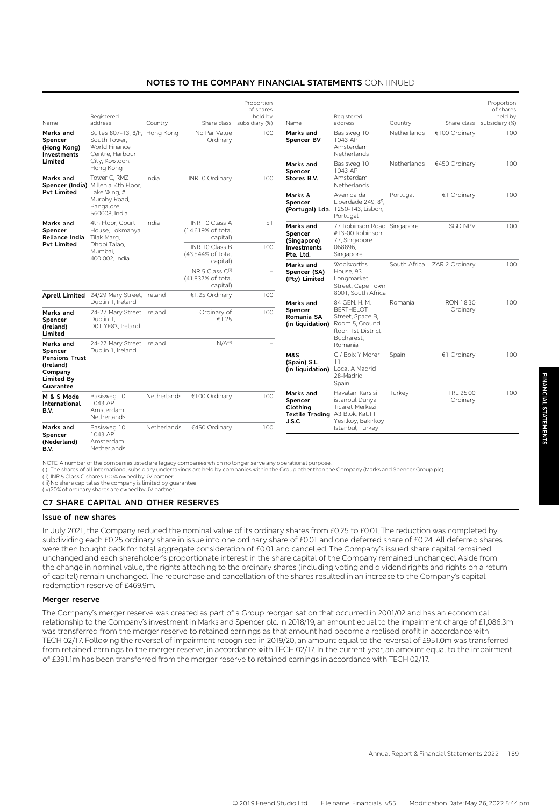| Name                                                                                                    | Registered<br>address                                                                           | Country     |                                                                                         | Proportion<br>of shares<br>held by<br>Share class subsidiary (%) | Name                                                                | Registered<br>address                                                                          | Country      |                       | Proportion<br>of shares<br>held by<br>Share class subsidiary (%) |
|---------------------------------------------------------------------------------------------------------|-------------------------------------------------------------------------------------------------|-------------|-----------------------------------------------------------------------------------------|------------------------------------------------------------------|---------------------------------------------------------------------|------------------------------------------------------------------------------------------------|--------------|-----------------------|------------------------------------------------------------------|
| Marks and<br>Spencer<br>(Hong Kong)<br><b>Investments</b>                                               | Suites 807-13, 8/F, Hong Kong<br>South Tower,<br>World Finance<br>Centre, Harbour               |             | No Par Value<br>Ordinary                                                                | 100                                                              | Marks and<br>Spencer BV                                             | Basisweg 10<br>1043 AP<br>Amsterdam<br>Netherlands                                             | Netherlands  | €100 Ordinary         | 100                                                              |
| Limited<br>Marks and                                                                                    | City, Kowloon,<br>Hong Kong<br>Tower C, RMZ<br>Spencer (India) Millenia, 4th Floor,             | India       | INR10 Ordinary                                                                          | 100                                                              | Marks and<br>Spencer<br>Stores B.V.                                 | Basisweg 10<br>1043 AP<br>Amsterdam<br>Netherlands                                             | Netherlands  | €450 Ordinary         | 100                                                              |
| <b>Pvt Limited</b>                                                                                      | Lake Wing, #1<br>Murphy Road,<br>Bangalore,<br>560008, India                                    |             |                                                                                         |                                                                  | Marks &<br>Spencer                                                  | Avenida da<br>Liberdade 249, 8°,<br>(Portugal) Lda. 1250-143, Lisbon,<br>Portugal              | Portugal     | €1 Ordinary           | 100                                                              |
| Marks and<br>Spencer<br>Reliance India<br><b>Pvt Limited</b>                                            | 4th Floor, Court<br>House, Lokmanya<br>Tilak Marg,<br>Dhobi Talao,<br>Mumbai.<br>400 002, India | India       | INR 10 Class A<br>(14.619% of total<br>capital)<br>INR 10 Class B                       | 51<br>100                                                        | Marks and<br>Spencer<br>(Singapore)<br><b>Investments</b>           | 77 Robinson Road, Singapore<br>#13-00 Robinson<br>77, Singapore<br>068896.                     |              | <b>SCD NPV</b>        | 100                                                              |
|                                                                                                         |                                                                                                 |             | (43.544% of total<br>capital)<br>INR 5 Class $C^{(i)}$<br>(41.837% of total<br>capital) |                                                                  | Pte. Ltd.<br>Marks and<br>Spencer (SA)<br>(Pty) Limited             | Singapore<br>Woolworths<br>House, 93<br>Longmarket<br>Street, Cape Town                        | South Africa | ZAR 2 Ordinary        | 100                                                              |
| <b>Aprell Limited</b>                                                                                   | 24/29 Mary Street, Ireland<br>Dublin 1, Ireland                                                 |             | €1.25 Ordinary                                                                          | 100                                                              | Marks and                                                           | 8001, South Africa<br>84 GEN. H. M.                                                            | Romania      | RON 18.30             | 100                                                              |
| Marks and<br>Spencer<br>(Ireland)<br>Limited                                                            | 24-27 Mary Street, Ireland<br>Dublin 1.<br>D01 YE83, Ireland                                    |             | Ordinary of<br>€1.25                                                                    | 100                                                              | Spencer<br>Romania SA<br>(in liquidation)                           | <b>BERTHELOT</b><br>Street, Space B,<br>Room 5. Ground<br>floor, 1st District,<br>Bucharest,   |              | Ordinary              |                                                                  |
| Marks and<br>Spencer<br><b>Pensions Trust</b><br>(Ireland)<br>Company<br>Limited By<br><b>Guarantee</b> | 24-27 Mary Street, Ireland<br>Dublin 1, Ireland                                                 |             | N/A <sup>(iii)</sup>                                                                    |                                                                  | M&S<br>(Spain) S.L.                                                 | Romania<br>C / Boix Y Morer<br>11<br>(in liquidation) Local A Madrid<br>28-Madrid<br>Spain     | Spain        | €1 Ordinary           | 100                                                              |
| M & S Mode<br>International<br>B.V.                                                                     | Basisweg 10<br>1043 AP<br>Amsterdam<br>Netherlands                                              | Netherlands | €100 Ordinary                                                                           | 100                                                              | Marks and<br>Spencer<br>Clothina<br><b>Textile Trading</b><br>J.S.C | Havalani Karsisi<br>istanbul Dunya<br>Ticaret Merkezi<br>A3 Blok, Kat:11<br>Yesilkoy, Bakirkoy | Turkey       | TRL 25.00<br>Ordinary | 100                                                              |
| Marks and<br>Spencer<br>(Nederland)<br>B.V.                                                             | Basisweg 10<br>1043 AP<br>Amsterdam<br>Netherlands                                              | Netherlands | €450 Ordinary                                                                           | 100                                                              |                                                                     | Istanbul, Turkey                                                                               |              |                       |                                                                  |

NOTE: A number of the companies listed are legacy companies which no longer serve any operational purpose.<br>(i) The shares of all international subsidiary undertakings are held by companies within the Group other than the C

(iii)No share capital as the company is limited by guarantee. (iv)20% of ordinary shares are owned by JV partner.

## **C7 SHARE CAPITAL AND OTHER RESERVES**

## **Issue of new shares**

In July 2021, the Company reduced the nominal value of its ordinary shares from £0.25 to £0.01. The reduction was completed by subdividing each £0.25 ordinary share in issue into one ordinary share of £0.01 and one deferred share of £0.24. All deferred shares were then bought back for total aggregate consideration of £0.01 and cancelled. The Company's issued share capital remained unchanged and each shareholder's proportionate interest in the share capital of the Company remained unchanged. Aside from the change in nominal value, the rights attaching to the ordinary shares (including voting and dividend rights and rights on a return of capital) remain unchanged. The repurchase and cancellation of the shares resulted in an increase to the Company's capital redemption reserve of £469.9m.

#### **Merger reserve**

The Company's merger reserve was created as part of a Group reorganisation that occurred in 2001/02 and has an economical relationship to the Company's investment in Marks and Spencer plc. In 2018/19, an amount equal to the impairment charge of £1,086.3m was transferred from the merger reserve to retained earnings as that amount had become a realised profit in accordance with TECH 02/17. Following the reversal of impairment recognised in 2019/20, an amount equal to the reversal of £951.0m was transferred from retained earnings to the merger reserve, in accordance with TECH 02/17. In the current year, an amount equal to the impairment of £391.1m has been transferred from the merger reserve to retained earnings in accordance with TECH 02/17.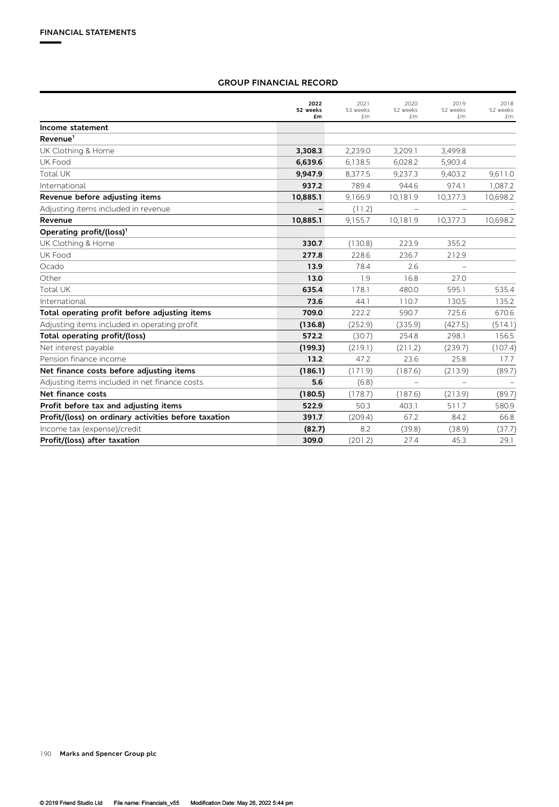# **GROUP FINANCIAL RECORD**

|                                                      | 2022<br>52 weeks<br>£m | 2021<br>53 weeks<br>£m | 2020<br>52 weeks<br>£m   | 2019<br>52 weeks<br>£m   | 2018<br>52 weeks<br>£m |
|------------------------------------------------------|------------------------|------------------------|--------------------------|--------------------------|------------------------|
| Income statement                                     |                        |                        |                          |                          |                        |
| Revenue <sup>1</sup>                                 |                        |                        |                          |                          |                        |
| UK Clothing & Home                                   | 3,308.3                | 2,239.0                | 3,209.1                  | 3,499.8                  |                        |
| UK Food                                              | 6,639.6                | 6,138.5                | 6,028.2                  | 5,903.4                  |                        |
| <b>Total UK</b>                                      | 9,947.9                | 8,377.5                | 9,237.3                  | 9,403.2                  | 9,611.0                |
| International                                        | 937.2                  | 789.4                  | 944.6                    | 974.1                    | 1,087.2                |
| Revenue before adjusting items                       | 10,885.1               | 9,166.9                | 10,181.9                 | 10,377.3                 | 10,698.2               |
| Adjusting items included in revenue                  |                        | (11.2)                 |                          |                          |                        |
| Revenue                                              | 10,885.1               | 9,155.7                | 10,181.9                 | 10,377.3                 | 10,698.2               |
| Operating profit/(loss) <sup>1</sup>                 |                        |                        |                          |                          |                        |
| UK Clothing & Home                                   | 330.7                  | (130.8)                | 223.9                    | 355.2                    |                        |
| UK Food                                              | 277.8                  | 228.6                  | 236.7                    | 212.9                    |                        |
| Ocado                                                | 13.9                   | 78.4                   | 2.6                      |                          |                        |
| Other                                                | 13.0                   | 1.9                    | 16.8                     | 27.0                     |                        |
| <b>Total UK</b>                                      | 635.4                  | 178.1                  | 480.0                    | 595.1                    | 535.4                  |
| International                                        | 73.6                   | 44.1                   | 110.7                    | 130.5                    | 135.2                  |
| Total operating profit before adjusting items        | 709.0                  | 222.2                  | 590.7                    | 725.6                    | 670.6                  |
| Adjusting items included in operating profit         | (136.8)                | (252.9)                | (335.9)                  | (427.5)                  | (514.1)                |
| Total operating profit/(loss)                        | 572.2                  | (30.7)                 | 254.8                    | 298.1                    | 156.5                  |
| Net interest payable                                 | (199.3)                | (219.1)                | (211.2)                  | (239.7)                  | (107.4)                |
| Pension finance income                               | 13.2                   | 47.2                   | 23.6                     | 25.8                     | 17.7                   |
| Net finance costs before adjusting items             | (186.1)                | (171.9)                | (187.6)                  | (213.9)                  | (89.7)                 |
| Adjusting items included in net finance costs        | 5.6                    | (6.8)                  | $\overline{\phantom{0}}$ | $\overline{\phantom{0}}$ |                        |
| Net finance costs                                    | (180.5)                | (178.7)                | (187.6)                  | (213.9)                  | (89.7)                 |
| Profit before tax and adjusting items                | 522.9                  | 50.3                   | 403.1                    | 511.7                    | 580.9                  |
| Profit/(loss) on ordinary activities before taxation | 391.7                  | (209.4)                | 67.2                     | 84.2                     | 66.8                   |
| Income tax (expense)/credit                          | (82.7)                 | 8.2                    | (39.8)                   | (38.9)                   | (37.7)                 |
| Profit/(loss) after taxation                         | 309.0                  | (201.2)                | 27.4                     | 45.3                     | 29.1                   |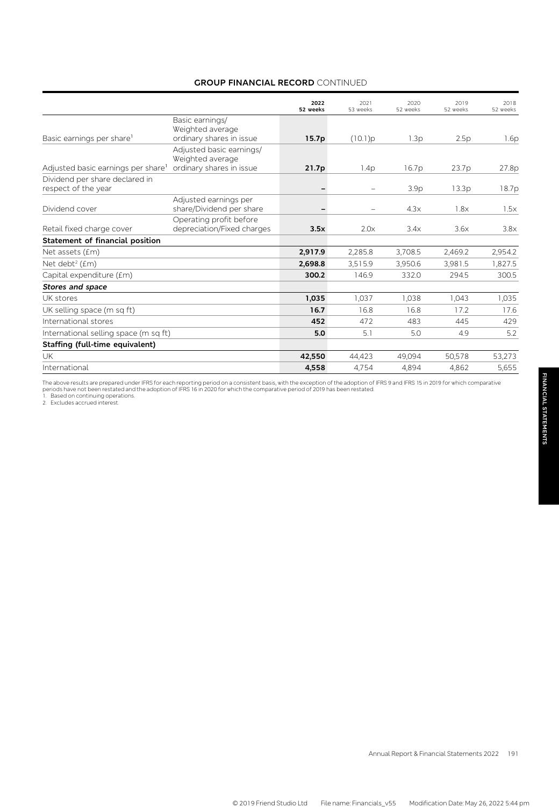# **GROUP FINANCIAL RECORD** CONTINUED

|                                                       |                                                                 | 2022<br>52 weeks | 2021<br>53 weeks         | 2020<br>52 weeks | 2019<br>52 weeks | 2018<br>52 weeks |
|-------------------------------------------------------|-----------------------------------------------------------------|------------------|--------------------------|------------------|------------------|------------------|
| Basic earnings per share <sup>1</sup>                 | Basic earnings/<br>Weighted average<br>ordinary shares in issue | 15.7p            | (10.1)p                  | 1.3p             | 2.5p             | 1.6p             |
|                                                       | Adjusted basic earnings/<br>Weighted average                    |                  |                          |                  |                  |                  |
| Adjusted basic earnings per share <sup>1</sup>        | ordinary shares in issue                                        | 21.7p            | 1.4p                     | 16.7p            | 23.7p            | 27.8p            |
| Dividend per share declared in<br>respect of the year |                                                                 |                  | $\overline{\phantom{0}}$ | 3.9 <sub>p</sub> | 13.3p            | 18.7p            |
| Dividend cover                                        | Adjusted earnings per<br>share/Dividend per share               |                  |                          | 4.3x             | 1.8x             | 1.5x             |
| Retail fixed charge cover                             | Operating profit before<br>depreciation/Fixed charges           | 3.5x             | 2.0x                     | 3.4x             | 3.6x             | 3.8x             |
| Statement of financial position                       |                                                                 |                  |                          |                  |                  |                  |
| Net assets (£m)                                       |                                                                 | 2,917.9          | 2,285.8                  | 3,708.5          | 2,469.2          | 2,954.2          |
| Net debt <sup>2</sup> ( $Em$ )                        |                                                                 | 2,698.8          | 3,515.9                  | 3,950.6          | 3,981.5          | 1,827.5          |
| Capital expenditure (£m)                              |                                                                 | 300.2            | 146.9                    | 332.0            | 294.5            | 300.5            |
| Stores and space                                      |                                                                 |                  |                          |                  |                  |                  |
| UK stores                                             |                                                                 | 1,035            | 1.037                    | 1.038            | 1.043            | 1,035            |
| UK selling space (m sg ft)                            |                                                                 | 16.7             | 16.8                     | 16.8             | 17.2             | 17.6             |
| International stores                                  |                                                                 | 452              | 472                      | 483              | 445              | 429              |
| International selling space (m sq ft)                 |                                                                 | 5.0              | 5.1                      | 5.0              | 4.9              | 5.2              |
| Staffing (full-time equivalent)                       |                                                                 |                  |                          |                  |                  |                  |
| <b>UK</b>                                             |                                                                 | 42,550           | 44,423                   | 49,094           | 50,578           | 53,273           |
| International                                         |                                                                 | 4,558            | 4,754                    | 4,894            | 4,862            | 5,655            |

The above results are prepared under IFRS for each reporting period on a consistent basis, with the exception of the adoption of IFRS 9 and IFRS 15 in 2019 for which comparative<br>periods have not been restated and the adopt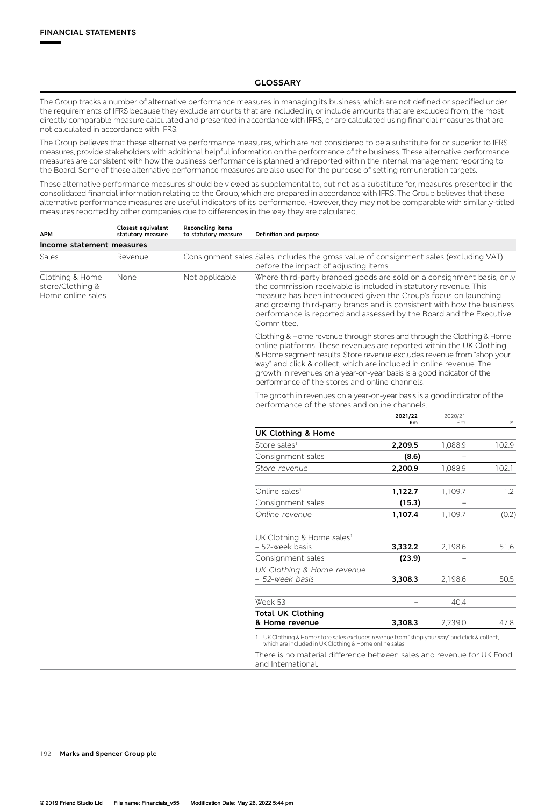## **GLOSSARY**

The Group tracks a number of alternative performance measures in managing its business, which are not defined or specified under the requirements of IFRS because they exclude amounts that are included in, or include amounts that are excluded from, the most directly comparable measure calculated and presented in accordance with IFRS, or are calculated using financial measures that are not calculated in accordance with IFRS.

The Group believes that these alternative performance measures, which are not considered to be a substitute for or superior to IFRS measures, provide stakeholders with additional helpful information on the performance of the business. These alternative performance measures are consistent with how the business performance is planned and reported within the internal management reporting to the Board. Some of these alternative performance measures are also used for the purpose of setting remuneration targets.

These alternative performance measures should be viewed as supplemental to, but not as a substitute for, measures presented in the consolidated financial information relating to the Group, which are prepared in accordance with IFRS. The Group believes that these alternative performance measures are useful indicators of its performance. However, they may not be comparable with similarly-titled measures reported by other companies due to differences in the way they are calculated.

| <b>APM</b>                                               | Closest equivalent<br>statutory measure | Reconciling items<br>to statutory measure | Definition and purpose                                                                                                                                                                                                                                                                                                                                                       |                                                                                                                                                                                                                                                                                                                                                                          |               |       |
|----------------------------------------------------------|-----------------------------------------|-------------------------------------------|------------------------------------------------------------------------------------------------------------------------------------------------------------------------------------------------------------------------------------------------------------------------------------------------------------------------------------------------------------------------------|--------------------------------------------------------------------------------------------------------------------------------------------------------------------------------------------------------------------------------------------------------------------------------------------------------------------------------------------------------------------------|---------------|-------|
| Income statement measures                                |                                         |                                           |                                                                                                                                                                                                                                                                                                                                                                              |                                                                                                                                                                                                                                                                                                                                                                          |               |       |
| Sales                                                    | Revenue                                 |                                           | Consignment sales Sales includes the gross value of consignment sales (excluding VAT)<br>before the impact of adjusting items.                                                                                                                                                                                                                                               |                                                                                                                                                                                                                                                                                                                                                                          |               |       |
| Clothing & Home<br>store/Clothing &<br>Home online sales | None                                    | Not applicable                            | Where third-party branded goods are sold on a consignment basis, only<br>the commission receivable is included in statutory revenue. This<br>measure has been introduced given the Group's focus on launching<br>and growing third-party brands and is consistent with how the business<br>performance is reported and assessed by the Board and the Executive<br>Committee. |                                                                                                                                                                                                                                                                                                                                                                          |               |       |
|                                                          |                                         |                                           | performance of the stores and online channels.                                                                                                                                                                                                                                                                                                                               | Clothing & Home revenue through stores and through the Clothing & Home<br>online platforms. These revenues are reported within the UK Clothing<br>& Home segment results. Store revenue excludes revenue from "shop your<br>way" and click & collect, which are included in online revenue. The<br>growth in revenues on a year-on-year basis is a good indicator of the |               |       |
|                                                          |                                         |                                           | The growth in revenues on a year-on-year basis is a good indicator of the<br>performance of the stores and online channels.                                                                                                                                                                                                                                                  |                                                                                                                                                                                                                                                                                                                                                                          |               |       |
|                                                          |                                         |                                           |                                                                                                                                                                                                                                                                                                                                                                              | 2021/22<br>£m                                                                                                                                                                                                                                                                                                                                                            | 2020/21<br>£m | $\%$  |
|                                                          |                                         |                                           | <b>UK Clothing &amp; Home</b>                                                                                                                                                                                                                                                                                                                                                |                                                                                                                                                                                                                                                                                                                                                                          |               |       |
|                                                          |                                         |                                           | Store sales <sup>1</sup>                                                                                                                                                                                                                                                                                                                                                     | 2,209.5                                                                                                                                                                                                                                                                                                                                                                  | 1,088.9       | 102.9 |
|                                                          |                                         |                                           | Consignment sales                                                                                                                                                                                                                                                                                                                                                            | (8.6)                                                                                                                                                                                                                                                                                                                                                                    |               |       |
|                                                          |                                         |                                           | Store revenue                                                                                                                                                                                                                                                                                                                                                                | 2,200.9                                                                                                                                                                                                                                                                                                                                                                  | 1,088.9       | 102.1 |
|                                                          |                                         |                                           | Online sales <sup>1</sup>                                                                                                                                                                                                                                                                                                                                                    | 1,122.7                                                                                                                                                                                                                                                                                                                                                                  | 1,109.7       | 1.2   |
|                                                          |                                         |                                           | Consignment sales                                                                                                                                                                                                                                                                                                                                                            | (15.3)                                                                                                                                                                                                                                                                                                                                                                   |               |       |
|                                                          |                                         |                                           | Online revenue                                                                                                                                                                                                                                                                                                                                                               | 1,107.4                                                                                                                                                                                                                                                                                                                                                                  | 1,109.7       | (0.2) |
|                                                          |                                         |                                           | UK Clothing & Home sales <sup>1</sup><br>- 52-week basis                                                                                                                                                                                                                                                                                                                     | 3,332.2                                                                                                                                                                                                                                                                                                                                                                  | 2,198.6       | 51.6  |
|                                                          |                                         |                                           | Consignment sales                                                                                                                                                                                                                                                                                                                                                            | (23.9)                                                                                                                                                                                                                                                                                                                                                                   |               |       |
|                                                          |                                         |                                           | UK Clothing & Home revenue<br>- 52-week basis                                                                                                                                                                                                                                                                                                                                | 3,308.3                                                                                                                                                                                                                                                                                                                                                                  | 2,198.6       | 50.5  |
|                                                          |                                         |                                           | Week 53                                                                                                                                                                                                                                                                                                                                                                      |                                                                                                                                                                                                                                                                                                                                                                          | 40.4          |       |
|                                                          |                                         |                                           | <b>Total UK Clothing</b><br>& Home revenue                                                                                                                                                                                                                                                                                                                                   | 3,308.3                                                                                                                                                                                                                                                                                                                                                                  | 2,239.0       | 47.8  |
|                                                          |                                         |                                           | 1. UK Clothing & Home store sales excludes revenue from "shop your way" and click & collect,<br>which are included in UK Clothing & Home online sales.<br>There is no material difference between sales and revenue for UK Food<br>and International.                                                                                                                        |                                                                                                                                                                                                                                                                                                                                                                          |               |       |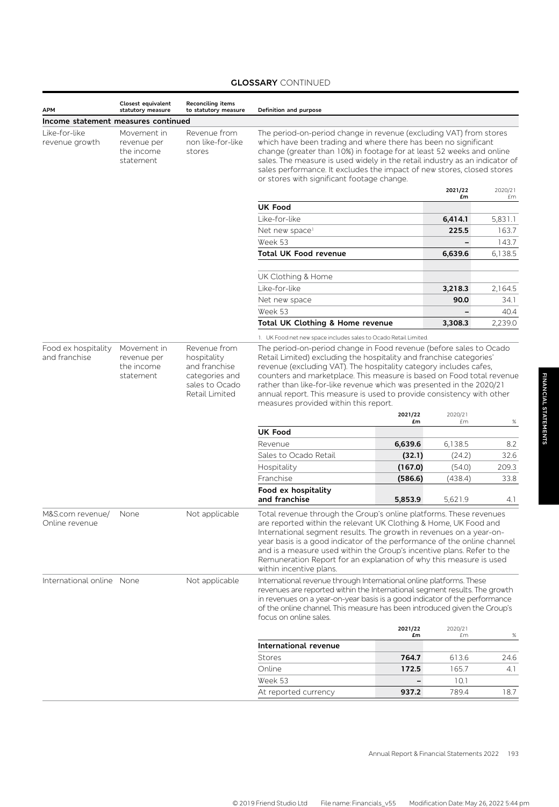# **GLOSSARY** CONTINUED

| <b>APM</b>                           | Closest equivalent<br>statutory measure               | <b>Reconciling items</b><br>to statutory measure                                                   | Definition and purpose                                                                                                                                                                                                                                                                                                                                                                                                                                                            |               |               |         |
|--------------------------------------|-------------------------------------------------------|----------------------------------------------------------------------------------------------------|-----------------------------------------------------------------------------------------------------------------------------------------------------------------------------------------------------------------------------------------------------------------------------------------------------------------------------------------------------------------------------------------------------------------------------------------------------------------------------------|---------------|---------------|---------|
| Income statement measures continued  |                                                       |                                                                                                    |                                                                                                                                                                                                                                                                                                                                                                                                                                                                                   |               |               |         |
| Like-for-like<br>revenue growth      | Movement in<br>revenue per<br>the income<br>statement | Revenue from<br>non like-for-like<br>stores                                                        | The period-on-period change in revenue (excluding VAT) from stores<br>which have been trading and where there has been no significant<br>change (greater than 10%) in footage for at least 52 weeks and online<br>sales. The measure is used widely in the retail industry as an indicator of<br>sales performance. It excludes the impact of new stores, closed stores<br>or stores with significant footage change.                                                             |               |               |         |
|                                      |                                                       |                                                                                                    |                                                                                                                                                                                                                                                                                                                                                                                                                                                                                   |               | 2021/22       | 2020/21 |
|                                      |                                                       |                                                                                                    | <b>UK Food</b>                                                                                                                                                                                                                                                                                                                                                                                                                                                                    |               | £m            | £m      |
|                                      |                                                       |                                                                                                    | Like-for-like                                                                                                                                                                                                                                                                                                                                                                                                                                                                     |               | 6,414.1       | 5,831.1 |
|                                      |                                                       |                                                                                                    | Net new space <sup>1</sup>                                                                                                                                                                                                                                                                                                                                                                                                                                                        |               | 225.5         | 163.7   |
|                                      |                                                       |                                                                                                    | Week 53                                                                                                                                                                                                                                                                                                                                                                                                                                                                           |               |               | 143.7   |
|                                      |                                                       |                                                                                                    | Total UK Food revenue                                                                                                                                                                                                                                                                                                                                                                                                                                                             |               | 6,639.6       | 6,138.5 |
|                                      |                                                       |                                                                                                    |                                                                                                                                                                                                                                                                                                                                                                                                                                                                                   |               |               |         |
|                                      |                                                       |                                                                                                    | UK Clothing & Home                                                                                                                                                                                                                                                                                                                                                                                                                                                                |               |               |         |
|                                      |                                                       |                                                                                                    | Like-for-like                                                                                                                                                                                                                                                                                                                                                                                                                                                                     |               | 3,218.3       | 2,164.5 |
|                                      |                                                       |                                                                                                    | Net new space                                                                                                                                                                                                                                                                                                                                                                                                                                                                     |               | 90.0          | 34.1    |
|                                      |                                                       |                                                                                                    | Week 53                                                                                                                                                                                                                                                                                                                                                                                                                                                                           |               |               | 40.4    |
|                                      |                                                       |                                                                                                    | Total UK Clothing & Home revenue                                                                                                                                                                                                                                                                                                                                                                                                                                                  |               | 3,308.3       | 2,239.0 |
|                                      |                                                       |                                                                                                    | 1. UK Food net new space includes sales to Ocado Retail Limited.                                                                                                                                                                                                                                                                                                                                                                                                                  |               |               |         |
| Food ex hospitality<br>and franchise | Movement in<br>revenue per<br>the income<br>statement | Revenue from<br>hospitality<br>and franchise<br>categories and<br>sales to Ocado<br>Retail Limited | The period-on-period change in Food revenue (before sales to Ocado<br>Retail Limited) excluding the hospitality and franchise categories'<br>revenue (excluding VAT). The hospitality category includes cafes,<br>counters and marketplace. This measure is based on Food total revenue<br>rather than like-for-like revenue which was presented in the 2020/21<br>annual report. This measure is used to provide consistency with other<br>measures provided within this report. |               |               |         |
|                                      |                                                       |                                                                                                    |                                                                                                                                                                                                                                                                                                                                                                                                                                                                                   | 2021/22<br>£m | 2020/21<br>£m | $\%$    |
|                                      |                                                       |                                                                                                    | <b>UK Food</b>                                                                                                                                                                                                                                                                                                                                                                                                                                                                    |               |               |         |
|                                      |                                                       |                                                                                                    | Revenue                                                                                                                                                                                                                                                                                                                                                                                                                                                                           | 6,639.6       | 6,138.5       | 8.2     |
|                                      |                                                       |                                                                                                    | Sales to Ocado Retail                                                                                                                                                                                                                                                                                                                                                                                                                                                             | (32.1)        | (24.2)        | 32.6    |
|                                      |                                                       |                                                                                                    | Hospitality                                                                                                                                                                                                                                                                                                                                                                                                                                                                       | (167.0)       | (54.0)        | 209.3   |
|                                      |                                                       |                                                                                                    | Franchise                                                                                                                                                                                                                                                                                                                                                                                                                                                                         | (586.6)       | (438.4)       | 33.8    |
|                                      |                                                       |                                                                                                    | Food ex hospitality                                                                                                                                                                                                                                                                                                                                                                                                                                                               |               |               |         |
|                                      |                                                       |                                                                                                    | and franchise                                                                                                                                                                                                                                                                                                                                                                                                                                                                     | 5,853.9       | 5,621.9       | 4.1     |
| M&S.com revenue/<br>Online revenue   | None                                                  | Not applicable                                                                                     | Total revenue through the Group's online platforms. These revenues<br>are reported within the relevant UK Clothing & Home, UK Food and<br>International segment results. The growth in revenues on a year-on-<br>year basis is a good indicator of the performance of the online channel<br>and is a measure used within the Group's incentive plans. Refer to the<br>Remuneration Report for an explanation of why this measure is used<br>within incentive plans.               |               |               |         |
| International online None            |                                                       | Not applicable                                                                                     | International revenue through International online platforms. These<br>revenues are reported within the International segment results. The growth<br>in revenues on a year-on-year basis is a good indicator of the performance<br>of the online channel. This measure has been introduced given the Group's<br>focus on online sales.                                                                                                                                            |               |               |         |
|                                      |                                                       |                                                                                                    |                                                                                                                                                                                                                                                                                                                                                                                                                                                                                   | 2021/22<br>£m | 2020/21<br>£m | %       |
|                                      |                                                       |                                                                                                    | International revenue                                                                                                                                                                                                                                                                                                                                                                                                                                                             |               |               |         |
|                                      |                                                       |                                                                                                    | Stores                                                                                                                                                                                                                                                                                                                                                                                                                                                                            | 764.7         | 613.6         | 24.6    |
|                                      |                                                       |                                                                                                    | Online                                                                                                                                                                                                                                                                                                                                                                                                                                                                            | 172.5         | 165.7         | 4.1     |
|                                      |                                                       |                                                                                                    | Week 53                                                                                                                                                                                                                                                                                                                                                                                                                                                                           |               | 10.1          |         |
|                                      |                                                       |                                                                                                    | At reported currency                                                                                                                                                                                                                                                                                                                                                                                                                                                              | 937.2         | 789.4         | 18.7    |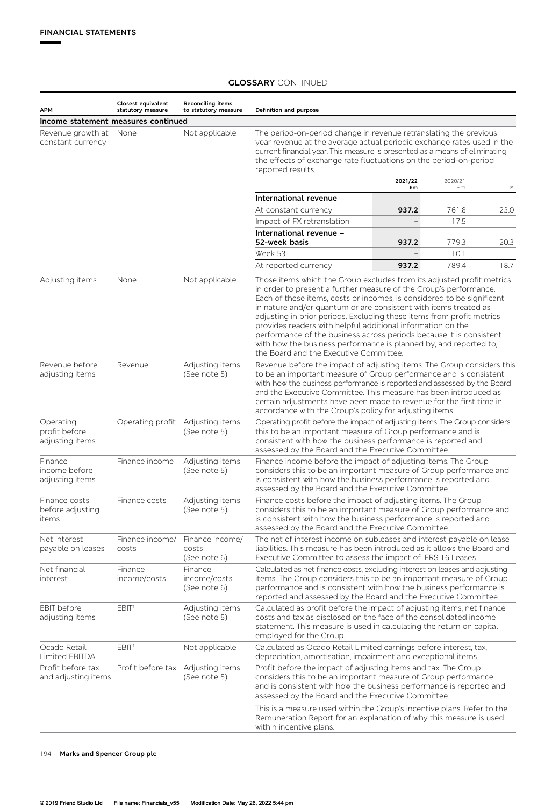| <b>APM</b>                                    | Closest equivalent<br>statutory measure | <b>Reconciling items</b><br>to statutory measure | Definition and purpose                                                                                                                                                                                                                                                                                                                                                                                                                                                                                                                                                                                                 |         |         |      |  |
|-----------------------------------------------|-----------------------------------------|--------------------------------------------------|------------------------------------------------------------------------------------------------------------------------------------------------------------------------------------------------------------------------------------------------------------------------------------------------------------------------------------------------------------------------------------------------------------------------------------------------------------------------------------------------------------------------------------------------------------------------------------------------------------------------|---------|---------|------|--|
| Income statement measures continued           |                                         |                                                  |                                                                                                                                                                                                                                                                                                                                                                                                                                                                                                                                                                                                                        |         |         |      |  |
| Revenue growth at<br>constant currency        | None                                    | Not applicable                                   | The period-on-period change in revenue retranslating the previous<br>year revenue at the average actual periodic exchange rates used in the<br>current financial year. This measure is presented as a means of eliminating<br>the effects of exchange rate fluctuations on the period-on-period<br>reported results.                                                                                                                                                                                                                                                                                                   |         |         |      |  |
|                                               |                                         |                                                  |                                                                                                                                                                                                                                                                                                                                                                                                                                                                                                                                                                                                                        | 2021/22 | 2020/21 |      |  |
|                                               |                                         |                                                  | International revenue                                                                                                                                                                                                                                                                                                                                                                                                                                                                                                                                                                                                  | £m      | £m      | $\%$ |  |
|                                               |                                         |                                                  | At constant currency                                                                                                                                                                                                                                                                                                                                                                                                                                                                                                                                                                                                   | 937.2   | 761.8   | 23.0 |  |
|                                               |                                         |                                                  | Impact of FX retranslation                                                                                                                                                                                                                                                                                                                                                                                                                                                                                                                                                                                             |         | 17.5    |      |  |
|                                               |                                         |                                                  | International revenue -<br>52-week basis                                                                                                                                                                                                                                                                                                                                                                                                                                                                                                                                                                               | 937.2   | 779.3   | 20.3 |  |
|                                               |                                         |                                                  | Week 53                                                                                                                                                                                                                                                                                                                                                                                                                                                                                                                                                                                                                |         | 10.1    |      |  |
|                                               |                                         |                                                  | At reported currency                                                                                                                                                                                                                                                                                                                                                                                                                                                                                                                                                                                                   | 937.2   | 789.4   | 18.7 |  |
| Adjusting items                               | None                                    | Not applicable                                   | Those items which the Group excludes from its adjusted profit metrics<br>in order to present a further measure of the Group's performance.<br>Each of these items, costs or incomes, is considered to be significant<br>in nature and/or quantum or are consistent with items treated as<br>adjusting in prior periods. Excluding these items from profit metrics<br>provides readers with helpful additional information on the<br>performance of the business across periods because it is consistent<br>with how the business performance is planned by, and reported to,<br>the Board and the Executive Committee. |         |         |      |  |
| Revenue before<br>adjusting items             | Revenue                                 | Adjusting items<br>(See note 5)                  | Revenue before the impact of adjusting items. The Group considers this<br>to be an important measure of Group performance and is consistent<br>with how the business performance is reported and assessed by the Board<br>and the Executive Committee. This measure has been introduced as<br>certain adjustments have been made to revenue for the first time in<br>accordance with the Group's policy for adjusting items.                                                                                                                                                                                           |         |         |      |  |
| Operating<br>profit before<br>adjusting items |                                         | Operating profit Adjusting items<br>(See note 5) | Operating profit before the impact of adjusting items. The Group considers<br>this to be an important measure of Group performance and is<br>consistent with how the business performance is reported and<br>assessed by the Board and the Executive Committee.                                                                                                                                                                                                                                                                                                                                                        |         |         |      |  |
| Finance<br>income before<br>adjusting items   | Finance income                          | Adjusting items<br>(See note 5)                  | Finance income before the impact of adjusting items. The Group<br>considers this to be an important measure of Group performance and<br>is consistent with how the business performance is reported and<br>assessed by the Board and the Executive Committee.                                                                                                                                                                                                                                                                                                                                                          |         |         |      |  |
| Finance costs<br>before adjusting<br>items    | Finance costs                           | Adjusting items<br>(See note 5)                  | Finance costs before the impact of adjusting items. The Group<br>considers this to be an important measure of Group performance and<br>is consistent with how the business performance is reported and<br>assessed by the Board and the Executive Committee.                                                                                                                                                                                                                                                                                                                                                           |         |         |      |  |
| Net interest<br>payable on leases             | Finance income/<br>costs                | Finance income/<br>costs<br>(See note 6)         | The net of interest income on subleases and interest payable on lease<br>liabilities. This measure has been introduced as it allows the Board and<br>Executive Committee to assess the impact of IFRS 16 Leases.                                                                                                                                                                                                                                                                                                                                                                                                       |         |         |      |  |
| Net financial<br>interest                     | Finance<br>income/costs                 | Finance<br>income/costs<br>(See note 6)          | Calculated as net finance costs, excluding interest on leases and adjusting<br>items. The Group considers this to be an important measure of Group<br>performance and is consistent with how the business performance is<br>reported and assessed by the Board and the Executive Committee.                                                                                                                                                                                                                                                                                                                            |         |         |      |  |
| EBIT before<br>adjusting items                | EBIT <sup>1</sup>                       | Adjusting items<br>(See note 5)                  | Calculated as profit before the impact of adjusting items, net finance<br>costs and tax as disclosed on the face of the consolidated income<br>statement. This measure is used in calculating the return on capital<br>employed for the Group.                                                                                                                                                                                                                                                                                                                                                                         |         |         |      |  |
| Ocado Retail<br>Limited EBITDA                | EBIT <sup>1</sup>                       | Not applicable                                   | Calculated as Ocado Retail Limited earnings before interest, tax,<br>depreciation, amortisation, impairment and exceptional items.                                                                                                                                                                                                                                                                                                                                                                                                                                                                                     |         |         |      |  |
| Profit before tax<br>and adjusting items      | Profit before tax Adjusting items       | (See note 5)                                     | Profit before the impact of adjusting items and tax. The Group<br>considers this to be an important measure of Group performance<br>and is consistent with how the business performance is reported and<br>assessed by the Board and the Executive Committee.                                                                                                                                                                                                                                                                                                                                                          |         |         |      |  |
|                                               |                                         |                                                  | This is a measure used within the Group's incentive plans. Refer to the<br>Remuneration Report for an explanation of why this measure is used<br>within incentive plans.                                                                                                                                                                                                                                                                                                                                                                                                                                               |         |         |      |  |

## **GLOSSARY** CONTINUED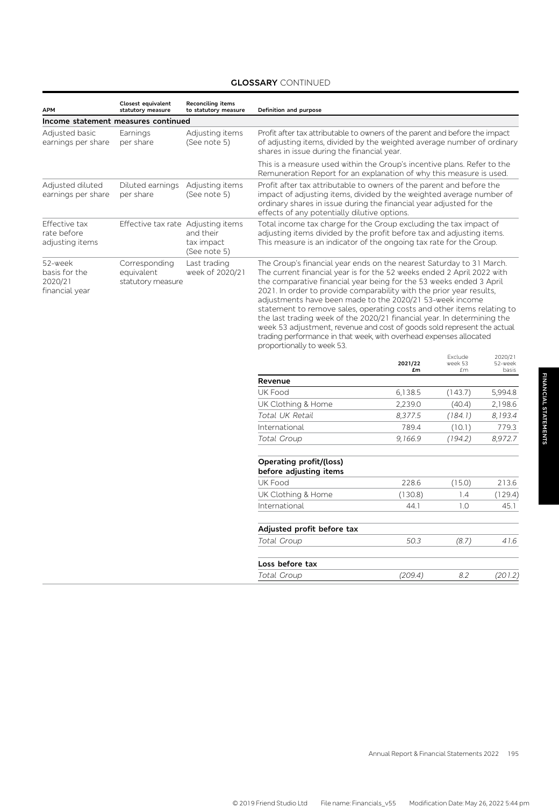# **GLOSSARY** CONTINUED

| <b>APM</b>                                            | Closest equivalent<br>statutory measure          | <b>Reconciling items</b><br>to statutory measure | Definition and purpose                                                                                                                                                                                                                                                                                                                                                                                                                                                                                                                                                                                                                                                                        |               |                          |                             |
|-------------------------------------------------------|--------------------------------------------------|--------------------------------------------------|-----------------------------------------------------------------------------------------------------------------------------------------------------------------------------------------------------------------------------------------------------------------------------------------------------------------------------------------------------------------------------------------------------------------------------------------------------------------------------------------------------------------------------------------------------------------------------------------------------------------------------------------------------------------------------------------------|---------------|--------------------------|-----------------------------|
| Income statement measures continued                   |                                                  |                                                  |                                                                                                                                                                                                                                                                                                                                                                                                                                                                                                                                                                                                                                                                                               |               |                          |                             |
| Adjusted basic<br>earnings per share                  | Earnings<br>per share                            | Adjusting items<br>(See note 5)                  | Profit after tax attributable to owners of the parent and before the impact<br>of adjusting items, divided by the weighted average number of ordinary<br>shares in issue during the financial year.                                                                                                                                                                                                                                                                                                                                                                                                                                                                                           |               |                          |                             |
|                                                       |                                                  |                                                  | This is a measure used within the Group's incentive plans. Refer to the<br>Remuneration Report for an explanation of why this measure is used.                                                                                                                                                                                                                                                                                                                                                                                                                                                                                                                                                |               |                          |                             |
| Adjusted diluted<br>earnings per share                | Diluted earnings<br>per share                    | Adjusting items<br>(See note 5)                  | Profit after tax attributable to owners of the parent and before the<br>impact of adjusting items, divided by the weighted average number of<br>ordinary shares in issue during the financial year adjusted for the<br>effects of any potentially dilutive options.                                                                                                                                                                                                                                                                                                                                                                                                                           |               |                          |                             |
| Effective tax<br>rate before<br>adjusting items       | Effective tax rate Adjusting items               | and their<br>tax impact<br>(See note 5)          | Total income tax charge for the Group excluding the tax impact of<br>adjusting items divided by the profit before tax and adjusting items.<br>This measure is an indicator of the ongoing tax rate for the Group.                                                                                                                                                                                                                                                                                                                                                                                                                                                                             |               |                          |                             |
| 52-week<br>basis for the<br>2020/21<br>financial year | Corresponding<br>equivalent<br>statutory measure | Last trading<br>week of 2020/21                  | The Group's financial year ends on the nearest Saturday to 31 March.<br>The current financial year is for the 52 weeks ended 2 April 2022 with<br>the comparative financial year being for the 53 weeks ended 3 April<br>2021. In order to provide comparability with the prior year results,<br>adjustments have been made to the 2020/21 53-week income<br>statement to remove sales, operating costs and other items relating to<br>the last trading week of the 2020/21 financial year. In determining the<br>week 53 adjustment, revenue and cost of goods sold represent the actual<br>trading performance in that week, with overhead expenses allocated<br>proportionally to week 53. |               |                          |                             |
|                                                       |                                                  |                                                  |                                                                                                                                                                                                                                                                                                                                                                                                                                                                                                                                                                                                                                                                                               | 2021/22<br>£m | Exclude<br>week 53<br>£m | 2020/21<br>52-week<br>basis |
|                                                       |                                                  |                                                  | Revenue                                                                                                                                                                                                                                                                                                                                                                                                                                                                                                                                                                                                                                                                                       |               |                          |                             |
|                                                       |                                                  |                                                  | UK Food                                                                                                                                                                                                                                                                                                                                                                                                                                                                                                                                                                                                                                                                                       | 6,138.5       | (143.7)                  | 5,994.8                     |
|                                                       |                                                  |                                                  | UK Clothing & Home                                                                                                                                                                                                                                                                                                                                                                                                                                                                                                                                                                                                                                                                            | 2,239.0       | (40.4)                   | 2,198.6                     |
|                                                       |                                                  |                                                  | Total UK Retail                                                                                                                                                                                                                                                                                                                                                                                                                                                                                                                                                                                                                                                                               | 8,377.5       | (184.1)                  | 8,193.4                     |
|                                                       |                                                  |                                                  | International                                                                                                                                                                                                                                                                                                                                                                                                                                                                                                                                                                                                                                                                                 | 789.4         | (10.1)                   | 779.3                       |
|                                                       |                                                  |                                                  | Total Group                                                                                                                                                                                                                                                                                                                                                                                                                                                                                                                                                                                                                                                                                   | 9,166.9       | (194.2)                  | 8,972.7                     |
|                                                       |                                                  |                                                  | Operating profit/(loss)<br>before adjusting items                                                                                                                                                                                                                                                                                                                                                                                                                                                                                                                                                                                                                                             |               |                          |                             |
|                                                       |                                                  |                                                  | UK Food                                                                                                                                                                                                                                                                                                                                                                                                                                                                                                                                                                                                                                                                                       | 228.6         | (15.0)                   | 213.6                       |
|                                                       |                                                  |                                                  | UK Clothing & Home                                                                                                                                                                                                                                                                                                                                                                                                                                                                                                                                                                                                                                                                            | (130.8)       | 1.4                      | (129.4)                     |
|                                                       |                                                  |                                                  | International                                                                                                                                                                                                                                                                                                                                                                                                                                                                                                                                                                                                                                                                                 | 44.1          | 1.0                      | 45.1                        |
|                                                       |                                                  |                                                  | Adjusted profit before tax                                                                                                                                                                                                                                                                                                                                                                                                                                                                                                                                                                                                                                                                    |               |                          |                             |
|                                                       |                                                  |                                                  | Total Group                                                                                                                                                                                                                                                                                                                                                                                                                                                                                                                                                                                                                                                                                   | 50.3          | (8.7)                    | 41.6                        |
|                                                       |                                                  |                                                  | Loss before tax                                                                                                                                                                                                                                                                                                                                                                                                                                                                                                                                                                                                                                                                               |               |                          |                             |
|                                                       |                                                  |                                                  | Total Group                                                                                                                                                                                                                                                                                                                                                                                                                                                                                                                                                                                                                                                                                   | (209.4)       | 8.2                      | (201.2)                     |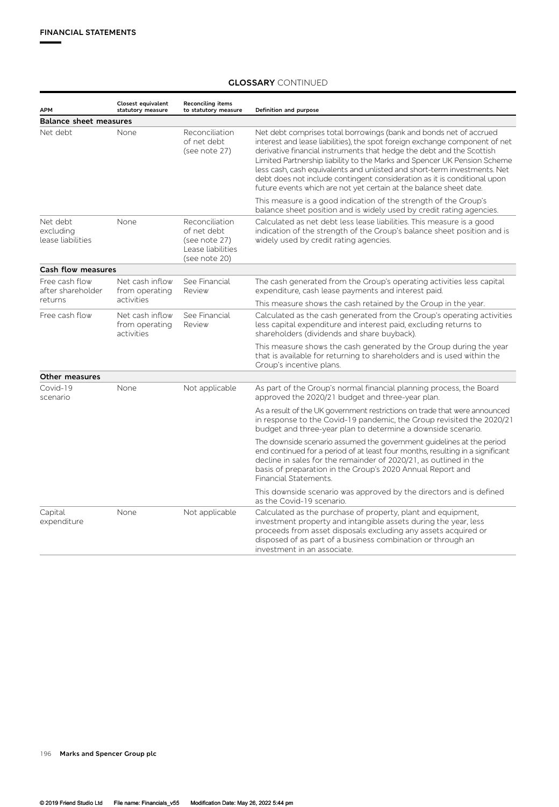| <b>APM</b>                                     | Closest equivalent<br>statutory measure         | <b>Reconciling items</b><br>to statutory measure                                     | Definition and purpose                                                                                                                                                                                                                                                                                                                                                                                                                                                                                                               |  |
|------------------------------------------------|-------------------------------------------------|--------------------------------------------------------------------------------------|--------------------------------------------------------------------------------------------------------------------------------------------------------------------------------------------------------------------------------------------------------------------------------------------------------------------------------------------------------------------------------------------------------------------------------------------------------------------------------------------------------------------------------------|--|
| <b>Balance sheet measures</b>                  |                                                 |                                                                                      |                                                                                                                                                                                                                                                                                                                                                                                                                                                                                                                                      |  |
| Net debt                                       | None                                            | Reconciliation<br>of net debt<br>(see note 27)                                       | Net debt comprises total borrowings (bank and bonds net of accrued<br>interest and lease liabilities), the spot foreign exchange component of net<br>derivative financial instruments that hedge the debt and the Scottish<br>Limited Partnership liability to the Marks and Spencer UK Pension Scheme<br>less cash, cash equivalents and unlisted and short-term investments. Net<br>debt does not include contingent consideration as it is conditional upon<br>future events which are not yet certain at the balance sheet date. |  |
|                                                |                                                 |                                                                                      | This measure is a good indication of the strength of the Group's<br>balance sheet position and is widely used by credit rating agencies.                                                                                                                                                                                                                                                                                                                                                                                             |  |
| Net debt<br>excluding<br>lease liabilities     | None                                            | Reconciliation<br>of net debt<br>(see note 27)<br>Lease liabilities<br>(see note 20) | Calculated as net debt less lease liabilities. This measure is a good<br>indication of the strength of the Group's balance sheet position and is<br>widely used by credit rating agencies.                                                                                                                                                                                                                                                                                                                                           |  |
| Cash flow measures                             |                                                 |                                                                                      |                                                                                                                                                                                                                                                                                                                                                                                                                                                                                                                                      |  |
| Free cash flow<br>after shareholder<br>returns | Net cash inflow<br>from operating<br>activities | See Financial<br>Review                                                              | The cash generated from the Group's operating activities less capital<br>expenditure, cash lease payments and interest paid.                                                                                                                                                                                                                                                                                                                                                                                                         |  |
|                                                |                                                 |                                                                                      | This measure shows the cash retained by the Group in the year.                                                                                                                                                                                                                                                                                                                                                                                                                                                                       |  |
| Free cash flow                                 | Net cash inflow<br>from operating<br>activities | See Financial<br>Review                                                              | Calculated as the cash generated from the Group's operating activities<br>less capital expenditure and interest paid, excluding returns to<br>shareholders (dividends and share buyback).                                                                                                                                                                                                                                                                                                                                            |  |
|                                                |                                                 |                                                                                      | This measure shows the cash generated by the Group during the year<br>that is available for returning to shareholders and is used within the<br>Group's incentive plans.                                                                                                                                                                                                                                                                                                                                                             |  |
| <b>Other measures</b>                          |                                                 |                                                                                      |                                                                                                                                                                                                                                                                                                                                                                                                                                                                                                                                      |  |
| Covid-19<br>scenario                           | None                                            | Not applicable                                                                       | As part of the Group's normal financial planning process, the Board<br>approved the 2020/21 budget and three-year plan.                                                                                                                                                                                                                                                                                                                                                                                                              |  |
|                                                |                                                 |                                                                                      | As a result of the UK government restrictions on trade that were announced<br>in response to the Covid-19 pandemic, the Croup revisited the 2020/21<br>budget and three-year plan to determine a downside scenario.                                                                                                                                                                                                                                                                                                                  |  |
|                                                |                                                 |                                                                                      | The downside scenario assumed the government guidelines at the period<br>end continued for a period of at least four months, resulting in a significant<br>decline in sales for the remainder of 2020/21, as outlined in the<br>basis of preparation in the Group's 2020 Annual Report and<br>Financial Statements.                                                                                                                                                                                                                  |  |
|                                                |                                                 |                                                                                      | This downside scenario was approved by the directors and is defined<br>as the Covid-19 scenario.                                                                                                                                                                                                                                                                                                                                                                                                                                     |  |
| Capital<br>expenditure                         | None                                            | Not applicable                                                                       | Calculated as the purchase of property, plant and equipment,<br>investment property and intangible assets during the year, less<br>proceeds from asset disposals excluding any assets acquired or<br>disposed of as part of a business combination or through an<br>investment in an associate.                                                                                                                                                                                                                                      |  |

## **GLOSSARY** CONTINUED